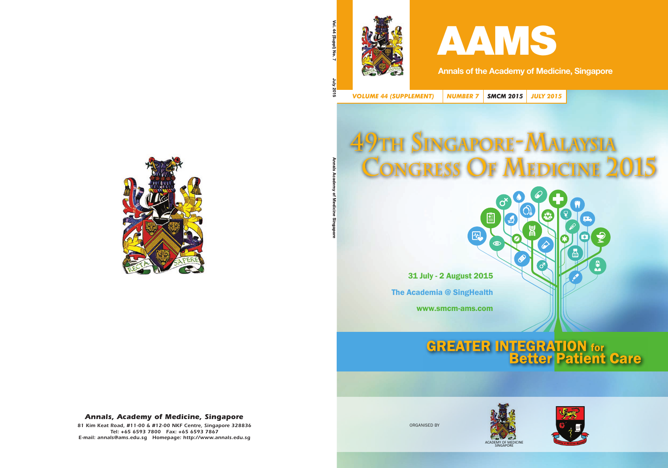



Annals of the Academy of Medicine, Singapore

*VOLUME 44 (SUPPLEMENT) NUMBER 7 SMCM 2015 JULY 2015*

网

## **49TH SINGAPORE-MALAYSIA CONGRESS OF MEDICINE 2015**

൪

31 July - 2 August 2015 The Academia @ SingHealth

www.smcm-ams.com

# **GREATER INTEGRATION for**<br>**Better Patient Care**

厦

 $\vec{d}$ 

唇

 $\bullet$ 



ORGANISED BY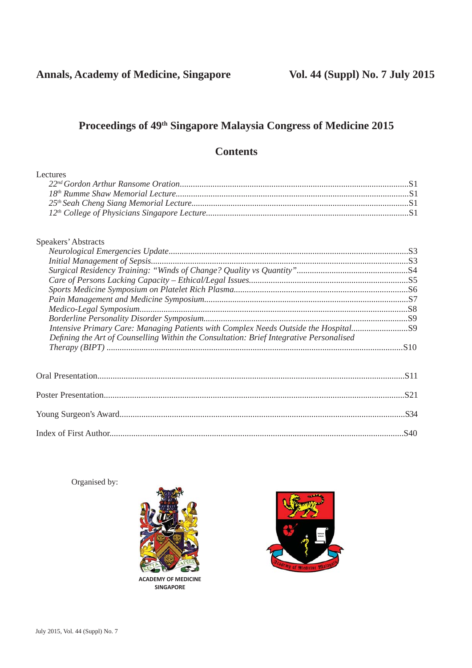## **Proceedings of 49th Singapore Malaysia Congress of Medicine 2015**

## **Contents**

| Lectures                                                                                                                                                                     |  |
|------------------------------------------------------------------------------------------------------------------------------------------------------------------------------|--|
| Speakers' Abstracts                                                                                                                                                          |  |
|                                                                                                                                                                              |  |
|                                                                                                                                                                              |  |
|                                                                                                                                                                              |  |
|                                                                                                                                                                              |  |
|                                                                                                                                                                              |  |
|                                                                                                                                                                              |  |
|                                                                                                                                                                              |  |
|                                                                                                                                                                              |  |
| Intensive Primary Care: Managing Patients with Complex Needs Outside the Hospital<br>Defining the Art of Counselling Within the Consultation: Brief Integrative Personalised |  |
|                                                                                                                                                                              |  |
|                                                                                                                                                                              |  |
|                                                                                                                                                                              |  |
|                                                                                                                                                                              |  |
|                                                                                                                                                                              |  |
|                                                                                                                                                                              |  |

Organised by:



**ACADEMY OF MEDICINE SINGAPORE**

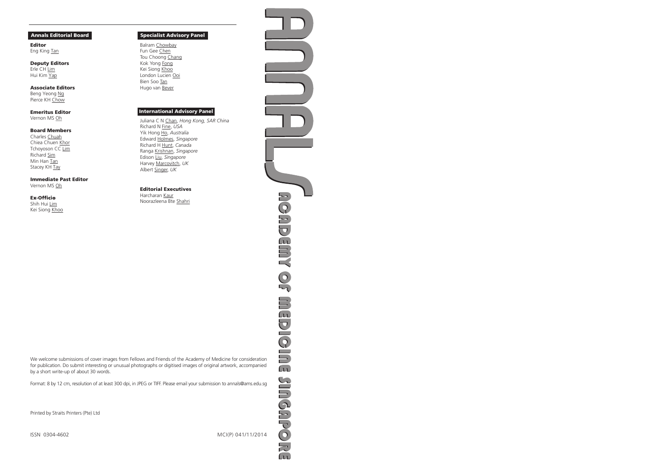#### Annals Editorial Board

Editor Eng King Tan

Deputy Editors Erle CH Lim Hui Kim Yap

Associate Editors Beng Yeong Ng Pierce KH Chow

Emeritus Editor Vernon MS Oh

#### Board Members

Charles Chuah Chiea Chuen Khor Tchoyoson CC Lim Richard Sim Min Han Tan Stacey KH Tay

#### Immediate Past Editor

Vernon MS Oh

#### **Ex-Officio**

Shih Hui Lim Kei Siong Khoo

#### Specialist Advisory Panel

Balram Chowbay Fun Gee Chen Tou Choong Chang Kok Yong Fong Kei Siong Khoo London Lucien Ooi Bien Soo Tan Hugo van Bever

#### International Advisory Panel

Juliana C N Chan, *Hong Kong, SAR China* Richard N Fine, *USA* Yik Hong Ho, *Australia* Edward Holmes, *Singapore* Richard H Hunt, *Canada* Ranga Krishnan, *Singapore* Edison Liu, *Singapore* Harvey Marcovitch, *UK* Albert Singer, *UK*

#### Editorial Executives

Harcharan Kaur Noorazleena Bte Shahri

We welcome submissions of cover images from Fellows and Friends of the Academy of Medicine for consideration for publication. Do submit interesting or unusual photographs or digitised images of original artwork, accompanied by a short write-up of about 30 words.

Format: 8 by 12 cm, resolution of at least 300 dpi, in JPEG or TIFF. Please email your submission to annals@ams.edu.sg

Printed by Straits Printers (Pte) Ltd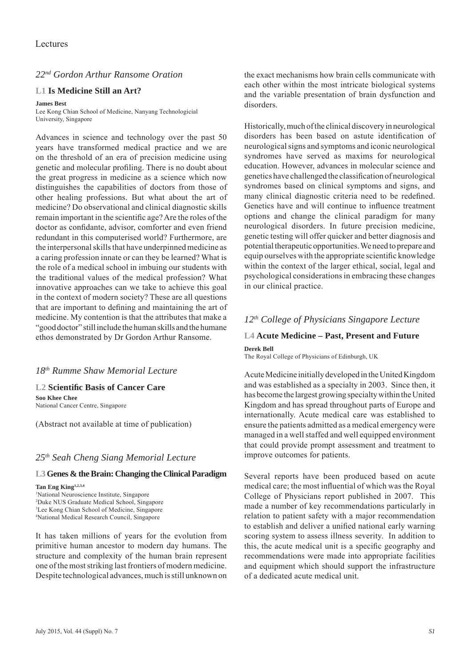#### *22nd Gordon Arthur Ransome Oration*

#### **L1 Is Medicine Still an Art?**

#### **James Best**

Lee Kong Chian School of Medicine, Nanyang Technologicial University, Singapore

Advances in science and technology over the past 50 years have transformed medical practice and we are on the threshold of an era of precision medicine using genetic and molecular profiling. There is no doubt about the great progress in medicine as a science which now distinguishes the capabilities of doctors from those of other healing professions. But what about the art of medicine? Do observational and clinical diagnostic skills remain important in the scientific age? Are the roles of the doctor as confidante, advisor, comforter and even friend redundant in this computerised world? Furthermore, are the interpersonal skills that have underpinned medicine as a caring profession innate or can they be learned? What is the role of a medical school in imbuing our students with the traditional values of the medical profession? What innovative approaches can we take to achieve this goal in the context of modern society? These are all questions that are important to defining and maintaining the art of medicine. My contention is that the attributes that make a "good doctor" still include the human skills and the humane ethos demonstrated by Dr Gordon Arthur Ransome.

#### *18th Rumme Shaw Memorial Lecture*

**L2 Scientifi c Basis of Cancer Care Soo Khee Chee** National Cancer Centre, Singapore

(Abstract not available at time of publication)

#### *25th Seah Cheng Siang Memorial Lecture*

#### **L3 Genes & the Brain: Changing the Clinical Paradigm**

**Tan Eng King1,2,3,4** National Neuroscience Institute, Singapore Duke NUS Graduate Medical School, Singapore Lee Kong Chian School of Medicine, Singapore National Medical Research Council, Singapore

It has taken millions of years for the evolution from primitive human ancestor to modern day humans. The structure and complexity of the human brain represent one of the most striking last frontiers of modern medicine. Despite technological advances, much is still unknown on the exact mechanisms how brain cells communicate with each other within the most intricate biological systems and the variable presentation of brain dysfunction and disorders.

Historically, much of the clinical discovery in neurological disorders has been based on astute identification of neurological signs and symptoms and iconic neurological syndromes have served as maxims for neurological education. However, advances in molecular science and genetics have challenged the classification of neurological syndromes based on clinical symptoms and signs, and many clinical diagnostic criteria need to be redefined. Genetics have and will continue to influence treatment options and change the clinical paradigm for many neurological disorders. In future precision medicine, genetic testing will offer quicker and better diagnosis and potential therapeutic opportunities. We need to prepare and equip ourselves with the appropriate scientific knowledge within the context of the larger ethical, social, legal and psychological considerations in embracing these changes in our clinical practice.

### *12th College of Physicians Singapore Lecture*

#### **L4 Acute Medicine – Past, Present and Future Derek Bell**

The Royal College of Physicians of Edinburgh, UK

Acute Medicine initially developed in the United Kingdom and was established as a specialty in 2003. Since then, it has become the largest growing specialty within the United Kingdom and has spread throughout parts of Europe and internationally. Acute medical care was established to ensure the patients admitted as a medical emergency were managed in a well staffed and well equipped environment that could provide prompt assessment and treatment to improve outcomes for patients.

Several reports have been produced based on acute medical care; the most influential of which was the Royal College of Physicians report published in 2007. This made a number of key recommendations particularly in relation to patient safety with a major recommendation to establish and deliver a unified national early warning scoring system to assess illness severity. In addition to this, the acute medical unit is a specific geography and recommendations were made into appropriate facilities and equipment which should support the infrastructure of a dedicated acute medical unit.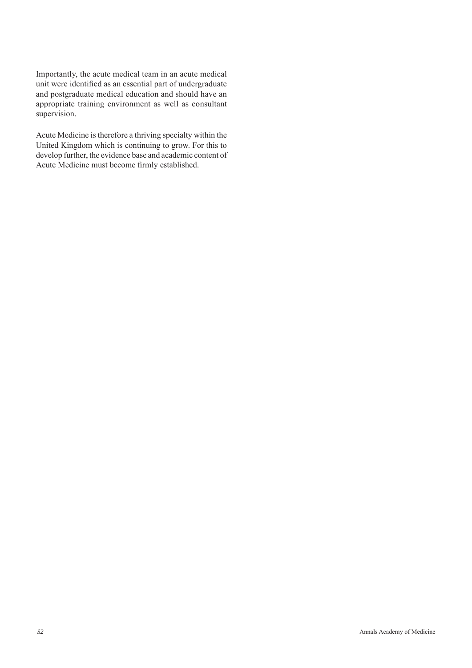Importantly, the acute medical team in an acute medical unit were identified as an essential part of undergraduate and postgraduate medical education and should have an appropriate training environment as well as consultant supervision.

Acute Medicine is therefore a thriving specialty within the United Kingdom which is continuing to grow. For this to develop further, the evidence base and academic content of Acute Medicine must become firmly established.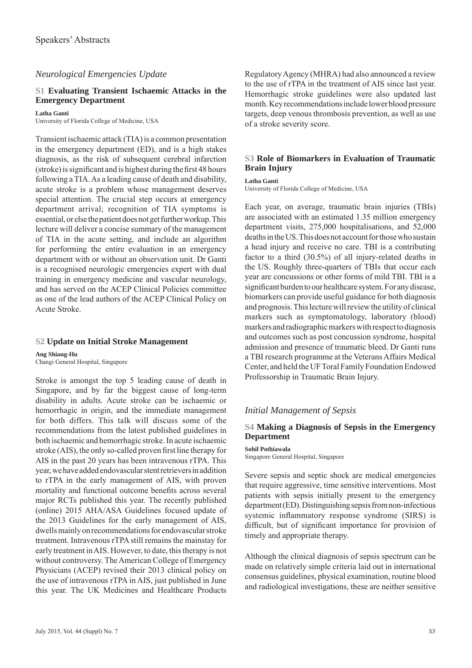#### *Neurological Emergencies Update*

#### **S1 Evaluating Transient Ischaemic Attacks in the Emergency Department**

**Latha Ganti** University of Florida College of Medicine, USA

Transient ischaemic attack (TIA) is a common presentation in the emergency department (ED), and is a high stakes diagnosis, as the risk of subsequent cerebral infarction  $(\text{stroke})$  is significant and is highest during the first 48 hours following a TIA. As a leading cause of death and disability, acute stroke is a problem whose management deserves special attention. The crucial step occurs at emergency department arrival; recognition of TIA symptoms is essential, or else the patient does not get further workup. This lecture will deliver a concise summary of the management of TIA in the acute setting, and include an algorithm for performing the entire evaluation in an emergency department with or without an observation unit. Dr Ganti is a recognised neurologic emergencies expert with dual training in emergency medicine and vascular neurology, and has served on the ACEP Clinical Policies committee as one of the lead authors of the ACEP Clinical Policy on Acute Stroke.

#### **S2 Update on Initial Stroke Management**

**Ang Shiang-Hu** Changi General Hospital, Singapore

Stroke is amongst the top 5 leading cause of death in Singapore, and by far the biggest cause of long-term disability in adults. Acute stroke can be ischaemic or hemorrhagic in origin, and the immediate management for both differs. This talk will discuss some of the recommendations from the latest published guidelines in both ischaemic and hemorrhagic stroke. In acute ischaemic stroke (AIS), the only so-called proven first line therapy for AIS in the past 20 years has been intravenous rTPA. This year, we have added endovascular stent retrievers in addition to rTPA in the early management of AIS, with proven mortality and functional outcome benefits across several major RCTs published this year. The recently published (online) 2015 AHA/ASA Guidelines focused update of the 2013 Guidelines for the early management of AIS, dwells mainly on recommendations for endovascular stroke treatment. Intravenous rTPA still remains the mainstay for early treatment in AIS. However, to date, this therapy is not without controversy. The American College of Emergency Physicians (ACEP) revised their 2013 clinical policy on the use of intravenous rTPA in AIS, just published in June this year. The UK Medicines and Healthcare Products Regulatory Agency (MHRA) had also announced a review to the use of rTPA in the treatment of AIS since last year. Hemorrhagic stroke guidelines were also updated last month. Key recommendations include lower blood pressure targets, deep venous thrombosis prevention, as well as use of a stroke severity score.

#### **S3 Role of Biomarkers in Evaluation of Traumatic Brain Injury**

**Latha Ganti**

University of Florida College of Medicine, USA

Each year, on average, traumatic brain injuries (TBIs) are associated with an estimated 1.35 million emergency department visits, 275,000 hospitalisations, and 52,000 deaths in the US. This does not account for those who sustain a head injury and receive no care. TBI is a contributing factor to a third (30.5%) of all injury-related deaths in the US. Roughly three-quarters of TBIs that occur each year are concussions or other forms of mild TBI. TBI is a significant burden to our healthcare system. For any disease, biomarkers can provide useful guidance for both diagnosis and prognosis. This lecture will review the utility of clinical markers such as symptomatology, laboratory (blood) markers and radiographic markers with respect to diagnosis and outcomes such as post concussion syndrome, hospital admission and presence of traumatic bleed. Dr Ganti runs a TBI research programme at the Veterans Affairs Medical Center, and held the UF Toral Family Foundation Endowed Professorship in Traumatic Brain Injury.

#### *Initial Management of Sepsis*

#### **S4 Making a Diagnosis of Sepsis in the Emergency Department**

**Sohil Pothiawala** Singapore General Hospital, Singapore

Severe sepsis and septic shock are medical emergencies that require aggressive, time sensitive interventions. Most patients with sepsis initially present to the emergency department (ED). Distinguishing sepsis from non-infectious systemic inflammatory response syndrome (SIRS) is difficult, but of significant importance for provision of timely and appropriate therapy.

Although the clinical diagnosis of sepsis spectrum can be made on relatively simple criteria laid out in international consensus guidelines, physical examination, routine blood and radiological investigations, these are neither sensitive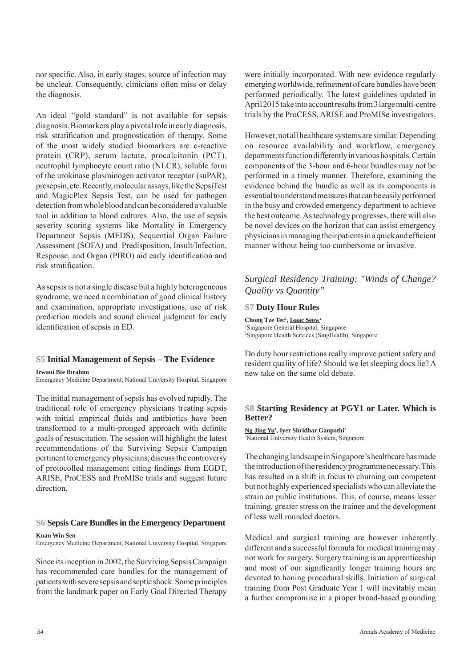nor specific. Also, in early stages, source of infection may be unclear. Consequently, clinicians often miss or delay the diagnosis.

An ideal "gold standard" is not available for sepsis diagnosis. Biomarkers play a pivotal role in early diagnosis, risk stratification and prognostication of therapy. Some of the most widely studied biomarkers are c-reactive protein (CRP), serum lactate, procalcitonin (PCT), neutrophil lymphocyte count ratio (NLCR), soluble form of the urokinase plasminogen activator receptor (suPAR), presepsin, etc. Recently, molecular assays, like the SepsiTest and MagicPlex Sepsis Test, can be used for pathogen detection from whole blood and can be considered a valuable tool in addition to blood cultures. Also, the use of sepsis severity scoring systems like Mortality in Emergency Department Sepsis (MEDS), Sequential Organ Failure Assessment (SOFA) and Predisposition, Insult/Infection, Response, and Organ (PIRO) aid early identification and risk stratification.

As sepsis is not a single disease but a highly heterogeneous syndrome, we need a combination of good clinical history and examination, appropriate investigations, use of risk prediction models and sound clinical judgment for early identification of sepsis in ED.

#### **S5 Initial Management of Sepsis – The Evidence**

**Irwani Bte Ibrahim**

Emergency Medicine Department, National University Hospital, Singapore

The initial management of sepsis has evolved rapidly. The traditional role of emergency physicians treating sepsis with initial empirical fluids and antibiotics have been transformed to a multi-pronged approach with definite goals of resuscitation. The session will highlight the latest recommendations of the Surviving Sepsis Campaign pertinent to emergency physicians, discuss the controversy of protocolled management citing findings from EGDT, ARISE, ProCESS and ProMISe trials and suggest future direction.

## **S6 Sepsis Care Bundles in the Emergency Department**

**Kuan Win Sen**

Emergency Medicine Department, National University Hospital, Singapore

Since its inception in 2002, the Surviving Sepsis Campaign has recommended care bundles for the management of patients with severe sepsis and septic shock. Some principles from the landmark paper on Early Goal Directed Therapy

were initially incorporated. With new evidence regularly emerging worldwide, refinement of care bundles have been performed periodically. The latest guidelines updated in April 2015 take into account results from 3 large multi-centre trials by the ProCESS, ARISE and ProMISe investigators.

However, not all healthcare systems are similar. Depending on resource availability and workflow, emergency departments function differently in various hospitals. Certain components of the 3-hour and 6-hour bundles may not be performed in a timely manner. Therefore, examining the evidence behind the bundle as well as its components is essential to understand measures that can be easily performed in the busy and crowded emergency department to achieve the best outcome. As technology progresses, there will also be novel devices on the horizon that can assist emergency physicians in managing their patients in a quick and efficient manner without being too cumbersome or invasive.

#### *Surgical Residency Training: "Winds of Change? Quality vs Quantity"*

#### **S7 Duty Hour Rules**

Chong Tze Tec<sup>1</sup>, **Isaac Seow**<sup>2</sup> 1 Singapore General Hospital, Singapore 2 Singapore Health Services (SingHealth), Singapore

Do duty hour restrictions really improve patient safety and resident quality of life? Should we let sleeping docs lie? A new take on the same old debate.

#### **S8 Starting Residency at PGY1 or Later. Which is Better?**

**Ng Jing Yu1 , Iyer Shridhar Ganpathi1** <sup>1</sup>National University Health System, Singapore

The changing landscape in Singapore's healthcare has made the introduction of the residency programme necessary. This has resulted in a shift in focus to churning out competent but not highly experienced specialists who can alleviate the strain on public institutions. This, of course, means lesser training, greater stress on the trainee and the development of less well rounded doctors.

Medical and surgical training are however inherently different and a successful formula for medical training may not work for surgery. Surgery training is an apprenticeship and most of our significantly longer training hours are devoted to honing procedural skills. Initiation of surgical training from Post Graduate Year 1 will inevitably mean a further compromise in a proper broad-based grounding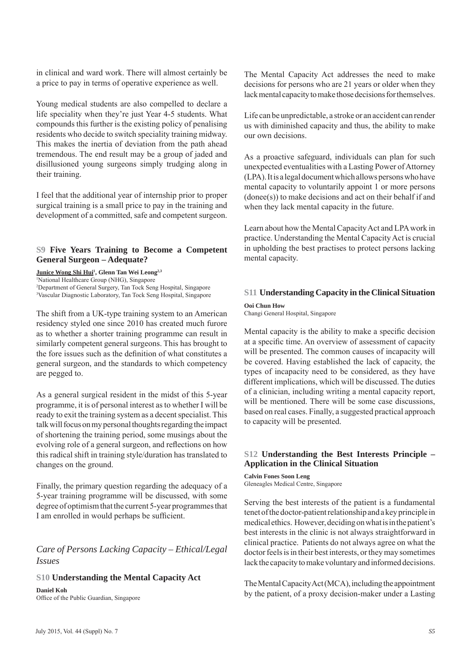in clinical and ward work. There will almost certainly be a price to pay in terms of operative experience as well.

Young medical students are also compelled to declare a life speciality when they're just Year 4-5 students. What compounds this further is the existing policy of penalising residents who decide to switch speciality training midway. This makes the inertia of deviation from the path ahead tremendous. The end result may be a group of jaded and disillusioned young surgeons simply trudging along in their training.

I feel that the additional year of internship prior to proper surgical training is a small price to pay in the training and development of a committed, safe and competent surgeon.

#### **S9 Five Years Training to Become a Competent General Surgeon – Adequate?**

**Junice Wong Shi Hui1 , Glenn Tan Wei Leong2,3** National Healthcare Group (NHG), Singapore Department of General Surgery, Tan Tock Seng Hospital, Singapore Vascular Diagnostic Laboratory, Tan Tock Seng Hospital, Singapore

The shift from a UK-type training system to an American residency styled one since 2010 has created much furore as to whether a shorter training programme can result in similarly competent general surgeons. This has brought to the fore issues such as the definition of what constitutes a general surgeon, and the standards to which competency are pegged to.

As a general surgical resident in the midst of this 5-year programme, it is of personal interest as to whether I will be ready to exit the training system as a decent specialist. This talk will focus on my personal thoughts regarding the impact of shortening the training period, some musings about the evolving role of a general surgeon, and reflections on how this radical shift in training style/duration has translated to changes on the ground.

Finally, the primary question regarding the adequacy of a 5-year training programme will be discussed, with some degree of optimism that the current 5-year programmes that I am enrolled in would perhaps be sufficient.

*Care of Persons Lacking Capacity – Ethical/Legal Issues*

#### **S10 Understanding the Mental Capacity Act**

**Daniel Koh** Office of the Public Guardian, Singapore The Mental Capacity Act addresses the need to make decisions for persons who are 21 years or older when they lack mental capacity to make those decisions for themselves.

Life can be unpredictable, a stroke or an accident can render us with diminished capacity and thus, the ability to make our own decisions.

As a proactive safeguard, individuals can plan for such unexpected eventualities with a Lasting Power of Attorney (LPA). It is a legal document which allows persons who have mental capacity to voluntarily appoint 1 or more persons (donee(s)) to make decisions and act on their behalf if and when they lack mental capacity in the future.

Learn about how the Mental Capacity Act and LPA work in practice. Understanding the Mental Capacity Act is crucial in upholding the best practises to protect persons lacking mental capacity.

#### **S11 Understanding Capacity in the Clinical Situation**

**Ooi Chun How**

Changi General Hospital, Singapore

Mental capacity is the ability to make a specific decision at a specific time. An overview of assessment of capacity will be presented. The common causes of incapacity will be covered. Having established the lack of capacity, the types of incapacity need to be considered, as they have different implications, which will be discussed. The duties of a clinician, including writing a mental capacity report, will be mentioned. There will be some case discussions, based on real cases. Finally, a suggested practical approach to capacity will be presented.

#### **S12 Understanding the Best Interests Principle – Application in the Clinical Situation**

**Calvin Fones Soon Leng** Gleneagles Medical Centre, Singapore

Serving the best interests of the patient is a fundamental tenet of the doctor-patient relationship and a key principle in medical ethics. However, deciding on what is in the patient's best interests in the clinic is not always straightforward in clinical practice. Patients do not always agree on what the doctor feels is in their best interests, or they may sometimes lack the capacity to make voluntary and informed decisions.

The Mental Capacity Act (MCA), including the appointment by the patient, of a proxy decision-maker under a Lasting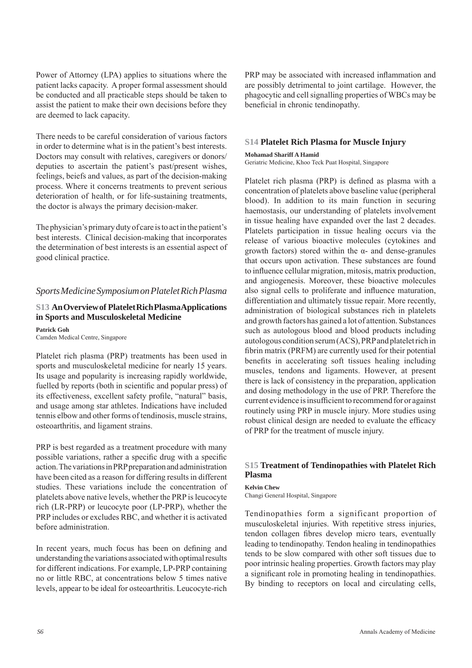Power of Attorney (LPA) applies to situations where the patient lacks capacity. A proper formal assessment should be conducted and all practicable steps should be taken to assist the patient to make their own decisions before they are deemed to lack capacity.

There needs to be careful consideration of various factors in order to determine what is in the patient's best interests. Doctors may consult with relatives, caregivers or donors/ deputies to ascertain the patient's past/present wishes, feelings, beiefs and values, as part of the decision-making process. Where it concerns treatments to prevent serious deterioration of health, or for life-sustaining treatments, the doctor is always the primary decision-maker.

The physician's primary duty of care is to act in the patient's best interests. Clinical decision-making that incorporates the determination of best interests is an essential aspect of good clinical practice.

#### *Sports Medicine Symposium on Platelet Rich Plasma*

#### **S13 An Overview of Platelet Rich Plasma Applications in Sports and Musculoskeletal Medicine**

**Patrick Goh** Camden Medical Centre, Singapore

Platelet rich plasma (PRP) treatments has been used in sports and musculoskeletal medicine for nearly 15 years. Its usage and popularity is increasing rapidly worldwide, fuelled by reports (both in scientific and popular press) of its effectiveness, excellent safety profile, "natural" basis, and usage among star athletes. Indications have included tennis elbow and other forms of tendinosis, muscle strains, osteoarthritis, and ligament strains.

PRP is best regarded as a treatment procedure with many possible variations, rather a specific drug with a specific action. The variations in PRP preparation and administration have been cited as a reason for differing results in different studies. These variations include the concentration of platelets above native levels, whether the PRP is leucocyte rich (LR-PRP) or leucocyte poor (LP-PRP), whether the PRP includes or excludes RBC, and whether it is activated before administration.

In recent years, much focus has been on defining and understanding the variations associated with optimal results for different indications. For example, LP-PRP containing no or little RBC, at concentrations below 5 times native levels, appear to be ideal for osteoarthritis. Leucocyte-rich

PRP may be associated with increased inflammation and are possibly detrimental to joint cartilage. However, the phagocytic and cell signalling properties of WBCs may be beneficial in chronic tendinopathy.

#### **S14 Platelet Rich Plasma for Muscle Injury**

**Mohamad Shariff A Hamid** Geriatric Medicine, Khoo Teck Puat Hospital, Singapore

Platelet rich plasma (PRP) is defined as plasma with a concentration of platelets above baseline value (peripheral blood). In addition to its main function in securing haemostasis, our understanding of platelets involvement in tissue healing have expanded over the last 2 decades. Platelets participation in tissue healing occurs via the release of various bioactive molecules (cytokines and growth factors) stored within the  $\alpha$ - and dense-granules that occurs upon activation. These substances are found to influence cellular migration, mitosis, matrix production, and angiogenesis. Moreover, these bioactive molecules also signal cells to proliferate and influence maturation, differentiation and ultimately tissue repair. More recently, administration of biological substances rich in platelets and growth factors has gained a lot of attention. Substances such as autologous blood and blood products including autologous condition serum (ACS), PRP and platelet rich in fibrin matrix (PRFM) are currently used for their potential benefits in accelerating soft tissues healing including muscles, tendons and ligaments. However, at present there is lack of consistency in the preparation, application and dosing methodology in the use of PRP. Therefore the current evidence is insufficient to recommend for or against routinely using PRP in muscle injury. More studies using robust clinical design are needed to evaluate the efficacy of PRP for the treatment of muscle injury.

#### **S15 Treatment of Tendinopathies with Platelet Rich Plasma**

**Kelvin Chew** Changi General Hospital, Singapore

Tendinopathies form a significant proportion of musculoskeletal injuries. With repetitive stress injuries, tendon collagen fibres develop micro tears, eventually leading to tendinopathy. Tendon healing in tendinopathies tends to be slow compared with other soft tissues due to poor intrinsic healing properties. Growth factors may play a significant role in promoting healing in tendinopathies. By binding to receptors on local and circulating cells,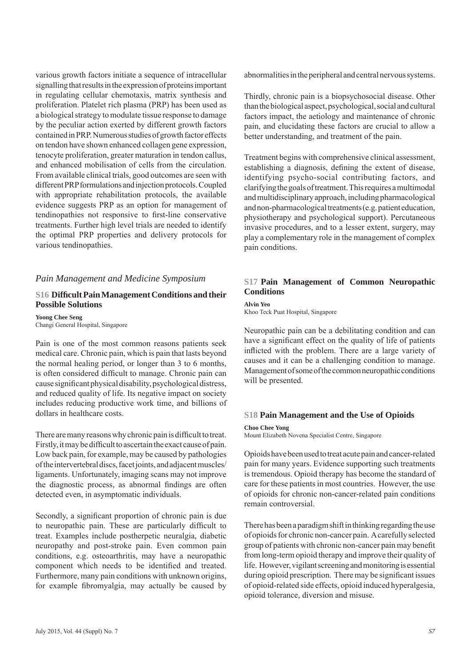various growth factors initiate a sequence of intracellular signalling that results in the expression of proteins important in regulating cellular chemotaxis, matrix synthesis and proliferation. Platelet rich plasma (PRP) has been used as a biological strategy to modulate tissue response to damage by the peculiar action exerted by different growth factors contained in PRP. Numerous studies of growth factor effects on tendon have shown enhanced collagen gene expression, tenocyte proliferation, greater maturation in tendon callus, and enhanced mobilisation of cells from the circulation. From available clinical trials, good outcomes are seen with different PRP formulations and injection protocols. Coupled with appropriate rehabilitation protocols, the available evidence suggests PRP as an option for management of tendinopathies not responsive to first-line conservative treatments. Further high level trials are needed to identify the optimal PRP properties and delivery protocols for various tendinopathies.

#### *Pain Management and Medicine Symposium*

#### **S16 Diffi cult Pain Management Conditions and their Possible Solutions**

**Yoong Chee Seng** Changi General Hospital, Singapore

Pain is one of the most common reasons patients seek medical care. Chronic pain, which is pain that lasts beyond the normal healing period, or longer than 3 to 6 months, is often considered difficult to manage. Chronic pain can cause significant physical disability, psychological distress, and reduced quality of life. Its negative impact on society includes reducing productive work time, and billions of dollars in healthcare costs.

There are many reasons why chronic pain is difficult to treat. Firstly, it may be difficult to ascertain the exact cause of pain. Low back pain, for example, may be caused by pathologies of the intervertebral discs, facet joints, and adjacent muscles/ ligaments. Unfortunately, imaging scans may not improve the diagnostic process, as abnormal findings are often detected even, in asymptomatic individuals.

Secondly, a significant proportion of chronic pain is due to neuropathic pain. These are particularly difficult to treat. Examples include postherpetic neuralgia, diabetic neuropathy and post-stroke pain. Even common pain conditions, e.g. osteoarthritis, may have a neuropathic component which needs to be identified and treated. Furthermore, many pain conditions with unknown origins, for example fibromyalgia, may actually be caused by

abnormalities in the peripheral and central nervous systems.

Thirdly, chronic pain is a biopsychosocial disease. Other than the biological aspect, psychological, social and cultural factors impact, the aetiology and maintenance of chronic pain, and elucidating these factors are crucial to allow a better understanding, and treatment of the pain.

Treatment begins with comprehensive clinical assessment, establishing a diagnosis, defining the extent of disease, identifying psycho-social contributing factors, and clarifying the goals of treatment. This requires a multimodal and multidisciplinary approach, including pharmacological and non-pharmacological treatments (e.g. patient education, physiotherapy and psychological support). Percutaneous invasive procedures, and to a lesser extent, surgery, may play a complementary role in the management of complex pain conditions.

#### **S17 Pain Management of Common Neuropathic Conditions**

**Alvin Yeo**

Khoo Teck Puat Hospital, Singapore

Neuropathic pain can be a debilitating condition and can have a significant effect on the quality of life of patients inflicted with the problem. There are a large variety of causes and it can be a challenging condition to manage. Management of some of the common neuropathic conditions will be presented.

#### **S18 Pain Management and the Use of Opioids**

#### **Choo Chee Yong**

Mount Elizabeth Novena Specialist Centre, Singapore

Opioids have been used to treat acute pain and cancer-related pain for many years. Evidence supporting such treatments is tremendous. Opioid therapy has become the standard of care for these patients in most countries. However, the use of opioids for chronic non-cancer-related pain conditions remain controversial.

There has been a paradigm shift in thinking regarding the use of opioids for chronic non-cancer pain. A carefully selected group of patients with chronic non-cancer pain may benefit from long-term opioid therapy and improve their quality of life. However, vigilant screening and monitoring is essential during opioid prescription. There may be significant issues of opioid-related side effects, opioid induced hyperalgesia, opioid tolerance, diversion and misuse.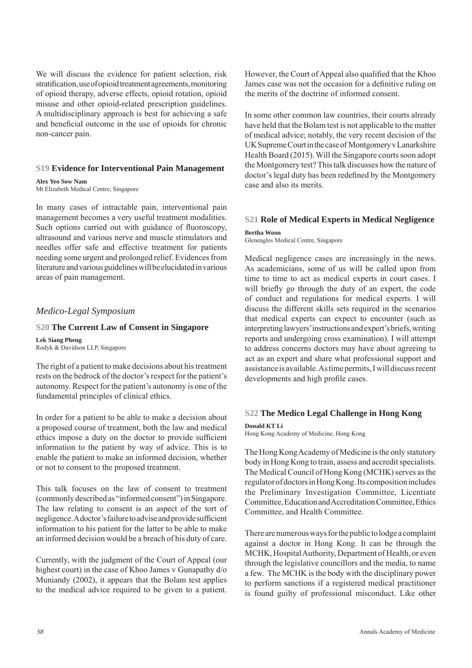We will discuss the evidence for patient selection, risk stratification, use of opioid treatment agreements, monitoring of opioid therapy, adverse effects, opioid rotation, opioid misuse and other opioid-related prescription guidelines. A multidisciplinary approach is best for achieving a safe and beneficial outcome in the use of opioids for chronic non-cancer pain.

#### **S19 Evidence for Interventional Pain Management**

**Alex Yeo Sow Nam** Mt Elizabeth Medical Centre, Singapore

In many cases of intractable pain, interventional pain management becomes a very useful treatment modalities. Such options carried out with guidance of fluoroscopy, ultrasound and various nerve and muscle stimulators and needles offer safe and effective treatment for patients needing some urgent and prolonged relief. Evidences from literature and various guidelines will be elucidated in various areas of pain management.

#### *Medico-Legal Symposium*

#### **S20 The Current Law of Consent in Singapore**

**Lek Siang Pheng** Rodyk & Davidson LLP, Singapore

The right of a patient to make decisions about his treatment rests on the bedrock of the doctor's respect for the patient's autonomy. Respect for the patient's autonomy is one of the fundamental principles of clinical ethics.

In order for a patient to be able to make a decision about a proposed course of treatment, both the law and medical ethics impose a duty on the doctor to provide sufficient information to the patient by way of advice. This is to enable the patient to make an informed decision, whether or not to consent to the proposed treatment.

This talk focuses on the law of consent to treatment (commonly described as "informed consent") in Singapore. The law relating to consent is an aspect of the tort of negligence. A doctor's failure to advise and provide sufficient information to his patient for the latter to be able to make an informed decision would be a breach of his duty of care.

Currently, with the judgment of the Court of Appeal (our highest court) in the case of Khoo James v Gunapathy d/o Muniandy (2002), it appears that the Bolam test applies to the medical advice required to be given to a patient.

However, the Court of Appeal also qualified that the Khoo James case was not the occasion for a definitive ruling on the merits of the doctrine of informed consent.

In some other common law countries, their courts already have held that the Bolam test is not applicable to the matter of medical advice; notably, the very recent decision of the UK Supreme Court in the case of Montgomery v Lanarkshire Health Board (2015). Will the Singapore courts soon adopt the Montgomery test? This talk discusses how the nature of doctor's legal duty has been redefined by the Montgomery case and also its merits.

## **S21 Role of Medical Experts in Medical Negligence**

**Bertha Woon** Gleneagles Medical Centre, Singapore

Medical negligence cases are increasingly in the news. As academicians, some of us will be called upon from time to time to act as medical experts in court cases. I will briefly go through the duty of an expert, the code of conduct and regulations for medical experts. I will discuss the different skills sets required in the scenarios that medical experts can expect to encounter (such as interpreting lawyers' instructions and expert's briefs, writing reports and undergoing cross examination). I will attempt to address concerns doctors may have about agreeing to act as an expert and share what professional support and assistance is available. As time permits, I will discuss recent developments and high profile cases.

#### **S22 The Medico Legal Challenge in Hong Kong**

**Donald KT Li**

Hong Kong Academy of Medicine, Hong Kong

The Hong Kong Academy of Medicine is the only statutory body in Hong Kong to train, assess and accredit specialists. The Medical Council of Hong Kong (MCHK) serves as the regulator of doctors in Hong Kong. Its composition includes the Preliminary Investigation Committee, Licentiate Committee, Education and Accreditation Committee, Ethics Committee, and Health Committee.

There are numerous ways for the public to lodge a complaint against a doctor in Hong Kong. It can be through the MCHK, Hospital Authority, Department of Health, or even through the legislative councillors and the media, to name a few. The MCHK is the body with the disciplinary power to perform sanctions if a registered medical practitioner is found guilty of professional misconduct. Like other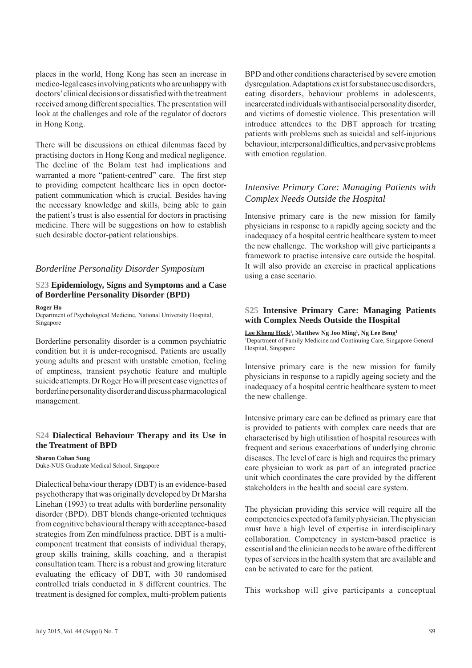places in the world, Hong Kong has seen an increase in medico-legal cases involving patients who are unhappy with doctors' clinical decisions or dissatisfied with the treatment received among different specialties. The presentation will look at the challenges and role of the regulator of doctors in Hong Kong.

There will be discussions on ethical dilemmas faced by practising doctors in Hong Kong and medical negligence. The decline of the Bolam test had implications and warranted a more "patient-centred" care. The first step to providing competent healthcare lies in open doctorpatient communication which is crucial. Besides having the necessary knowledge and skills, being able to gain the patient's trust is also essential for doctors in practising medicine. There will be suggestions on how to establish such desirable doctor-patient relationships.

#### *Borderline Personality Disorder Symposium*

#### **S23 Epidemiology, Signs and Symptoms and a Case of Borderline Personality Disorder (BPD)**

#### **Roger Ho**

Department of Psychological Medicine, National University Hospital, Singapore

Borderline personality disorder is a common psychiatric condition but it is under-recognised. Patients are usually young adults and present with unstable emotion, feeling of emptiness, transient psychotic feature and multiple suicide attempts. Dr Roger Ho will present case vignettes of borderline personality disorder and discuss pharmacological management.

#### **S24 Dialectical Behaviour Therapy and its Use in the Treatment of BPD**

**Sharon Cohan Sung** Duke-NUS Graduate Medical School, Singapore

Dialectical behaviour therapy (DBT) is an evidence-based psychotherapy that was originally developed by Dr Marsha Linehan (1993) to treat adults with borderline personality disorder (BPD). DBT blends change-oriented techniques from cognitive behavioural therapy with acceptance-based strategies from Zen mindfulness practice. DBT is a multicomponent treatment that consists of individual therapy, group skills training, skills coaching, and a therapist consultation team. There is a robust and growing literature evaluating the efficacy of DBT, with 30 randomised controlled trials conducted in 8 different countries. The treatment is designed for complex, multi-problem patients

BPD and other conditions characterised by severe emotion dysregulation. Adaptations exist for substance use disorders, eating disorders, behaviour problems in adolescents, incarcerated individuals with antisocial personality disorder, and victims of domestic violence. This presentation will introduce attendees to the DBT approach for treating patients with problems such as suicidal and self-injurious behaviour, interpersonal difficulties, and pervasive problems with emotion regulation.

#### *Intensive Primary Care: Managing Patients with Complex Needs Outside the Hospital*

Intensive primary care is the new mission for family physicians in response to a rapidly ageing society and the inadequacy of a hospital centric healthcare system to meet the new challenge. The workshop will give participants a framework to practise intensive care outside the hospital. It will also provide an exercise in practical applications using a case scenario.

#### **S25 Intensive Primary Care: Managing Patients with Complex Needs Outside the Hospital**

Lee Kheng Hock<sup>1</sup>, Matthew Ng Joo Ming<sup>1</sup>, Ng Lee Beng<sup>1</sup> 1 Department of Family Medicine and Continuing Care, Singapore General Hospital, Singapore

Intensive primary care is the new mission for family physicians in response to a rapidly ageing society and the inadequacy of a hospital centric healthcare system to meet the new challenge.

Intensive primary care can be defined as primary care that is provided to patients with complex care needs that are characterised by high utilisation of hospital resources with frequent and serious exacerbations of underlying chronic diseases. The level of care is high and requires the primary care physician to work as part of an integrated practice unit which coordinates the care provided by the different stakeholders in the health and social care system.

The physician providing this service will require all the competencies expected of a family physician. The physician must have a high level of expertise in interdisciplinary collaboration. Competency in system-based practice is essential and the clinician needs to be aware of the different types of services in the health system that are available and can be activated to care for the patient.

This workshop will give participants a conceptual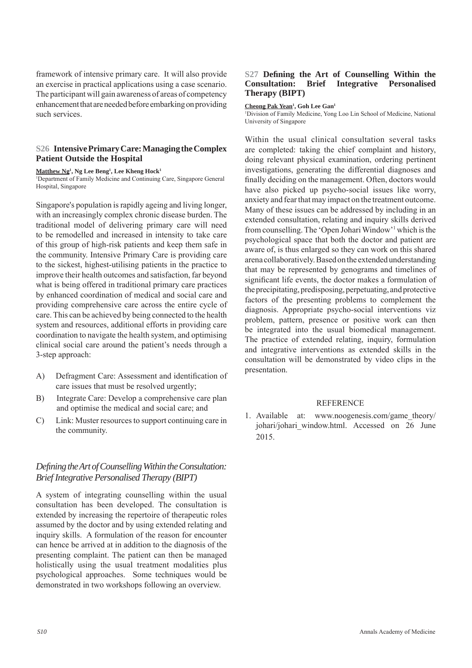framework of intensive primary care. It will also provide an exercise in practical applications using a case scenario. The participant will gain awareness of areas of competency enhancement that are needed before embarking on providing such services.

#### **S26 Intensive Primary Care: Managing the Complex Patient Outside the Hospital**

**Matthew Ng1 , Ng Lee Beng1 , Lee Kheng Hock1** 1 Department of Family Medicine and Continuing Care, Singapore General Hospital, Singapore

Singapore's population is rapidly ageing and living longer, with an increasingly complex chronic disease burden. The traditional model of delivering primary care will need to be remodelled and increased in intensity to take care of this group of high-risk patients and keep them safe in the community. Intensive Primary Care is providing care to the sickest, highest-utilising patients in the practice to improve their health outcomes and satisfaction, far beyond what is being offered in traditional primary care practices by enhanced coordination of medical and social care and providing comprehensive care across the entire cycle of care. This can be achieved by being connected to the health system and resources, additional efforts in providing care coordination to navigate the health system, and optimising clinical social care around the patient's needs through a 3-step approach:

- A) Defragment Care: Assessment and identification of care issues that must be resolved urgently;
- B) Integrate Care: Develop a comprehensive care plan and optimise the medical and social care; and
- C) Link: Muster resources to support continuing care in the community.

#### *Defi ning the Art of Counselling Within the Consultation: Brief Integrative Personalised Therapy (BIPT)*

A system of integrating counselling within the usual consultation has been developed. The consultation is extended by increasing the repertoire of therapeutic roles assumed by the doctor and by using extended relating and inquiry skills. A formulation of the reason for encounter can hence be arrived at in addition to the diagnosis of the presenting complaint. The patient can then be managed holistically using the usual treatment modalities plus psychological approaches. Some techniques would be demonstrated in two workshops following an overview.

#### S27 Defining the Art of Counselling Within the **Consultation: Brief Integrative Personalised Therapy (BIPT)**

#### Cheong Pak Yean<sup>1</sup>, Goh Lee Gan<sup>1</sup>

1 Division of Family Medicine, Yong Loo Lin School of Medicine, National University of Singapore

Within the usual clinical consultation several tasks are completed: taking the chief complaint and history, doing relevant physical examination, ordering pertinent investigations, generating the differential diagnoses and finally deciding on the management. Often, doctors would have also picked up psycho-social issues like worry, anxiety and fear that may impact on the treatment outcome. Many of these issues can be addressed by including in an extended consultation, relating and inquiry skills derived from counselling. The 'Open Johari Window'<sup>1</sup> which is the psychological space that both the doctor and patient are aware of, is thus enlarged so they can work on this shared arena collaboratively. Based on the extended understanding that may be represented by genograms and timelines of significant life events, the doctor makes a formulation of the precipitating, predisposing, perpetuating, and protective factors of the presenting problems to complement the diagnosis. Appropriate psycho-social interventions viz problem, pattern, presence or positive work can then be integrated into the usual biomedical management. The practice of extended relating, inquiry, formulation and integrative interventions as extended skills in the consultation will be demonstrated by video clips in the presentation.

#### **REFERENCE**

1. Available at: www.noogenesis.com/game\_theory/ johari/johari\_window.html. Accessed on 26 June 2015.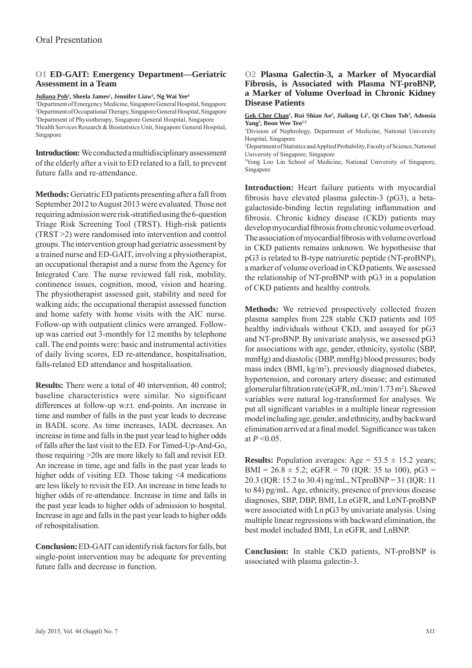#### **O1 ED-GAIT: Emergency Department—Geriatric Assessment in a Team**

 $\frac{\text{Juliana Poh}^1}{\text{Sheela James}^2}$ , Jennifer Liaw<sup>3</sup>, Ng Wai Yee $^4$ 

 Department of Emergency Medicine, Singapore General Hospital, Singapore Department of Occupational Therapy, Singapore General Hospital, Singapore Department of Physiotherapy, Singapore General Hospital, Singapore Health Services Research & Biostatistics Unit, Singapore General Hospital, Singapore

**Introduction:** We conducted a multidisciplinary assessment of the elderly after a visit to ED related to a fall, to prevent future falls and re-attendance.

**Methods:** Geriatric ED patients presenting after a fall from September 2012 to August 2013 were evaluated. Those not requiring admission were risk-stratified using the 6-question Triage Risk Screening Tool (TRST). High-risk patients (TRST >2) were randomised into intervention and control groups. The intervention group had geriatric assessment by a trained nurse and ED-GAIT, involving a physiotherapist, an occupational therapist and a nurse from the Agency for Integrated Care. The nurse reviewed fall risk, mobility, continence issues, cognition, mood, vision and hearing. The physiotherapist assessed gait, stability and need for walking aids; the occupational therapist assessed function and home safety with home visits with the AIC nurse. Follow-up with outpatient clinics were arranged. Followup was carried out 3-monthly for 12 months by telephone call. The end points were: basic and instrumental activities of daily living scores, ED re-attendance, hospitalisation, falls-related ED attendance and hospitalisation.

**Results:** There were a total of 40 intervention, 40 control; baseline characteristics were similar. No significant differences at follow-up w.r.t. end-points. An increase in time and number of falls in the past year leads to decrease in BADL score. As time increases, IADL decreases. An increase in time and falls in the past year lead to higher odds of falls after the last visit to the ED. For Timed-Up-And-Go, those requiring >20s are more likely to fall and revisit ED. An increase in time, age and falls in the past year leads to higher odds of visiting ED. Those taking <4 medications are less likely to revisit the ED. An increase in time leads to higher odds of re-attendance. Increase in time and falls in the past year leads to higher odds of admission to hospital. Increase in age and falls in the past year leads to higher odds of rehospitalisation.

**Conclusion:** ED-GAIT can identify risk factors for falls, but single-point intervention may be adequate for preventing future falls and decrease in function.

#### **O2 Plasma Galectin-3, a Marker of Myocardial Fibrosis, is Associated with Plasma NT-proBNP, a Marker of Volume Overload in Chronic Kidney Disease Patients**

Gek Cher Chan<sup>1</sup>, Rui Shian Ao<sup>2</sup>, Jialiang Li<sup>2</sup>, Qi Chun Toh<sup>3</sup>, Adonsia Yang<sup>3</sup>, Boon Wee Teo<sup>1,3</sup>

1 Division of Nephrology, Department of Medicine, National University Hospital, Singapore

2 Department of Statistics and Applied Probability, Faculty of Science, National University of Singapore, Singapore

3 Yong Loo Lin School of Medicine, National University of Singapore, Singapore

**Introduction:** Heart failure patients with myocardial fibrosis have elevated plasma galectin-3 ( $pG3$ ), a betagalactoside-binding lectin regulating inflammation and fibrosis. Chronic kidney disease (CKD) patients may develop myocardial fibrosis from chronic volume overload. The association of myocardial fibrosis with volume overload in CKD patients remains unknown. We hypothesise that pG3 is related to B-type natriuretic peptide (NT-proBNP), a marker of volume overload in CKD patients. We assessed the relationship of NT-proBNP with pG3 in a population of CKD patients and healthy controls.

**Methods:** We retrieved prospectively collected frozen plasma samples from 228 stable CKD patients and 105 healthy individuals without CKD, and assayed for pG3 and NT-proBNP. By univariate analysis, we assessed pG3 for associations with age, gender, ethnicity, systolic (SBP, mmHg) and diastolic (DBP, mmHg) blood pressures; body mass index (BMI, kg/m<sup>2</sup>), previously diagnosed diabetes, hypertension, and coronary artery disease; and estimated glomerular filtration rate (eGFR, mL/min/1.73 m<sup>2</sup>). Skewed variables were natural log-transformed for analyses. We put all significant variables in a multiple linear regression model including age, gender, and ethnicity, and by backward elimination arrived at a final model. Significance was taken at  $P \le 0.05$ .

**Results:** Population averages:  $Age = 53.5 \pm 15.2$  years; BMI =  $26.8 \pm 5.2$ ; eGFR = 70 (IQR: 35 to 100), pG3 = 20.3 (IQR: 15.2 to 30.4) ng/mL, NTproBNP = 31 (IQR: 11 to 84) pg/mL. Age, ethnicity, presence of previous disease diagnoses, SBP, DBP, BMI, Ln eGFR, and LnNT-proBNP were associated with Ln pG3 by univariate analysis. Using multiple linear regressions with backward elimination, the best model included BMI, Ln eGFR, and LnBNP.

**Conclusion:** In stable CKD patients, NT-proBNP is associated with plasma galectin-3.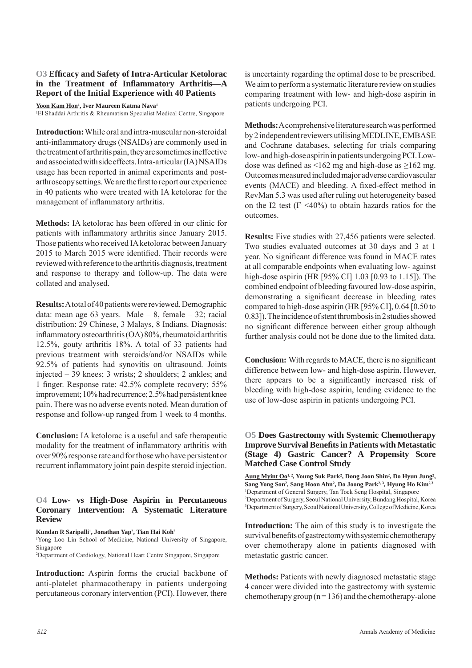#### **O3 Effi cacy and Safety of Intra-Articular Ketolorac**  in the Treatment of Inflammatory Arthritis-A **Report of the Initial Experience with 40 Patients**

**Yoon Kam Hon1 , Iver Maureen Katma Nava1** 

1 El Shaddai Arthritis & Rheumatism Specialist Medical Centre, Singapore

**Introduction:** While oral and intra-muscular non-steroidal anti-inflammatory drugs (NSAIDs) are commonly used in the treatment of arthritis pain, they are sometimes ineffective and associated with side effects. Intra-articular (IA) NSAIDs usage has been reported in animal experiments and postarthroscopy settings. We are the first to report our experience in 40 patients who were treated with IA ketolorac for the management of inflammatory arthritis.

**Methods:** IA ketolorac has been offered in our clinic for patients with inflammatory arthritis since January 2015. Those patients who received IA ketolorac between January 2015 to March 2015 were identified. Their records were reviewed with reference to the arthritis diagnosis, treatment and response to therapy and follow-up. The data were collated and analysed.

**Results:** A total of 40 patients were reviewed. Demographic data: mean age 63 years. Male  $-8$ , female  $-32$ ; racial distribution: 29 Chinese, 3 Malays, 8 Indians. Diagnosis: inflammatory osteoarthritis  $(OA)$  80%, rheumatoid arthritis 12.5%, gouty arthritis 18%. A total of 33 patients had previous treatment with steroids/and/or NSAIDs while 92.5% of patients had synovitis on ultrasound. Joints injected – 39 knees; 3 wrists; 2 shoulders; 2 ankles; and 1 finger. Response rate: 42.5% complete recovery; 55% improvement; 10% had recurrence; 2.5% had persistent knee pain. There was no adverse events noted. Mean duration of response and follow-up ranged from 1 week to 4 months.

**Conclusion:** IA ketolorac is a useful and safe therapeutic modality for the treatment of inflammatory arthritis with over 90% response rate and for those who have persistent or recurrent inflammatory joint pain despite steroid injection.

#### **O4 Low- vs High-Dose Aspirin in Percutaneous Coronary Intervention: A Systematic Literature Review**

**Kundan R Saripalli1 , Jonathan Yap2 , Tian Hai Koh2**

1 Yong Loo Lin School of Medicine, National University of Singapore, Singapore

2 Department of Cardiology, National Heart Centre Singapore, Singapore

**Introduction:** Aspirin forms the crucial backbone of anti-platelet pharmacotherapy in patients undergoing percutaneous coronary intervention (PCI). However, there is uncertainty regarding the optimal dose to be prescribed. We aim to perform a systematic literature review on studies comparing treatment with low- and high-dose aspirin in patients undergoing PCI.

**Methods:** A comprehensive literature search was performed by 2 independent reviewers utilising MEDLINE, EMBASE and Cochrane databases, selecting for trials comparing low- and high-dose aspirin in patients undergoing PCI. Lowdose was defined as <162 mg and high-dose as  $\geq$ 162 mg. Outcomes measured included major adverse cardiovascular events (MACE) and bleeding. A fixed-effect method in RevMan 5.3 was used after ruling out heterogeneity based on the I2 test  $(I^2 \le 40\%)$  to obtain hazards ratios for the outcomes.

**Results:** Five studies with 27,456 patients were selected. Two studies evaluated outcomes at 30 days and 3 at 1 year. No significant difference was found in MACE rates at all comparable endpoints when evaluating low- against high-dose aspirin (HR [95% CI] 1.03 [0.93 to 1.15]). The combined endpoint of bleeding favoured low-dose aspirin, demonstrating a significant decrease in bleeding rates compared to high-dose aspirin (HR [95% CI], 0.64 [0.50 to 0.83]). The incidence of stent thrombosis in 2 studies showed no significant difference between either group although further analysis could not be done due to the limited data.

**Conclusion:** With regards to MACE, there is no significant difference between low- and high-dose aspirin. However, there appears to be a significantly increased risk of bleeding with high-dose aspirin, lending evidence to the use of low-dose aspirin in patients undergoing PCI.

#### **O5 Does Gastrectomy with Systemic Chemotherapy Improve Survival Benefi ts in Patients with Metastatic (Stage 4) Gastric Cancer? A Propensity Score Matched Case Control Study**

Aung Myint Oo<sup>1, 2</sup>, Young Suk Park<sup>2</sup>, Dong Joon Shin<sup>2</sup>, Do Hyun Jung<sup>2</sup>, Sang Yong Son<sup>2</sup>, Sang Hoon Ahn<sup>2</sup>, Do Joong Park<sup>2, 3</sup>, Hyung Ho Kim<sup>2,3</sup> 1 Department of General Surgery, Tan Tock Seng Hospital, Singapore 2 Department of Surgery, Seoul National University, Bundang Hospital, Korea 3 Department of Surgery, Seoul National University, College of Medicine, Korea

**Introduction:** The aim of this study is to investigate the survival benefits of gastrectomy with systemic chemotherapy over chemotherapy alone in patients diagnosed with metastatic gastric cancer.

**Methods:** Patients with newly diagnosed metastatic stage 4 cancer were divided into the gastrectomy with systemic chemotherapy group ( $n = 136$ ) and the chemotherapy-alone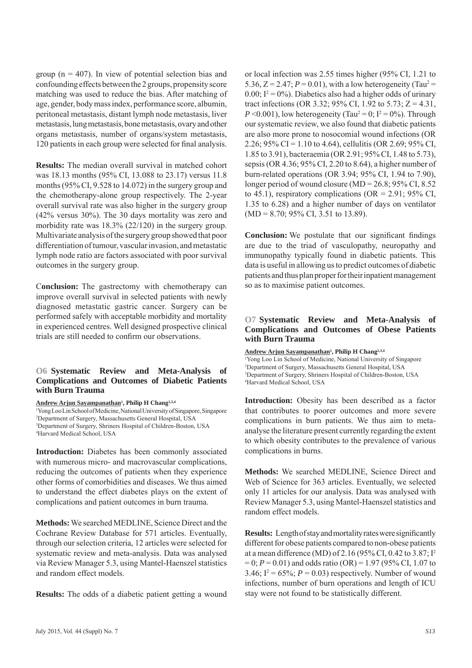group ( $n = 407$ ). In view of potential selection bias and confounding effects between the 2 groups, propensity score matching was used to reduce the bias. After matching of age, gender, body mass index, performance score, albumin, peritoneal metastasis, distant lymph node metastasis, liver metastasis, lung metastasis, bone metastasis, ovary and other organs metastasis, number of organs/system metastasis, 120 patients in each group were selected for final analysis.

**Results:** The median overall survival in matched cohort was 18.13 months (95% CI, 13.088 to 23.17) versus 11.8 months (95% CI, 9.528 to 14.072) in the surgery group and the chemotherapy-alone group respectively. The 2-year overall survival rate was also higher in the surgery group (42% versus 30%). The 30 days mortality was zero and morbidity rate was 18.3% (22/120) in the surgery group. Multivariate analysis of the surgery group showed that poor differentiation of tumour, vascular invasion, and metastatic lymph node ratio are factors associated with poor survival outcomes in the surgery group.

C**onclusion:** The gastrectomy with chemotherapy can improve overall survival in selected patients with newly diagnosed metastatic gastric cancer. Surgery can be performed safely with acceptable morbidity and mortality in experienced centres. Well designed prospective clinical trials are still needed to confirm our observations.

#### **O6 Systematic Review and Meta-Analysis of Complications and Outcomes of Diabetic Patients with Burn Trauma**

**Andrew Arjun Sayampanathan1 , Philip H Chang2,3,4**

 Yong Loo Lin School of Medicine, National University of Singapore, Singapore Department of Surgery, Massachusetts General Hospital, USA Department of Surgery, Shriners Hospital of Children-Boston, USA Harvard Medical School, USA

**Introduction:** Diabetes has been commonly associated with numerous micro- and macrovascular complications, reducing the outcomes of patients when they experience other forms of comorbidities and diseases. We thus aimed to understand the effect diabetes plays on the extent of complications and patient outcomes in burn trauma.

**Methods:** We searched MEDLINE, Science Direct and the Cochrane Review Database for 571 articles. Eventually, through our selection criteria, 12 articles were selected for systematic review and meta-analysis. Data was analysed via Review Manager 5.3, using Mantel-Haenszel statistics and random effect models.

**Results:** The odds of a diabetic patient getting a wound

or local infection was 2.55 times higher (95% CI, 1.21 to 5.36,  $Z = 2.47$ ;  $P = 0.01$ ), with a low heterogeneity (Tau<sup>2</sup> =  $0.00$ ;  $I^2 = 0\%$ ). Diabetics also had a higher odds of urinary tract infections (OR 3.32; 95% CI, 1.92 to 5.73;  $Z = 4.31$ ,  $P \le 0.001$ ), low heterogeneity (Tau<sup>2</sup> = 0; I<sup>2</sup> = 0%). Through our systematic review, we also found that diabetic patients are also more prone to nosocomial wound infections (OR 2.26;  $95\%$  CI = 1.10 to 4.64), cellulitis (OR 2.69;  $95\%$  CI, 1.85 to 3.91), bacteraemia (OR 2.91; 95% CI, 1.48 to 5.73), sepsis (OR 4.36; 95% CI, 2.20 to 8.64), a higher number of burn-related operations (OR 3.94; 95% CI, 1.94 to 7.90), longer period of wound closure (MD = 26.8; 95% CI, 8.52 to 45.1), respiratory complications ( $OR = 2.91$ ; 95% CI, 1.35 to 6.28) and a higher number of days on ventilator  $(MD = 8.70; 95\% \text{ CI}, 3.51 \text{ to } 13.89).$ 

**Conclusion:** We postulate that our significant findings are due to the triad of vasculopathy, neuropathy and immunopathy typically found in diabetic patients. This data is useful in allowing us to predict outcomes of diabetic patients and thus plan proper for their inpatient management so as to maximise patient outcomes.

#### **O7 Systematic Review and Meta-Analysis of Complications and Outcomes of Obese Patients with Burn Trauma**

**Andrew Arjun Sayampanathan1 , Philip H Chang2,3,4**

 Yong Loo Lin School of Medicine, National University of Singapore Department of Surgery, Massachusetts General Hospital, USA Department of Surgery, Shriners Hospital of Children-Boston, USA Harvard Medical School, USA

**Introduction:** Obesity has been described as a factor that contributes to poorer outcomes and more severe complications in burn patients. We thus aim to metaanalyse the literature present currently regarding the extent to which obesity contributes to the prevalence of various complications in burns.

**Methods:** We searched MEDLINE, Science Direct and Web of Science for 363 articles. Eventually, we selected only 11 articles for our analysis. Data was analysed with Review Manager 5.3, using Mantel-Haenszel statistics and random effect models.

**Results:** Length of stay and mortality rates were significantly different for obese patients compared to non-obese patients at a mean difference (MD) of 2.16 (95% CI, 0.42 to 3.87; I2 = 0; *P* = 0.01) and odds ratio (OR) = 1.97 (95% CI, 1.07 to 3.46;  $I^2 = 65\%$ ;  $P = 0.03$ ) respectively. Number of wound infections, number of burn operations and length of ICU stay were not found to be statistically different.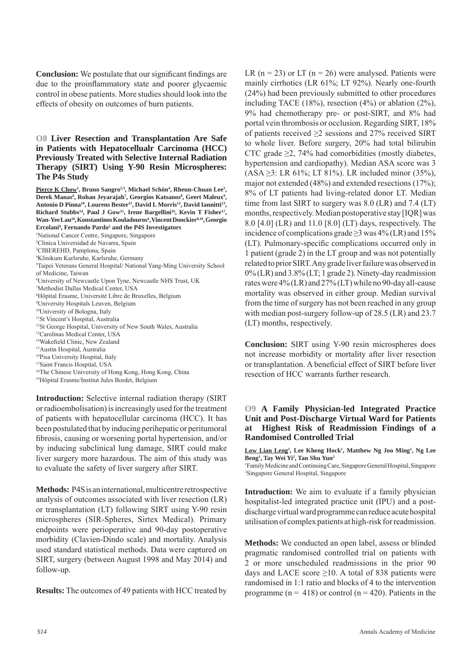**Conclusion:** We postulate that our significant findings are due to the proinflammatory state and poorer glycaemic control in obese patients. More studies should look into the effects of obesity on outcomes of burn patients.

#### **O8 Liver Resection and Transplantation Are Safe in Patients with Hepatocellualr Carcinoma (HCC) Previously Treated with Selective Internal Radiation Therapy (SIRT) Using Y-90 Resin Microspheres: The P4s Study**

Pierce K Chow<sup>1</sup>, Bruno Sangro<sup>2,3</sup>, Michael Schön<sup>4</sup>, Rheun-Chuan Lee<sup>5</sup>, Derek Manas<sup>6</sup>, Rohan Jeyarajah<sup>7</sup>, Georgios Katsanos<sup>8</sup>, Geert Maleux<sup>9</sup>, Antonio D Pinna<sup>10</sup>, Lourens Bester<sup>11</sup>, David L Morris<sup>12</sup>, David Iannitti<sup>13</sup>, Richard Stubbs<sup>14</sup>, Paul J Gow<sup>15</sup>, Irene Bargellini<sup>16</sup>, Kevin T Fisher<sup>17</sup>, Wan-Yee Lau<sup>18</sup>, Konstantinos Kouladouros<sup>4</sup>, Vincent Donckier<sup>8,19</sup>, Georgio **Ercolani9 , Fernando Pardo2 and the P4S Investigators**

1 National Cancer Centre, Singapore, Singapore 2 Clinica Universidad de Navarra, Spain 3 CIBEREHD, Pamplona, Spain 4 Klinikum Karlsruhe, Karlsruhe, Germany 5 Taipei Veterans General Hospital/ National Yang-Ming University School of Medicine, Taiwan 6 University of Newcastle Upon Tyne, Newcastle NHS Trust, UK 7 Methodist Dallas Medical Center, USA 8 Hôpital Erasme, Université Libre de Bruxelles, Belgium 9 University Hospitals Leuven, Belgium 10University of Bologna, Italy <sup>11</sup>St Vincent's Hospital, Australia 12St George Hospital, University of New South Wales, Australia 13Carolinas Medical Center, USA <sup>14</sup>Wakefield Clinic, New Zealand 15Austin Hospital, Australia 16Pisa University Hospital, Italy

17Saint Francis Hospital, USA

<sup>18</sup>The Chinese University of Hong Kong, Hong Kong, China 19Hôpital Erasme/Institut Jules Bordet, Belgium

**Introduction:** Selective internal radiation therapy (SIRT or radioembolisation) is increasingly used for the treatment of patients with hepatocellular carcinoma (HCC). It has been postulated that by inducing perihepatic or peritumoral fibrosis, causing or worsening portal hypertension, and/or by inducing subclinical lung damage, SIRT could make liver surgery more hazardous. The aim of this study was to evaluate the safety of liver surgery after SIRT.

**Methods:** P4S is an international, multicentre retrospective analysis of outcomes associated with liver resection (LR) or transplantation (LT) following SIRT using Y-90 resin microspheres (SIR-Spheres, Sirtex Medical). Primary endpoints were perioperative and 90-day postoperative morbidity (Clavien-Dindo scale) and mortality. Analysis used standard statistical methods. Data were captured on SIRT, surgery (between August 1998 and May 2014) and follow-up.

**Results:** The outcomes of 49 patients with HCC treated by

LR ( $n = 23$ ) or LT ( $n = 26$ ) were analysed. Patients were mainly cirrhotics (LR 61%; LT 92%). Nearly one-fourth (24%) had been previously submitted to other procedures including TACE (18%), resection (4%) or ablation (2%), 9% had chemotherapy pre- or post-SIRT, and 8% had portal vein thrombosis or occlusion. Regarding SIRT, 18% of patients received  $\geq$ 2 sessions and 27% received SIRT to whole liver. Before surgery, 20% had total bilirubin CTC grade  $\geq$ 2, 74% had comorbidities (mostly diabetes, hypertension and cardiopathy). Median ASA score was 3  $(ASA \geq 3$ : LR 61%; LT 81%). LR included minor (35%), major not extended (48%) and extended resections (17%); 8% of LT patients had living-related donor LT. Median time from last SIRT to surgery was 8.0 (LR) and 7.4 (LT) months, respectively. Median postoperative stay [IQR] was 8.0 [4.0] (LR) and 11.0 [8.0] (LT) days, respectively. The incidence of complications grade  $\geq$ 3 was 4% (LR) and 15% (LT). Pulmonary-specific complications occurred only in 1 patient (grade 2) in the LT group and was not potentially related to prior SIRT. Any grade liver failure was observed in 0% (LR) and 3.8% (LT; 1 grade 2). Ninety-day readmission rates were 4% (LR) and 27% (LT) while no 90-day all-cause mortality was observed in either group. Median survival from the time of surgery has not been reached in any group with median post-surgery follow-up of 28.5 (LR) and 23.7 (LT) months, respectively.

**Conclusion:** SIRT using Y-90 resin microspheres does not increase morbidity or mortality after liver resection or transplantation. A beneficial effect of SIRT before liver resection of HCC warrants further research.

#### **O9 A Family Physician-led Integrated Practice Unit and Post-Discharge Virtual Ward for Patients at Highest Risk of Readmission Findings of a Randomised Controlled Trial**

Low Lian Leng<sup>1</sup>, Lee Kheng Hock<sup>1</sup>, Matthew Ng Joo Ming<sup>1</sup>, Ng Lee **Beng1 , Tay Wei Yi2 , Tan Shu Yun2**  1 Family Medicine and Continuing Care, Singapore General Hospital, Singapore 2 Singapore General Hospital, Singapore

**Introduction:** We aim to evaluate if a family physician hospitalist-led integrated practice unit (IPU) and a postdischarge virtual ward programme can reduce acute hospital utilisation of complex patients at high-risk for readmission.

**Methods:** We conducted an open label, assess or blinded pragmatic randomised controlled trial on patients with 2 or more unscheduled readmissions in the prior 90 days and LACE score  $\geq$ 10. A total of 838 patients were randomised in 1:1 ratio and blocks of 4 to the intervention programme ( $n = 418$ ) or control ( $n = 420$ ). Patients in the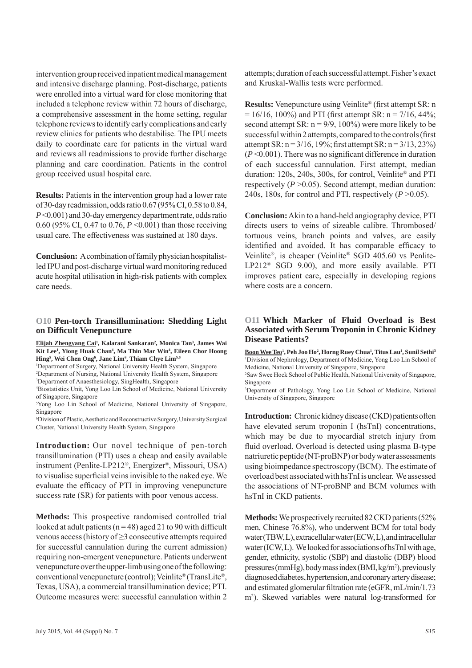intervention group received inpatient medical management and intensive discharge planning. Post-discharge, patients were enrolled into a virtual ward for close monitoring that included a telephone review within 72 hours of discharge, a comprehensive assessment in the home setting, regular telephone reviews to identify early complications and early review clinics for patients who destabilise. The IPU meets daily to coordinate care for patients in the virtual ward and reviews all readmissions to provide further discharge planning and care coordination. Patients in the control group received usual hospital care.

**Results:** Patients in the intervention group had a lower rate of 30-day readmission, odds ratio 0.67 (95% CI, 0.58 to 0.84, *P* <0.001) and 30-day emergency department rate, odds ratio 0.60 (95% CI, 0.47 to 0.76, *P* <0.001) than those receiving usual care. The effectiveness was sustained at 180 days.

**Conclusion:** A combination of family physician hospitalistled IPU and post-discharge virtual ward monitoring reduced acute hospital utilisation in high-risk patients with complex care needs.

#### **O10 Pen-torch Transillumination: Shedding Light on Diffi cult Venepuncture**

**Elijah Zhengyang Cai1 , Kalarani Sankaran2 , Monica Tan3 , James Wai Kit Lee1 , Yiong Huak Chan4 , Ma Thin Mar Win4 , Eileen Chor Hoong Hing5 , Wei Chen Ong6 , Jane Lim6 , Thiam Chye Lim5,6**

<sup>1</sup>Department of Surgery, National University Health System, Singapore 2 Department of Nursing, National University Health System, Singapore

3 Department of Anaesthesiology, SingHealth, Singapore

4 Biostatistics Unit, Yong Loo Lin School of Medicine, National University of Singapore, Singapore

5 Yong Loo Lin School of Medicine, National University of Singapore, Singapore

6 Division of Plastic, Aesthetic and Reconstructive Surgery, University Surgical Cluster, National University Health System, Singapore

**Introduction:** Our novel technique of pen-torch transillumination (PTI) uses a cheap and easily available instrument (Penlite-LP212®, Energizer®, Missouri, USA) to visualise superficial veins invisible to the naked eye. We evaluate the efficacy of PTI in improving venepuncture success rate (SR) for patients with poor venous access.

**Methods:** This prospective randomised controlled trial looked at adult patients ( $n = 48$ ) aged 21 to 90 with difficult venous access (history of ≥3 consecutive attempts required for successful cannulation during the current admission) requiring non-emergent venepuncture. Patients underwent venepuncture over the upper-limb using one of the following: conventional venepuncture (control); Veinlite® (TransLite®, Texas, USA), a commercial transillumination device; PTI. Outcome measures were: successful cannulation within 2

July 2015, Vol. 44 (Suppl) No. 7 *S15*

attempts; duration of each successful attempt. Fisher's exact and Kruskal-Wallis tests were performed.

**Results:** Venepuncture using Veinlite<sup>®</sup> (first attempt SR: n)  $= 16/16$ , 100%) and PTI (first attempt SR: n = 7/16, 44%; second attempt SR:  $n = 9/9$ , 100%) were more likely to be successful within 2 attempts, compared to the controls (first attempt SR:  $n = 3/16$ , 19%; first attempt SR:  $n = 3/13$ , 23%)  $(P<0.001)$ . There was no significant difference in duration of each successful cannulation. First attempt, median duration: 120s, 240s, 300s, for control, Veinlite® and PTI respectively (*P* >0.05). Second attempt, median duration: 240s, 180s, for control and PTI, respectively  $(P > 0.05)$ .

**Conclusion:** Akin to a hand-held angiography device, PTI directs users to veins of sizeable calibre. Thrombosed/ tortuous veins, branch points and valves, are easily identified and avoided. It has comparable efficacy to Veinlite®, is cheaper (Veinlite® SGD 405.60 vs Penlite-LP212® SGD 9.00), and more easily available. PTI improves patient care, especially in developing regions where costs are a concern.

#### **O11 Which Marker of Fluid Overload is Best Associated with Serum Troponin in Chronic Kidney Disease Patients?**

**Boon Wee Teo1 , Peh Joo Ho2 , Horng Ruey Chua1 , Titus Lau1 , Sunil Sethi3** 1 Division of Nephrology, Department of Medicine, Yong Loo Lin School of Medicine, National University of Singapore, Singapore

2 Saw Swee Hock School of Public Health, National University of Singapore, Singapore

3 Department of Pathology, Yong Loo Lin School of Medicine, National University of Singapore, Singapore

**Introduction:** Chronic kidney disease (CKD) patients often have elevated serum troponin I (hsTnI) concentrations, which may be due to myocardial stretch injury from fluid overload. Overload is detected using plasma B-type natriuretic peptide (NT-proBNP) or body water assessments using bioimpedance spectroscopy (BCM). The estimate of overload best associated with hsTnI is unclear. We assessed the associations of NT-proBNP and BCM volumes with hsTnI in CKD patients.

**Methods:** We prospectively recruited 82 CKD patients (52% men, Chinese 76.8%), who underwent BCM for total body water (TBW, L), extracellular water (ECW, L), and intracellular water (ICW, L). We looked for associations of hsTnI with age, gender, ethnicity, systolic (SBP) and diastolic (DBP) blood pressures (mmHg), body mass index (BMI, kg/m2 ), previously diagnosed diabetes, hypertension, and coronary artery disease; and estimated glomerular filtration rate (eGFR, mL/min/1.73) m2 ). Skewed variables were natural log-transformed for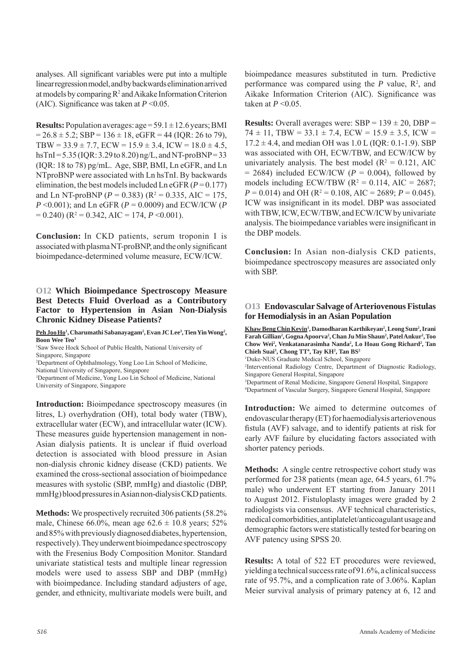analyses. All significant variables were put into a multiple linear regression model, and by backwards elimination arrived at models by comparing  $R^2$  and Aikake Information Criterion (AIC). Significance was taken at  $P \le 0.05$ .

**Results:** Population averages: age = 59.1 ± 12.6 years; BMI  $= 26.8 \pm 5.2$ ; SBP = 136  $\pm$  18, eGFR = 44 (IQR: 26 to 79), TBW =  $33.9 \pm 7.7$ , ECW =  $15.9 \pm 3.4$ , ICW =  $18.0 \pm 4.5$ ,  $h$ sTnI = 5.35 (IQR: 3.29 to 8.20) ng/L, and NT-proBNP = 33 (IQR: 18 to 78) pg/mL. Age, SBP, BMI, Ln eGFR, and Ln NTproBNP were associated with Ln hsTnI. By backwards elimination, the best models included Ln eGFR  $(P = 0.177)$ and Ln NT-proBNP ( $P = 0.383$ ) ( $R^2 = 0.335$ , AIC = 175, *P* <0.001); and Ln eGFR (*P* = 0.0009) and ECW/ICW (*P*  $= 0.240$ ) ( $R^2 = 0.342$ , AIC  $= 174$ ,  $P < 0.001$ ).

**Conclusion:** In CKD patients, serum troponin I is associated with plasma NT-proBNP, and the only significant bioimpedance-determined volume measure, ECW/ICW.

#### **O12 Which Bioimpedance Spectroscopy Measure Best Detects Fluid Overload as a Contributory Factor to Hypertension in Asian Non-Dialysis Chronic Kidney Disease Patients?**

Peh Joo Ho<sup>1</sup>, Charumathi Sabanayagam<sup>2</sup>, Evan JC Lee<sup>3</sup>, Tien Yin Wong<sup>2</sup>, **Boon Wee Teo3**

1 Saw Swee Hock School of Public Health, National University of Singapore, Singapore

2 Department of Ophthalmology, Yong Loo Lin School of Medicine,

National University of Singapore, Singapore

3 Department of Medicine, Yong Loo Lin School of Medicine, National University of Singapore, Singapore

**Introduction:** Bioimpedance spectroscopy measures (in litres, L) overhydration (OH), total body water (TBW), extracellular water (ECW), and intracellular water (ICW). These measures guide hypertension management in non-Asian dialysis patients. It is unclear if fluid overload detection is associated with blood pressure in Asian non-dialysis chronic kidney disease (CKD) patients. We examined the cross-sectional association of bioimpedance measures with systolic (SBP, mmHg) and diastolic (DBP, mmHg) blood pressures in Asian non-dialysis CKD patients.

**Methods:** We prospectively recruited 306 patients (58.2% male, Chinese 66.0%, mean age  $62.6 \pm 10.8$  years; 52% and 85% with previously diagnosed diabetes, hypertension, respectively). They underwent bioimpedance spectroscopy with the Fresenius Body Composition Monitor. Standard univariate statistical tests and multiple linear regression models were used to assess SBP and DBP (mmHg) with bioimpedance. Including standard adjusters of age, gender, and ethnicity, multivariate models were built, and

bioimpedance measures substituted in turn. Predictive performance was compared using the  $P$  value,  $R^2$ , and Aikake Information Criterion (AIC). Significance was taken at  $P \leq 0.05$ .

**Results:** Overall averages were:  $SBP = 139 \pm 20$ ,  $DBP =$  $74 \pm 11$ , TBW = 33.1  $\pm$  7.4, ECW = 15.9  $\pm$  3.5, ICW =  $17.2 \pm 4.4$ , and median OH was  $1.0 L$  (IOR: 0.1-1.9). SBP was associated with OH, ECW/TBW, and ECW/ICW by univariately analysis. The best model  $(R^2 = 0.121, AIC)$  $= 2684$ ) included ECW/ICW ( $P = 0.004$ ), followed by models including ECW/TBW ( $R^2 = 0.114$ , AIC = 2687;  $P = 0.014$ ) and OH ( $R^2 = 0.108$ , AIC = 2689;  $P = 0.045$ ). ICW was insignificant in its model. DBP was associated with TBW, ICW, ECW/TBW, and ECW/ICW by univariate analysis. The bioimpedance variables were insignificant in the DBP models.

**Conclusion:** In Asian non-dialysis CKD patients, bioimpedance spectroscopy measures are associated only with SBP.

#### **O13 Endovascular Salvage of Arteriovenous Fistulas for Hemodialysis in an Asian Population**

**Khaw Beng Chin Kevin<sup>1</sup></u>, Damodharan Karthikeyan<sup>2</sup>, Leong Sum<sup>2</sup>, Irani** Farah Gillian<sup>2</sup>, Gogna Apoorva<sup>2</sup>, Chan Ju Min Shaun<sup>2</sup>, Patel Ankur<sup>2</sup>, Too **Chow Wei2 , Venkatanarasimha Nanda2 , Lo Hoau Gong Richard2 , Tan Chieh Suai3 , Chong TT4 , Tay KH2 , Tan BS2** 1 Duke-NUS Graduate Medical School, Singapore 2 Interventional Radiology Centre, Department of Diagnostic Radiology, Singapore General Hospital, Singapore 3 Department of Renal Medicine, Singapore General Hospital, Singapore 4 Department of Vascular Surgery, Singapore General Hospital, Singapore

**Introduction:** We aimed to determine outcomes of endovascular therapy (ET) for haemodialysis arteriovenous fistula (AVF) salvage, and to identify patients at risk for early AVF failure by elucidating factors associated with shorter patency periods.

**Methods:** A single centre retrospective cohort study was performed for 238 patients (mean age, 64.5 years, 61.7% male) who underwent ET starting from January 2011 to August 2012. Fistuloplasty images were graded by 2 radiologists via consensus. AVF technical characteristics, medical comorbidities, antiplatelet/anticoagulant usage and demographic factors were statistically tested for bearing on AVF patency using SPSS 20.

**Results:** A total of 522 ET procedures were reviewed, yielding a technical success rate of 91.6%, a clinical success rate of 95.7%, and a complication rate of 3.06%. Kaplan Meier survival analysis of primary patency at 6, 12 and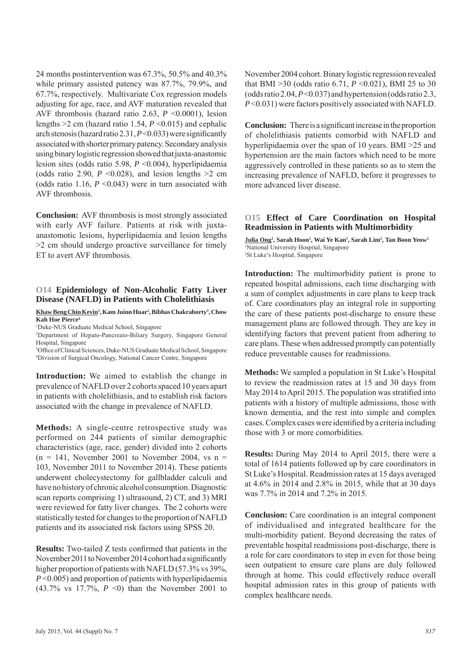24 months postintervention was 67.3%, 50.5% and 40.3% while primary assisted patency was 87.7%, 79.9%, and 67.7%, respectively. Multivariate Cox regression models adjusting for age, race, and AVF maturation revealed that AVF thrombosis (hazard ratio 2.63, *P* <0.0001), lesion lengths >2 cm (hazard ratio 1.54, *P* <0.015) and cephalic arch stenosis (hazard ratio 2.31,  $P \le 0.033$ ) were significantly associated with shorter primary patency. Secondary analysis using binary logistic regression showed that juxta-anastomic lesion sites (odds ratio 5.98, *P* <0.004), hyperlipidaemia (odds ratio 2.90,  $P \le 0.028$ ), and lesion lengths  $>2$  cm (odds ratio 1.16,  $P \le 0.043$ ) were in turn associated with AVF thrombosis.

**Conclusion:** AVF thrombosis is most strongly associated with early AVF failure. Patients at risk with juxtaanastomotic lesions, hyperlipidaemia and lesion lengths >2 cm should undergo proactive surveillance for timely ET to avert AVF thrombosis.

#### **O14 Epidemiology of Non-Alcoholic Fatty Liver Disease (NAFLD) in Patients with Cholelithiasis**

#### **Khaw Beng Chin Kevin1 , Kam Juinn Huar2 , Bibhas Chakraborty3 , Chow Kah Hoe Pierce4**

1 Duke-NUS Graduate Medical School, Singapore

2 Department of Hepato-Pancreato-Biliary Surgery, Singapore General Hospital, Singapore

<sup>3</sup>Office of Clinical Sciences, Duke-NUS Graduate Medical School, Singapore 4 Division of Surgical Oncology, National Cancer Centre, Singapore

**Introduction:** We aimed to establish the change in prevalence of NAFLD over 2 cohorts spaced 10 years apart in patients with cholelithiasis, and to establish risk factors associated with the change in prevalence of NAFLD.

**Methods:** A single-centre retrospective study was performed on 244 patients of similar demographic characteristics (age, race, gender) divided into 2 cohorts  $(n = 141,$  November 2001 to November 2004, vs  $n =$ 103, November 2011 to November 2014). These patients underwent cholecystectomy for gallbladder calculi and have no history of chronic alcohol consumption. Diagnostic scan reports comprising 1) ultrasound, 2) CT, and 3) MRI were reviewed for fatty liver changes. The 2 cohorts were statistically tested for changes to the proportion of NAFLD patients and its associated risk factors using SPSS 20.

**Results:** Two-tailed Z tests confirmed that patients in the November 2011 to November 2014 cohort had a significantly higher proportion of patients with NAFLD (57.3% vs 39%, *P* <0.005) and proportion of patients with hyperlipidaemia (43.7% vs 17.7%, *P* <0) than the November 2001 to

November 2004 cohort. Binary logistic regression revealed that BMI  $>30$  (odds ratio 6.71,  $P \le 0.021$ ), BMI 25 to 30 (odds ratio 2.04,  $P \le 0.037$ ) and hypertension (odds ratio 2.3, *P* <0.031) were factors positively associated with NAFLD.

**Conclusion:** There is a significant increase in the proportion of cholelithiasis patients comorbid with NAFLD and hyperlipidaemia over the span of 10 years. BMI >25 and hypertension are the main factors which need to be more aggressively controlled in these patients so as to stem the increasing prevalence of NAFLD, before it progresses to more advanced liver disease.

#### **O15 Effect of Care Coordination on Hospital Readmission in Patients with Multimorbidity**

 $J$ ulia Ong<sup>1</sup>, Sarah Hoon<sup>1</sup>, Wai Ye Kan<sup>1</sup>, Sarah Lim<sup>2</sup>, Tan Boon Yeow<sup>2</sup> 1 National University Hospital, Singapore 2 St Luke's Hospital, Singapore

**Introduction:** The multimorbidity patient is prone to repeated hospital admissions, each time discharging with a sum of complex adjustments in care plans to keep track of. Care coordinators play an integral role in supporting the care of these patients post-discharge to ensure these management plans are followed through. They are key in identifying factors that prevent patient from adhering to care plans. These when addressed promptly can potentially reduce preventable causes for readmissions.

**Methods:** We sampled a population in St Luke's Hospital to review the readmission rates at 15 and 30 days from May 2014 to April 2015. The population was stratified into patients with a history of multiple admissions, those with known dementia, and the rest into simple and complex cases. Complex cases were identified by a criteria including those with 3 or more comorbidities.

**Results:** During May 2014 to April 2015, there were a total of 1614 patients followed up by care coordinators in St Luke's Hospital. Readmission rates at 15 days averaged at 4.6% in 2014 and 2.8% in 2015, while that at 30 days was 7.7% in 2014 and 7.2% in 2015.

**Conclusion:** Care coordination is an integral component of individualised and integrated healthcare for the multi-morbidity patient. Beyond decreasing the rates of preventable hospital readmissions post-discharge, there is a role for care coordinators to step in even for those being seen outpatient to ensure care plans are duly followed through at home. This could effectively reduce overall hospital admission rates in this group of patients with complex healthcare needs.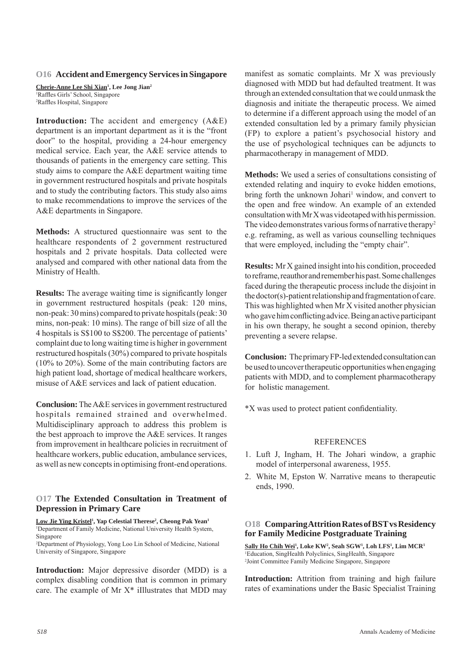#### **O16 Accident and Emergency Services in Singapore**

**Cherie-Anne Lee Shi Xian1 , Lee Jong Jian2** <sup>1</sup>Raffles Girls' School, Singapore<br><sup>2</sup>Raffles Hospital, Singapore <sup>2</sup>Raffles Hospital, Singapore

**Introduction:** The accident and emergency (A&E) department is an important department as it is the "front door" to the hospital, providing a 24-hour emergency medical service. Each year, the A&E service attends to thousands of patients in the emergency care setting. This study aims to compare the A&E department waiting time in government restructured hospitals and private hospitals and to study the contributing factors. This study also aims to make recommendations to improve the services of the A&E departments in Singapore.

**Methods:** A structured questionnaire was sent to the healthcare respondents of 2 government restructured hospitals and 2 private hospitals. Data collected were analysed and compared with other national data from the Ministry of Health.

**Results:** The average waiting time is significantly longer in government restructured hospitals (peak: 120 mins, non-peak: 30 mins) compared to private hospitals (peak: 30 mins, non-peak: 10 mins). The range of bill size of all the 4 hospitals is S\$100 to S\$200. The percentage of patients' complaint due to long waiting time is higher in government restructured hospitals (30%) compared to private hospitals (10% to 20%). Some of the main contributing factors are high patient load, shortage of medical healthcare workers, misuse of A&E services and lack of patient education.

**Conclusion:** The A&E services in government restructured hospitals remained strained and overwhelmed. Multidisciplinary approach to address this problem is the best approach to improve the A&E services. It ranges from improvement in healthcare policies in recruitment of healthcare workers, public education, ambulance services, as well as new concepts in optimising front-end operations.

#### **O17 The Extended Consultation in Treatment of Depression in Primary Care**

Low Jie Ying Kristel<sup>1</sup>, Yap Celestial Therese<sup>2</sup>, Cheong Pak Yean<sup>1</sup> 1 Department of Family Medicine, National University Health System, Singapore

2 Department of Physiology, Yong Loo Lin School of Medicine, National University of Singapore, Singapore

**Introduction:** Major depressive disorder (MDD) is a complex disabling condition that is common in primary care. The example of Mr  $X^*$  iIllustrates that MDD may manifest as somatic complaints. Mr X was previously diagnosed with MDD but had defaulted treatment. It was through an extended consultation that we could unmask the diagnosis and initiate the therapeutic process. We aimed to determine if a different approach using the model of an extended consultation led by a primary family physician (FP) to explore a patient's psychosocial history and the use of psychological techniques can be adjuncts to pharmacotherapy in management of MDD.

**Methods:** We used a series of consultations consisting of extended relating and inquiry to evoke hidden emotions, bring forth the unknown Johari<sup>1</sup> window, and convert to the open and free window. An example of an extended consultation with Mr X was videotaped with his permission. The video demonstrates various forms of narrative therapy<sup>2</sup> e.g. reframing, as well as various counselling techniques that were employed, including the "empty chair".

**Results:** Mr X gained insight into his condition, proceeded to reframe, reauthor and remember his past. Some challenges faced during the therapeutic process include the disjoint in the doctor(s)-patient relationship and fragmentation of care. This was highlighted when Mr X visited another physician who gave him conflicting advice. Being an active participant in his own therapy, he sought a second opinion, thereby preventing a severe relapse.

**Conclusion:** The primary FP-led extended consultation can be used to uncover therapeutic opportunities when engaging patients with MDD, and to complement pharmacotherapy for holistic management.

\*X was used to protect patient confidentiality.

#### **REFERENCES**

- 1. Luft J, Ingham, H. The Johari window, a graphic model of interpersonal awareness, 1955.
- 2. White M, Epston W. Narrative means to therapeutic ends, 1990.

#### **O18 Comparing Attrition Rates of BST vs Residency for Family Medicine Postgraduate Training**

 $\overline{\text{Sally Ho Chih Wei}^1}$ , Loke KW<sup>2</sup>, Seah SGW<sup>1</sup>, Loh LFS<sup>1</sup>, Lim MCR<sup>1</sup> 1 Education, SingHealth Polyclinics, SingHealth, Singapore 2 Joint Committee Family Medicine Singapore, Singapore

**Introduction:** Attrition from training and high failure rates of examinations under the Basic Specialist Training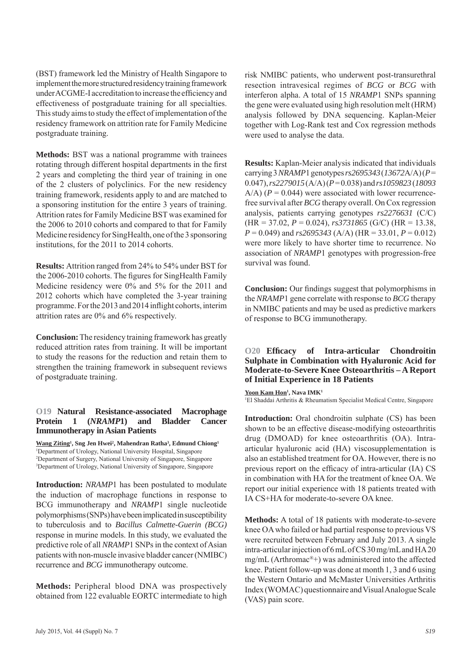(BST) framework led the Ministry of Health Singapore to implement the more structured residency training framework under ACGME-I accreditation to increase the efficiency and effectiveness of postgraduate training for all specialties. This study aims to study the effect of implementation of the residency framework on attrition rate for Family Medicine postgraduate training.

**Methods:** BST was a national programme with trainees rotating through different hospital departments in the first 2 years and completing the third year of training in one of the 2 clusters of polyclinics. For the new residency training framework, residents apply to and are matched to a sponsoring institution for the entire 3 years of training. Attrition rates for Family Medicine BST was examined for the 2006 to 2010 cohorts and compared to that for Family Medicine residency for SingHealth, one of the 3 sponsoring institutions, for the 2011 to 2014 cohorts.

**Results:** Attrition ranged from 24% to 54% under BST for the 2006-2010 cohorts. The figures for SingHealth Family Medicine residency were 0% and 5% for the 2011 and 2012 cohorts which have completed the 3-year training programme. For the 2013 and 2014 inflight cohorts, interim attrition rates are 0% and 6% respectively.

**Conclusion:** The residency training framework has greatly reduced attrition rates from training. It will be important to study the reasons for the reduction and retain them to strengthen the training framework in subsequent reviews of postgraduate training.

#### **O19 Natural Resistance-associated Macrophage Protein 1 (***NRAMP***1) and Bladder Cancer Immunotherapy in Asian Patients**

**Wang Ziting1 , Sng Jen Hwei2 , Mahendran Ratha3 , Edmund Chiong1** 1 Department of Urology, National University Hospital, Singapore 2 Department of Surgery, National University of Singapore, Singapore <sup>3</sup>Department of Urology, National University of Singapore, Singapore

**Introduction:** *NRAMP*1 has been postulated to modulate the induction of macrophage functions in response to BCG immunotherapy and *NRAMP*1 single nucleotide polymorphisms (SNPs) have been implicated in susceptibility to tuberculosis and to *Bacillus Calmette-Guerin (BCG)*  response in murine models. In this study, we evaluated the predictive role of all *NRAMP*1 SNPs in the context of Asian patients with non-muscle invasive bladder cancer (NMIBC) recurrence and *BCG* immunotherapy outcome.

**Methods:** Peripheral blood DNA was prospectively obtained from 122 evaluable EORTC intermediate to high risk NMIBC patients, who underwent post-transurethral resection intravesical regimes of *BCG* or *BCG* with interferon alpha. A total of 15 *NRAMP*1 SNPs spanning the gene were evaluated using high resolution melt (HRM) analysis followed by DNA sequencing. Kaplan-Meier together with Log-Rank test and Cox regression methods were used to analyse the data.

**Results:** Kaplan-Meier analysis indicated that individuals carrying 3 *NRAMP*1 genotypes *rs2695343* (*13672*A/A) (*P* = 0.047), *rs2279015* (A/A) (*P* = 0.038) and *rs1059823* (*18093*   $A/A$ ) ( $P = 0.044$ ) were associated with lower recurrencefree survival after *BCG* therapy overall. On Cox regression analysis, patients carrying genotypes *rs2276631* (C/C) (HR = 37.02, *P* = 0.024), *rs3731865* (G/C) (HR = 13.38, *P* = 0.049) and *rs2695343* (A/A) (HR = 33.01, *P* = 0.012) were more likely to have shorter time to recurrence. No association of *NRAMP*1 genotypes with progression-free survival was found.

**Conclusion:** Our findings suggest that polymorphisms in the *NRAMP*1 gene correlate with response to *BCG* therapy in NMIBC patients and may be used as predictive markers of response to BCG immunotherapy.

#### **O20 Effi cacy of Intra-articular Chondroitin Sulphate in Combination with Hyaluronic Acid for Moderate-to-Severe Knee Osteoarthritis – A Report of Initial Experience in 18 Patients**

 $\frac{Y}{1}$  **Kam Hon**<sup>1</sup>, Nava **IMK**<sup>1</sup>

1 El Shaddai Arthritis & Rheumatism Specialist Medical Centre, Singapore

**Introduction:** Oral chondroitin sulphate (CS) has been shown to be an effective disease-modifying osteoarthritis drug (DMOAD) for knee osteoarthritis (OA). Intraarticular hyaluronic acid (HA) viscosupplementation is also an established treatment for OA. However, there is no previous report on the efficacy of intra-articular (IA) CS in combination with HA for the treatment of knee OA. We report our initial experience with 18 patients treated with IA CS+HA for moderate-to-severe OA knee.

**Methods:** A total of 18 patients with moderate-to-severe knee OA who failed or had partial response to previous VS were recruited between February and July 2013. A single intra-articular injection of 6 mL of CS 30 mg/mL and HA 20 mg/mL (Arthromac®+) was administered into the affected knee. Patient follow-up was done at month 1, 3 and 6 using the Western Ontario and McMaster Universities Arthritis Index (WOMAC) questionnaire and Visual Analogue Scale (VAS) pain score.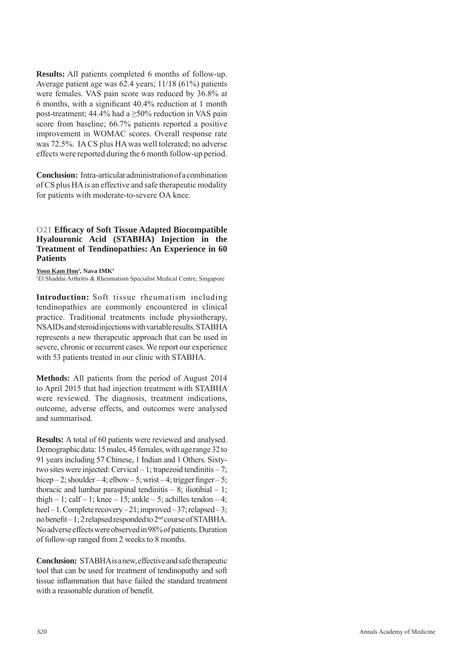**Results:** All patients completed 6 months of follow-up. Average patient age was 62.4 years; 11/18 (61%) patients were females. VAS pain score was reduced by 36.8% at 6 months, with a significant  $40.4\%$  reduction at 1 month post-treatment; 44.4% had a  $\geq$ 50% reduction in VAS pain score from baseline; 66.7% patients reported a positive improvement in WOMAC scores. Overall response rate was 72.5%. IA CS plus HA was well tolerated; no adverse effects were reported during the 6 month follow-up period.

**Conclusion:** Intra-articular administration of a combination of CS plus HA is an effective and safe therapeutic modality for patients with moderate-to-severe OA knee.

**O21 Effi cacy of Soft Tissue Adapted Biocompatible Hyalouronic Acid (STABHA) Injection in the Treatment of Tendinopathies: An Experience in 60 Patients** 

**, Nava IMK<sup>1</sup>** 

1 El Shaddai Arthritis & Rheumatism Specialist Medical Centre, Singapore

**Introduction:** Soft tissue rheumatism including tendinopathies are commonly encountered in clinical practice. Traditional treatments include physiotherapy, NSAIDs and steroid injections with variable results. STABHA represents a new therapeutic approach that can be used in severe, chronic or recurrent cases. We report our experience with 53 patients treated in our clinic with STABHA.

**Methods:** All patients from the period of August 2014 to April 2015 that had injection treatment with STABHA were reviewed. The diagnosis, treatment indications, outcome, adverse effects, and outcomes were analysed and summarised.

**Results:** A total of 60 patients were reviewed and analysed. Demographic data: 15 males, 45 females, with age range 32 to 91 years including 57 Chinese, 1 Indian and 1 Others. Sixtytwo sites were injected: Cervical – 1; trapezoid tendinitis – 7; bicep – 2; shoulder – 4; elbow – 5; wrist – 4; trigger finger – 5; thoracic and lumbar paraspinal tendinitis  $-8$ ; iliotibial  $-1$ ; thigh  $-1$ ; calf  $-1$ ; knee  $-15$ ; ankle  $-5$ ; achilles tendon  $-4$ ; heel – 1. Complete recovery – 21; improved – 37; relapsed – 3; no benefit  $-1$ ; 2 relapsed responded to  $2<sup>nd</sup>$  course of STABHA. No adverse effects were observed in 98% of patients. Duration of follow-up ranged from 2 weeks to 8 months.

**Conclusion:** STABHA is a new, effective and safe therapeutic tool that can be used for treatment of tendinopathy and soft tissue inflammation that have failed the standard treatment with a reasonable duration of benefit.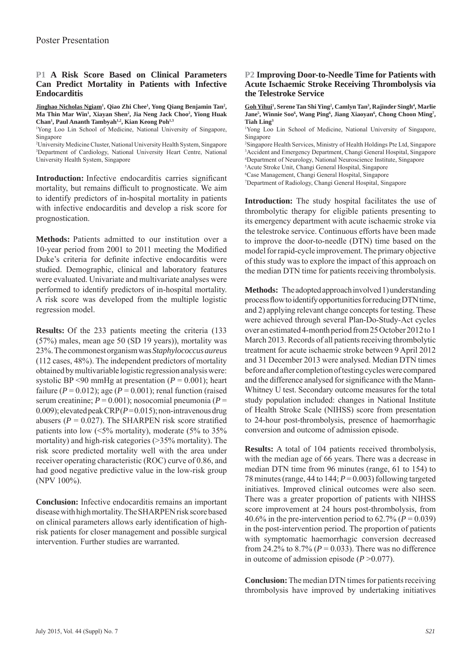#### **P1 A Risk Score Based on Clinical Parameters Can Predict Mortality in Patients with Infective Endocarditis**

**Jinghao Nicholas Ngiam<sup>1</sup>, Qiao Zhi Chee<sup>1</sup>, Yong Qiang Benjamin Tan<sup>2</sup>, Ma Thin Mar Win1 , Xiayan Shen2 , Jia Neng Jack Choo2 , Yiong Huak Chan1 , Paul Ananth Tambyah1,2, Kian Keong Poh1,3**

1 Yong Loo Lin School of Medicine, National University of Singapore, Singapore

2 University Medicine Cluster, National University Health System, Singapore 3 Department of Cardiology, National University Heart Centre, National University Health System, Singapore

**Introduction:** Infective endocarditis carries significant mortality, but remains difficult to prognosticate. We aim to identify predictors of in-hospital mortality in patients with infective endocarditis and develop a risk score for prognostication.

**Methods:** Patients admitted to our institution over a 10-year period from  $2001$  to  $2011$  meeting the Modified Duke's criteria for definite infective endocarditis were studied. Demographic, clinical and laboratory features were evaluated. Univariate and multivariate analyses were performed to identify predictors of in-hospital mortality. A risk score was developed from the multiple logistic regression model.

**Results:** Of the 233 patients meeting the criteria (133 (57%) males, mean age 50 (SD 19 years)), mortality was 23%. The commonest organism was *Staphylococcus aureus*  (112 cases, 48%). The independent predictors of mortality obtained by multivariable logistic regression analysis were: systolic BP <90 mmHg at presentation  $(P = 0.001)$ ; heart failure ( $P = 0.012$ ); age ( $P = 0.001$ ); renal function (raised serum creatinine; *P* = 0.001); nosocomial pneumonia (*P* = 0.009); elevated peak CRP (*P* = 0.015); non-intravenous drug abusers ( $P = 0.027$ ). The SHARPEN risk score stratified patients into low  $(5\%$  mortality), moderate  $(5\%$  to  $35\%$ mortality) and high-risk categories (>35% mortality). The risk score predicted mortality well with the area under receiver operating characteristic (ROC) curve of 0.86, and had good negative predictive value in the low-risk group (NPV 100%).

**Conclusion:** Infective endocarditis remains an important disease with high mortality. The SHARPEN risk score based on clinical parameters allows early identification of highrisk patients for closer management and possible surgical intervention. Further studies are warranted.

#### **P2 Improving Door-to-Needle Time for Patients with Acute Ischaemic Stroke Receiving Thrombolysis via the Telestroke Service**

Goh Yihui<sup>1</sup>, Serene Tan Shi Ying<sup>2</sup>, Camlyn Tan<sup>3</sup>, Rajinder Singh<sup>4</sup>, Marlie Jane<sup>5</sup>, Winnie Soo<sup>6</sup>, Wang Ping<sup>6</sup>, Jiang Xiaoyan<sup>6</sup>, Chong Choon Ming<sup>7</sup>, **Tiah Ling3**

1 Yong Loo Lin School of Medicine, National University of Singapore, Singapore

2 Singapore Health Services, Ministry of Health Holdings Pte Ltd, Singapore 3 Accident and Emergency Department, Changi General Hospital, Singapore 4 Department of Neurology, National Neuroscience Institute, Singapore

5 Acute Stroke Unit, Changi General Hospital, Singapore

6 Case Management, Changi General Hospital, Singapore

7 Department of Radiology, Changi General Hospital, Singapore

**Introduction:** The study hospital facilitates the use of thrombolytic therapy for eligible patients presenting to its emergency department with acute ischaemic stroke via the telestroke service. Continuous efforts have been made to improve the door-to-needle (DTN) time based on the model for rapid-cycle improvement. The primary objective of this study was to explore the impact of this approach on the median DTN time for patients receiving thrombolysis.

**Methods:** The adopted approach involved 1) understanding process flow to identify opportunities for reducing DTN time, and 2) applying relevant change concepts for testing. These were achieved through several Plan-Do-Study-Act cycles over an estimated 4-month period from 25 October 2012 to 1 March 2013. Records of all patients receiving thrombolytic treatment for acute ischaemic stroke between 9 April 2012 and 31 December 2013 were analysed. Median DTN times before and after completion of testing cycles were compared and the difference analysed for significance with the Mann-Whitney U test. Secondary outcome measures for the total study population included: changes in National Institute of Health Stroke Scale (NIHSS) score from presentation to 24-hour post-thrombolysis, presence of haemorrhagic conversion and outcome of admission episode.

**Results:** A total of 104 patients received thrombolysis, with the median age of 66 years. There was a decrease in median DTN time from 96 minutes (range, 61 to 154) to 78 minutes (range, 44 to 144; *P* = 0.003) following targeted initiatives. Improved clinical outcomes were also seen. There was a greater proportion of patients with NIHSS score improvement at 24 hours post-thrombolysis, from 40.6% in the pre-intervention period to  $62.7\%$  ( $P = 0.039$ ) in the post-intervention period. The proportion of patients with symptomatic haemorrhagic conversion decreased from 24.2% to  $8.7\%$  ( $P = 0.033$ ). There was no difference in outcome of admission episode  $(P>0.077)$ .

**Conclusion:** The median DTN times for patients receiving thrombolysis have improved by undertaking initiatives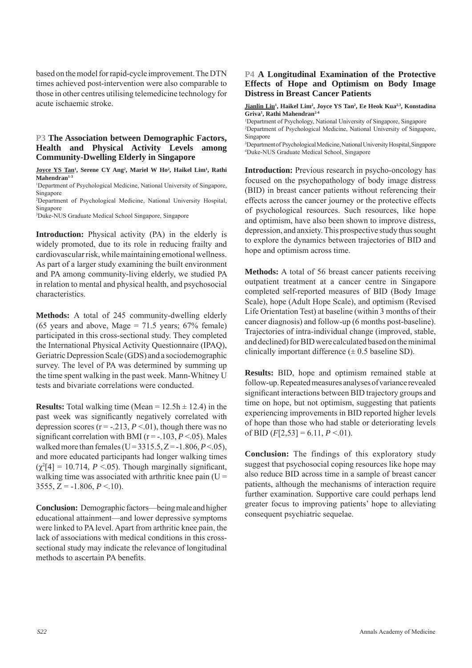based on the model for rapid-cycle improvement. The DTN times achieved post-intervention were also comparable to those in other centres utilising telemedicine technology for acute ischaemic stroke.

#### **P3 The Association between Demographic Factors, Health and Physical Activity Levels among Community-Dwelling Elderly in Singapore**

**Joyce YS Tan<sup>1</sup>, Serene CY Ang<sup>2</sup>, Mariel W Ho<sup>2</sup>, Haikel Lim<sup>1</sup>, Rathi Mahendran1-3**

<sup>1</sup>Department of Psychological Medicine, National University of Singapore, Singapore

2 Department of Psychological Medicine, National University Hospital, Singapore

3 Duke-NUS Graduate Medical School Singapore, Singapore

**Introduction:** Physical activity (PA) in the elderly is widely promoted, due to its role in reducing frailty and cardiovascular risk, while maintaining emotional wellness. As part of a larger study examining the built environment and PA among community-living elderly, we studied PA in relation to mental and physical health, and psychosocial characteristics.

**Methods:** A total of 245 community-dwelling elderly (65 years and above, Mage =  $71.5$  years; 67% female) participated in this cross-sectional study. They completed the International Physical Activity Questionnaire (IPAQ), Geriatric Depression Scale (GDS) and a sociodemographic survey. The level of PA was determined by summing up the time spent walking in the past week. Mann-Whitney U tests and bivariate correlations were conducted.

**Results:** Total walking time (Mean =  $12.5h \pm 12.4$ ) in the past week was significantly negatively correlated with depression scores ( $r = -0.213$ ,  $P < 0.01$ ), though there was no significant correlation with BMI ( $r = -103$ ,  $P \le 0.05$ ). Males walked more than females (U =  $3315.5$ , Z =  $-1.806$ , *P* < 05), and more educated participants had longer walking times  $(\chi^2[4] = 10.714, P < 0.05)$ . Though marginally significant, walking time was associated with arthritic knee pain  $(U =$ 3555,  $Z = -1.806$ ,  $P < 10$ ).

**Conclusion:** Demographic factors—being male and higher educational attainment—and lower depressive symptoms were linked to PA level. Apart from arthritic knee pain, the lack of associations with medical conditions in this crosssectional study may indicate the relevance of longitudinal methods to ascertain PA benefits.

#### **P4 A Longitudinal Examination of the Protective Effects of Hope and Optimism on Body Image Distress in Breast Cancer Patients**

**Jianlin Liu<sup>1</sup>, Haikel Lim<sup>2</sup>, Joyce YS Tan<sup>2</sup>, Ee Heok Kua<sup>2,3</sup>, Konstadina Griva1 , Rathi Mahendran2-4**

<sup>1</sup>Department of Psychology, National University of Singapore, Singapore 2 Department of Psychological Medicine, National University of Singapore, Singapore

3 Department of Psychological Medicine, National University Hospital, Singapore 4 Duke-NUS Graduate Medical School, Singapore

**Introduction:** Previous research in psycho-oncology has focused on the psychopathology of body image distress (BID) in breast cancer patients without referencing their effects across the cancer journey or the protective effects of psychological resources. Such resources, like hope and optimism, have also been shown to improve distress, depression, and anxiety. This prospective study thus sought to explore the dynamics between trajectories of BID and hope and optimism across time.

**Methods:** A total of 56 breast cancer patients receiving outpatient treatment at a cancer centre in Singapore completed self-reported measures of BID (Body Image Scale), hope (Adult Hope Scale), and optimism (Revised Life Orientation Test) at baseline (within 3 months of their cancer diagnosis) and follow-up (6 months post-baseline). Trajectories of intra-individual change (improved, stable, and declined) for BID were calculated based on the minimal clinically important difference  $(\pm 0.5$  baseline SD).

**Results:** BID, hope and optimism remained stable at follow-up. Repeated measures analyses of variance revealed significant interactions between BID trajectory groups and time on hope, but not optimism, suggesting that patients experiencing improvements in BID reported higher levels of hope than those who had stable or deteriorating levels of BID  $(F[2,53] = 6.11, P < 0.01)$ .

**Conclusion:** The findings of this exploratory study suggest that psychosocial coping resources like hope may also reduce BID across time in a sample of breast cancer patients, although the mechanisms of interaction require further examination. Supportive care could perhaps lend greater focus to improving patients' hope to alleviating consequent psychiatric sequelae.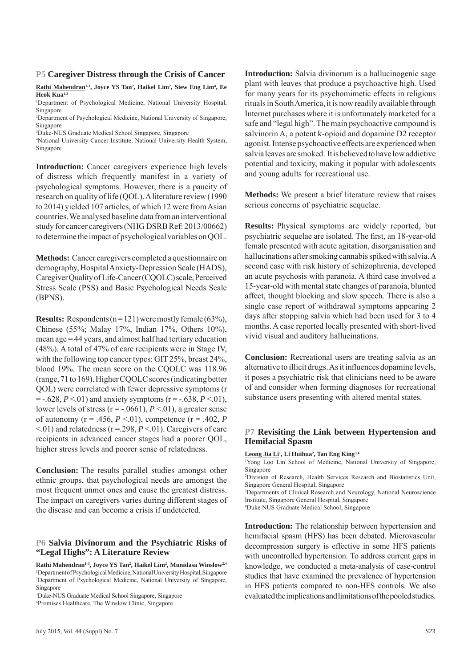#### **P5 Caregiver Distress through the Crisis of Cancer**

Rathi Mahendran<sup>1,3</sup>, Joyce YS Tan<sup>2</sup>, Haikel Lim<sup>2</sup>, Siew Eng Lim<sup>4</sup>, Ee **Heok Kua1,2**

1 Department of Psychological Medicine, National University Hospital, Singapore

2 Department of Psychological Medicine, National University of Singapore, Singapore

3 Duke-NUS Graduate Medical School Singapore, Singapore

4 National University Cancer Institute, National University Health System, Singapore

**Introduction:** Cancer caregivers experience high levels of distress which frequently manifest in a variety of psychological symptoms. However, there is a paucity of research on quality of life (QOL). A literature review (1990 to 2014) yielded 107 articles, of which 12 were from Asian countries. We analysed baseline data from an interventional study for cancer caregivers (NHG DSRB Ref: 2013/00662) to determine the impact of psychological variables on QOL.

**Methods:** Cancer caregivers completed a questionnaire on demography, Hospital Anxiety-Depression Scale (HADS), Caregiver Quality of Life-Cancer (CQOLC) scale, Perceived Stress Scale (PSS) and Basic Psychological Needs Scale (BPNS).

**Results:** Respondents  $(n = 121)$  were mostly female  $(63\%)$ , Chinese (55%; Malay 17%, Indian 17%, Others 10%), mean age = 44 years, and almost half had tertiary education (48%). A total of 47% of care recipients were in Stage IV, with the following top cancer types: GIT 25%, breast 24%, blood 19%. The mean score on the CQOLC was 118.96 (range, 71 to 169). Higher CQOLC scores (indicating better QOL) were correlated with fewer depressive symptoms (r  $=$  -.628, *P* <.01) and anxiety symptoms (r = -.638, *P* <.01), lower levels of stress ( $r = -0.0661$ ),  $P < 0.01$ ), a greater sense of autonomy ( $r = .456, P < .01$ ), competence ( $r = .402, P$ <.01) and relatedness (r =.298, *P* <.01). Caregivers of care recipients in advanced cancer stages had a poorer QOL, higher stress levels and poorer sense of relatedness.

**Conclusion:** The results parallel studies amongst other ethnic groups, that psychological needs are amongst the most frequent unmet ones and cause the greatest distress. The impact on caregivers varies during different stages of the disease and can become a crisis if undetected.

#### **P6 Salvia Divinorum and the Psychiatric Risks of "Legal Highs": A Literature Review**

**Rathi Mahendran1-3, Joyce YS Tan2 , Haikel Lim2 , Munidasa Winslow2,4** 1 Department of Psychological Medicine, National University Hospital, Singapore 2 Department of Psychological Medicine, National University of Singapore, Singapore

3 Duke-NUS Graduate Medical School Singapore, Singapore

4 Promises Healthcare, The Winslow Clinic, Singapore

**Introduction:** Salvia divinorum is a hallucinogenic sage plant with leaves that produce a psychoactive high. Used for many years for its psychomimetic effects in religious rituals in South America, it is now readily available through Internet purchases where it is unfortunately marketed for a safe and "legal high". The main psychoactive compound is salvinorin A, a potent k-opioid and dopamine D2 receptor agonist. Intense psychoactive effects are experienced when salvia leaves are smoked. It is believed to have low addictive potential and toxicity, making it popular with adolescents and young adults for recreational use.

**Methods:** We present a brief literature review that raises serious concerns of psychiatric sequelae.

**Results:** Physical symptoms are widely reported, but psychiatric sequelae are isolated. The first, an 18-year-old female presented with acute agitation, disorganisation and hallucinations after smoking cannabis spiked with salvia. A second case with risk history of schizophrenia, developed an acute psychosis with paranoia. A third case involved a 15-year-old with mental state changes of paranoia, blunted affect, thought blocking and slow speech. There is also a single case report of withdrawal symptoms appearing 2 days after stopping salvia which had been used for 3 to 4 months. A case reported locally presented with short-lived vivid visual and auditory hallucinations.

**Conclusion:** Recreational users are treating salvia as an alternative to illicit drugs. As it influences dopamine levels, it poses a psychiatric risk that clinicians need to be aware of and consider when forming diagnoses for recreational substance users presenting with altered mental states.

#### **P7 Revisiting the Link between Hypertension and Hemifacial Spasm**

**Leong Jia Li1 , Li Huihua2 , Tan Eng King3,4**

1 Yong Loo Lin School of Medicine, National University of Singapore, Singapore

2 Division of Research, Health Services Research and Biostatistics Unit, Singapore General Hospital, Singapore

3 Departments of Clinical Research and Neurology, National Neuroscience Institute, Singapore General Hospital, Singapore

4 Duke NUS Graduate Medical School, Singapore

**Introduction:** The relationship between hypertension and hemifacial spasm (HFS) has been debated. Microvascular decompression surgery is effective in some HFS patients with uncontrolled hypertension. To address current gaps in knowledge, we conducted a meta-analysis of case-control studies that have examined the prevalence of hypertension in HFS patients compared to non-HFS controls. We also evaluated the implications and limitations of the pooled studies.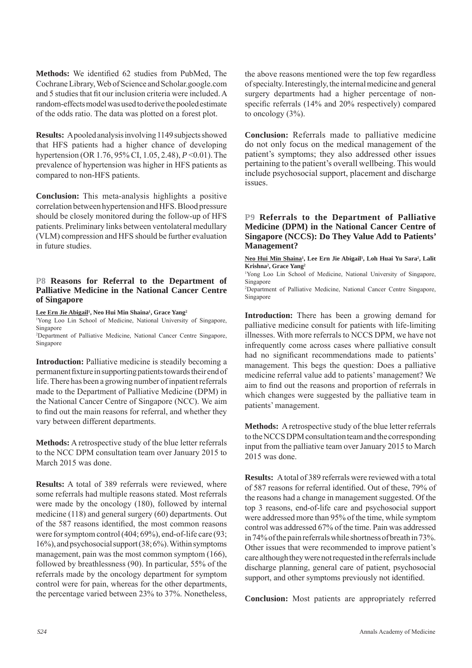Methods: We identified 62 studies from PubMed, The Cochrane Library, Web of Science and Scholar.google.com and 5 studies that fit our inclusion criteria were included. A random-effects model was used to derive the pooled estimate of the odds ratio. The data was plotted on a forest plot.

**Results:** A pooled analysis involving 1149 subjects showed that HFS patients had a higher chance of developing hypertension (OR 1.76, 95% CI, 1.05, 2.48), *P* <0.01). The prevalence of hypertension was higher in HFS patients as compared to non-HFS patients.

**Conclusion:** This meta-analysis highlights a positive correlation between hypertension and HFS. Blood pressure should be closely monitored during the follow-up of HFS patients. Preliminary links between ventolateral medullary (VLM) compression and HFS should be further evaluation in future studies.

#### **P8 Reasons for Referral to the Department of Palliative Medicine in the National Cancer Centre of Singapore**

#### **Lee Ern Jie Abigail1 , Neo Hui Min Shaina1 , Grace Yang2**

1 Yong Loo Lin School of Medicine, National University of Singapore, Singapore

2 Department of Palliative Medicine, National Cancer Centre Singapore, Singapore

**Introduction:** Palliative medicine is steadily becoming a permanent fixture in supporting patients towards their end of life. There has been a growing number of inpatient referrals made to the Department of Palliative Medicine (DPM) in the National Cancer Centre of Singapore (NCC). We aim to find out the main reasons for referral, and whether they vary between different departments.

**Methods:** A retrospective study of the blue letter referrals to the NCC DPM consultation team over January 2015 to March 2015 was done.

**Results:** A total of 389 referrals were reviewed, where some referrals had multiple reasons stated. Most referrals were made by the oncology (180), followed by internal medicine (118) and general surgery (60) departments. Out of the 587 reasons identified, the most common reasons were for symptom control (404; 69%), end-of-life care (93; 16%), and psychosocial support (38; 6%). Within symptoms management, pain was the most common symptom (166), followed by breathlessness (90). In particular, 55% of the referrals made by the oncology department for symptom control were for pain, whereas for the other departments, the percentage varied between 23% to 37%. Nonetheless, the above reasons mentioned were the top few regardless of specialty. Interestingly, the internal medicine and general surgery departments had a higher percentage of nonspecific referrals  $(14\%$  and  $20\%$  respectively) compared to oncology  $(3\%)$ .

**Conclusion:** Referrals made to palliative medicine do not only focus on the medical management of the patient's symptoms; they also addressed other issues pertaining to the patient's overall wellbeing. This would include psychosocial support, placement and discharge issues.

#### **P9 Referrals to the Department of Palliative Medicine (DPM) in the National Cancer Centre of Singapore (NCCS): Do They Value Add to Patients' Management?**

Neo Hui Min Shaina<sup>1</sup>, Lee Ern Jie Abigail<sup>1</sup>, Loh Huai Yu Sara<sup>2</sup>, Lalit **Krishna2 , Grace Yang2**

1 Yong Loo Lin School of Medicine, National University of Singapore, Singapore

2 Department of Palliative Medicine, National Cancer Centre Singapore, Singapore

**Introduction:** There has been a growing demand for palliative medicine consult for patients with life-limiting illnesses. With more referrals to NCCS DPM, we have not infrequently come across cases where palliative consult had no significant recommendations made to patients' management. This begs the question: Does a palliative medicine referral value add to patients' management? We aim to find out the reasons and proportion of referrals in which changes were suggested by the palliative team in patients' management.

**Methods:** A retrospective study of the blue letter referrals to the NCCS DPM consultation team and the corresponding input from the palliative team over January 2015 to March 2015 was done.

**Results:** A total of 389 referrals were reviewed with a total of 587 reasons for referral identified. Out of these, 79% of the reasons had a change in management suggested. Of the top 3 reasons, end-of-life care and psychosocial support were addressed more than 95% of the time, while symptom control was addressed 67% of the time. Pain was addressed in 74% of the pain referrals while shortness of breath in 73%. Other issues that were recommended to improve patient's care although they were not requested in the referrals include discharge planning, general care of patient, psychosocial support, and other symptoms previously not identified.

**Conclusion:** Most patients are appropriately referred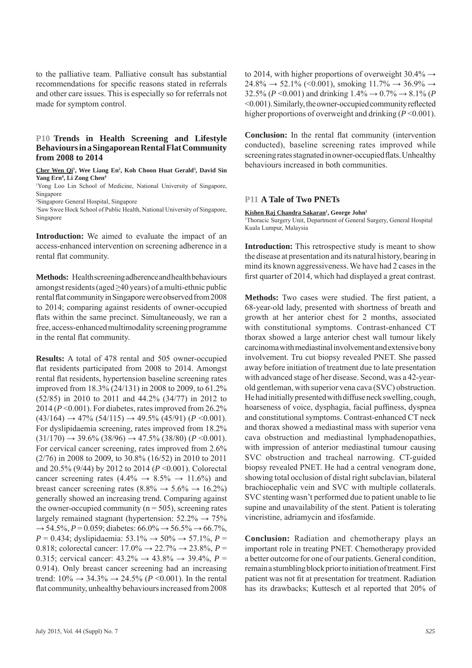to the palliative team. Palliative consult has substantial recommendations for specific reasons stated in referrals and other care issues. This is especially so for referrals not made for symptom control.

#### **P10 Trends in Health Screening and Lifestyle Behaviours in a Singaporean Rental Flat Community from 2008 to 2014**

Cher Wen Qi<sup>1</sup>, Wee Liang En<sup>2</sup>, Koh Choon Huat Gerald<sup>3</sup>, David Sin Yang Ern<sup>4</sup>, Li Zong Chen<sup>4</sup>

1 Yong Loo Lin School of Medicine, National University of Singapore, Singapore

2 Singapore General Hospital, Singapore

3 Saw Swee Hock School of Public Health, National University of Singapore, Singapore

**Introduction:** We aimed to evaluate the impact of an access-enhanced intervention on screening adherence in a rental flat community.

**Methods:** Health screening adherence and health behaviours amongst residents (aged  $\geq$ 40 years) of a multi-ethnic public rental flat community in Singapore were observed from 2008 to 2014; comparing against residents of owner-occupied flats within the same precinct. Simultaneously, we ran a free, access-enhanced multimodality screening programme in the rental flat community.

**Results:** A total of 478 rental and 505 owner-occupied flat residents participated from 2008 to 2014. Amongst rental flat residents, hypertension baseline screening rates improved from 18.3% (24/131) in 2008 to 2009, to 61.2% (52/85) in 2010 to 2011 and 44.2% (34/77) in 2012 to 2014 (*P* <0.001). For diabetes, rates improved from 26.2%  $(43/164) \rightarrow 47\%$   $(54/115) \rightarrow 49.5\%$   $(45/91)$   $(P < 0.001)$ . For dyslipidaemia screening, rates improved from 18.2%  $(31/170) \rightarrow 39.6\%$   $(38/96) \rightarrow 47.5\%$   $(38/80)$   $(P < 0.001)$ . For cervical cancer screening, rates improved from 2.6% (2/76) in 2008 to 2009, to 30.8% (16/52) in 2010 to 2011 and 20.5% (9/44) by 2012 to 2014 (*P* <0.001). Colorectal cancer screening rates  $(4.4\% \rightarrow 8.5\% \rightarrow 11.6\%)$  and breast cancer screening rates (8.8%  $\rightarrow$  5.6%  $\rightarrow$  16.2%) generally showed an increasing trend. Comparing against the owner-occupied community ( $n = 505$ ), screening rates largely remained stagnant (hypertension:  $52.2\% \rightarrow 75\%$  $\rightarrow$  54.5%, *P* = 0.059; diabetes: 66.0%  $\rightarrow$  56.5%  $\rightarrow$  66.7%,  $P = 0.434$ ; dyslipidaemia: 53.1%  $\rightarrow$  50%  $\rightarrow$  57.1%, *P* = 0.818; colorectal cancer:  $17.0\% \rightarrow 22.7\% \rightarrow 23.8\%, P =$ 0.315; cervical cancer:  $43.2\% \rightarrow 43.8\% \rightarrow 39.4\%, P =$ 0.914). Only breast cancer screening had an increasing trend:  $10\% \rightarrow 34.3\% \rightarrow 24.5\%$  ( $P \le 0.001$ ). In the rental flat community, unhealthy behaviours increased from 2008

to 2014, with higher proportions of overweight  $30.4\% \rightarrow$  $24.8\% \rightarrow 52.1\%$  (<0.001), smoking  $11.7\% \rightarrow 36.9\% \rightarrow$ 32.5% ( $P \le 0.001$ ) and drinking  $1.4\% \rightarrow 0.7\% \rightarrow 8.1\%$  ( $P \le 0.001$ ) <0.001). Similarly, the owner-occupied community reflected higher proportions of overweight and drinking  $(P<0.001)$ .

**Conclusion:** In the rental flat community (intervention conducted), baseline screening rates improved while screening rates stagnated in owner-occupied flats. Unhealthy behaviours increased in both communities.

#### **P11 A Tale of Two PNETs**

Kishen Raj Chandra Sakaran<sup>1</sup>, George John<sup>1</sup>

<sup>1</sup>Thoracic Surgery Unit, Department of General Surgery, General Hospital Kuala Lumpur, Malaysia

**Introduction:** This retrospective study is meant to show the disease at presentation and its natural history, bearing in mind its known aggressiveness. We have had 2 cases in the first quarter of 2014, which had displayed a great contrast.

Methods: Two cases were studied. The first patient, a 68-year-old lady, presented with shortness of breath and growth at her anterior chest for 2 months, associated with constitutional symptoms. Contrast-enhanced CT thorax showed a large anterior chest wall tumour likely carcinoma with mediastinal involvement and extensive bony involvement. Tru cut biopsy revealed PNET. She passed away before initiation of treatment due to late presentation with advanced stage of her disease. Second, was a 42-yearold gentleman, with superior vena cava (SVC) obstruction. He had initially presented with diffuse neck swelling, cough, hoarseness of voice, dysphagia, facial puffiness, dyspnea and constitutional symptoms. Contrast-enhanced CT neck and thorax showed a mediastinal mass with superior vena cava obstruction and mediastinal lymphadenopathies, with impression of anterior mediastinal tumour causing SVC obstruction and tracheal narrowing. CT-guided biopsy revealed PNET. He had a central venogram done, showing total occlusion of distal right subclavian, bilateral brachiocephalic vein and SVC with multiple collaterals. SVC stenting wasn't performed due to patient unable to lie supine and unavailability of the stent. Patient is tolerating vincristine, adriamycin and ifosfamide.

**Conclusion:** Radiation and chemotherapy plays an important role in treating PNET. Chemotherapy provided a better outcome for one of our patients. General condition, remain a stumbling block prior to initiation of treatment. First patient was not fit at presentation for treatment. Radiation has its drawbacks; Kuttesch et al reported that 20% of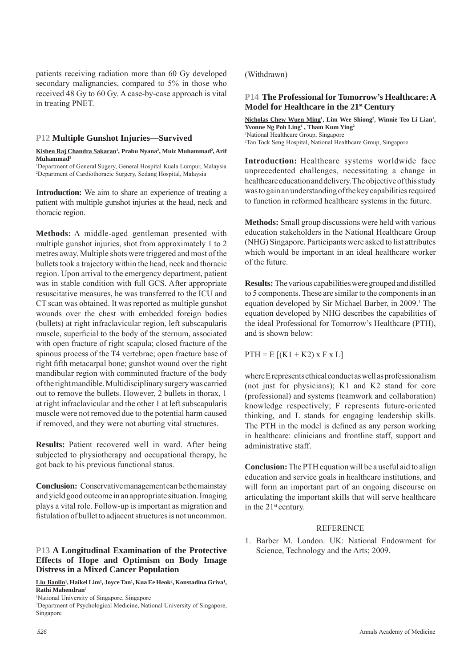patients receiving radiation more than 60 Gy developed secondary malignancies, compared to 5% in those who received 48 Gy to 60 Gy. A case-by-case approach is vital in treating PNET.

#### **P12 Multiple Gunshot Injuries—Survived**

#### <u>Kishen Raj Chandra Sakaran<sup>ı</sup>, Prabu Nyana<sup>2</sup>, Muiz Muhammad<sup>2</sup>, Arif</u> **Muhammad2**

<sup>1</sup>Department of General Sugery, General Hospital Kuala Lumpur, Malaysia 2 Department of Cardiothoracic Surgery, Sedang Hospital, Malaysia

**Introduction:** We aim to share an experience of treating a patient with multiple gunshot injuries at the head, neck and thoracic region.

**Methods:** A middle-aged gentleman presented with multiple gunshot injuries, shot from approximately 1 to 2 metres away. Multiple shots were triggered and most of the bullets took a trajectory within the head, neck and thoracic region. Upon arrival to the emergency department, patient was in stable condition with full GCS. After appropriate resuscitative measures, he was transferred to the ICU and CT scan was obtained. It was reported as multiple gunshot wounds over the chest with embedded foreign bodies (bullets) at right infraclavicular region, left subscapularis muscle, superficial to the body of the sternum, associated with open fracture of right scapula; closed fracture of the spinous process of the T4 vertebrae; open fracture base of right fifth metacarpal bone; gunshot wound over the right mandibular region with comminuted fracture of the body of the right mandible. Multidisciplinary surgery was carried out to remove the bullets. However, 2 bullets in thorax, 1 at right infraclavicular and the other 1 at left subscapularis muscle were not removed due to the potential harm caused if removed, and they were not abutting vital structures.

**Results:** Patient recovered well in ward. After being subjected to physiotherapy and occupational therapy, he got back to his previous functional status.

**Conclusion:** Conservative management can be the mainstay and yield good outcome in an appropriate situation. Imaging plays a vital role. Follow-up is important as migration and fistulation of bullet to adjacent structures is not uncommon.

#### **P13 A Longitudinal Examination of the Protective Effects of Hope and Optimism on Body Image Distress in a Mixed Cancer Population**

#### (Withdrawn)

#### **P14 The Professional for Tomorrow's Healthcare: A Model for Healthcare in the 21st Century**

Nicholas Chew Wuen Ming<sup>1</sup>, Lim Wee Shiong<sup>2</sup>, Winnie Teo Li Lian<sup>1</sup>, Yvonne Ng Poh Ling<sup>1</sup>, Tham Kum Ying<sup>2</sup> 1 National Healthcare Group, Singapore 2 Tan Tock Seng Hospital, National Healthcare Group, Singapore

**Introduction:** Healthcare systems worldwide face unprecedented challenges, necessitating a change in healthcare education and delivery. The objective of this study was to gain an understanding of the key capabilities required to function in reformed healthcare systems in the future.

**Methods:** Small group discussions were held with various education stakeholders in the National Healthcare Group (NHG) Singapore. Participants were asked to list attributes which would be important in an ideal healthcare worker of the future.

**Results:** The various capabilities were grouped and distilled to 5 components. These are similar to the components in an equation developed by Sir Michael Barber, in 2009.<sup>1</sup> The equation developed by NHG describes the capabilities of the ideal Professional for Tomorrow's Healthcare (PTH), and is shown below:

 $PTH = E [(K1 + K2) \times F \times L]$ 

where E represents ethical conduct as well as professionalism (not just for physicians); K1 and K2 stand for core (professional) and systems (teamwork and collaboration) knowledge respectively; F represents future-oriented thinking, and L stands for engaging leadership skills. The PTH in the model is defined as any person working in healthcare: clinicians and frontline staff, support and administrative staff.

**Conclusion:** The PTH equation will be a useful aid to align education and service goals in healthcare institutions, and will form an important part of an ongoing discourse on articulating the important skills that will serve healthcare in the 21<sup>st</sup> century.

#### **REFERENCE**

1. Barber M. London. UK: National Endowment for Science, Technology and the Arts; 2009.

Liu Jianlin<sup>1</sup>, Haikel Lim<sup>1</sup>, Joyce Tan<sup>1</sup>, Kua Ee Heok<sup>2</sup>, Konstadina Griva<sup>1</sup>, **Rathi Mahendran2**

<sup>1</sup> National University of Singapore, Singapore

<sup>2</sup> Department of Psychological Medicine, National University of Singapore, Singapore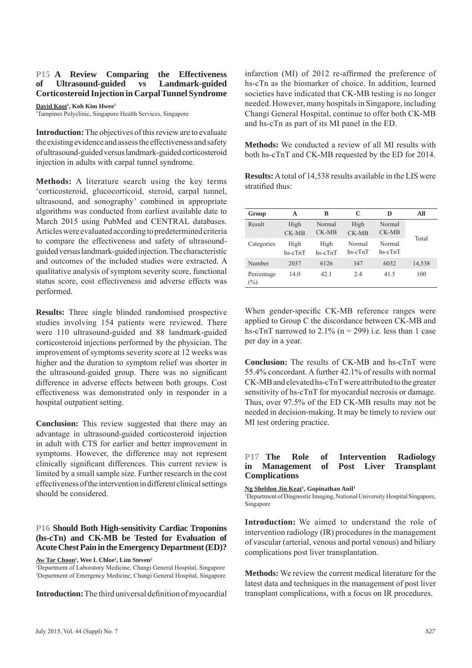#### **P15 A Review Comparing the Effectiveness of Ultrasound-guided vs Landmark-guided Corticosteroid Injection in Carpal Tunnel Syndrome**

**David Koot1 , Koh Kim Hwee1**

1 Tampines Polyclinic, Singapore Health Services, Singapore

**Introduction:** The objectives of this review are to evaluate the existing evidence and assess the effectiveness and safety of ultrasound-guided versus landmark-guided corticosteroid injection in adults with carpal tunnel syndrome.

**Methods:** A literature search using the key terms 'corticosteroid, glucocorticoid, steroid, carpal tunnel, ultrasound, and sonography' combined in appropriate algorithms was conducted from earliest available date to March 2015 using PubMed and CENTRAL databases. Articles were evaluated according to predetermined criteria to compare the effectiveness and safety of ultrasoundguided versus landmark-guided injection. The characteristic and outcomes of the included studies were extracted. A qualitative analysis of symptom severity score, functional status score, cost effectiveness and adverse effects was performed.

**Results:** Three single blinded randomised prospective studies involving 154 patients were reviewed. There were 110 ultrasound-guided and 88 landmark-guided corticosteroid injections performed by the physician. The improvement of symptoms severity score at 12 weeks was higher and the duration to symptom relief was shorter in the ultrasound-guided group. There was no significant difference in adverse effects between both groups. Cost effectiveness was demonstrated only in responder in a hospital outpatient setting.

**Conclusion:** This review suggested that there may an advantage in ultrasound-guided corticosteroid injection in adult with CTS for earlier and better improvement in symptoms. However, the difference may not represent clinically significant differences. This current review is limited by a small sample size. Further research in the cost effectiveness of the intervention in different clinical settings should be considered.

#### **P16 Should Both High-sensitivity Cardiac Troponins (hs-cTn) and CK-MB be Tested for Evaluation of Acute Chest Pain in the Emergency Department (ED)?**

 $\mathbf{\underline{A}w}\mathbf{\underline{T}ar}\mathbf{\underline{Choon}}^1,$  Wee  $\mathbf{L}\mathbf{\underline{Chloe}}^1,$   $\mathbf{Lim}\mathbf{\underline{Steven}}^2$ 

1 Department of Laboratory Medicine, Changi General Hospital, Singapore 2 Department of Emergency Medicine, Changi General Hospital, Singapore

**Introduction:** The third universal definition of myocardial

infarction  $(MI)$  of 2012 re-affirmed the preference of hs-cTn as the biomarker of choice. In addition, learned societies have indicated that CK-MB testing is no longer needed. However, many hospitals in Singapore, including Changi General Hospital, continue to offer both CK-MB and hs-cTn as part of its MI panel in the ED.

**Methods:** We conducted a review of all MI results with both hs-cTnT and CK-MB requested by the ED for 2014.

**Results:** A total of 14,538 results available in the LIS were stratified thus:

| Group             | A               | B                 | C                 | D                 | All    |
|-------------------|-----------------|-------------------|-------------------|-------------------|--------|
| Result            | High<br>CK-MB   | Normal<br>$CK-MB$ | High<br>CK-MB     | Normal<br>$CK-MB$ | Total  |
| Categories        | High<br>hs-cTnT | High<br>hs-cTnT   | Normal<br>hs-cTnT | Normal<br>hs-cTnT |        |
| Number            | 2037            | 6126              | 347               | 6032              | 14,538 |
| Percentage<br>(%) | 14.0            | 42.1              | 2.4               | 41.5              | 100    |

When gender-specific CK-MB reference ranges were applied to Group C the discordance between CK-MB and hs-cTnT narrowed to  $2.1\%$  (n = 299) i.e. less than 1 case per day in a year.

**Conclusion:** The results of CK-MB and hs-cTnT were 55.4% concordant. A further 42.1% of results with normal CK-MB and elevated hs-cTnT were attributed to the greater sensitivity of hs-cTnT for myocardial necrosis or damage. Thus, over 97.5% of the ED CK-MB results may not be needed in decision-making. It may be timely to review our MI test ordering practice.

#### **P17 The Role of Intervention Radiology in Management of Post Liver Transplant Complications**

Ng Sheldon Jin Keat<sup>1</sup>, Gopinathan Anil<sup>1</sup>

<sup>1</sup>Department of Diagnostic Imaging, National University Hospital Singapore, Singapore

**Introduction:** We aimed to understand the role of intervention radiology (IR) procedures in the management of vascular (arterial, venous and portal venous) and biliary complications post liver transplantation.

**Methods:** We review the current medical literature for the latest data and techniques in the management of post liver transplant complications, with a focus on IR procedures.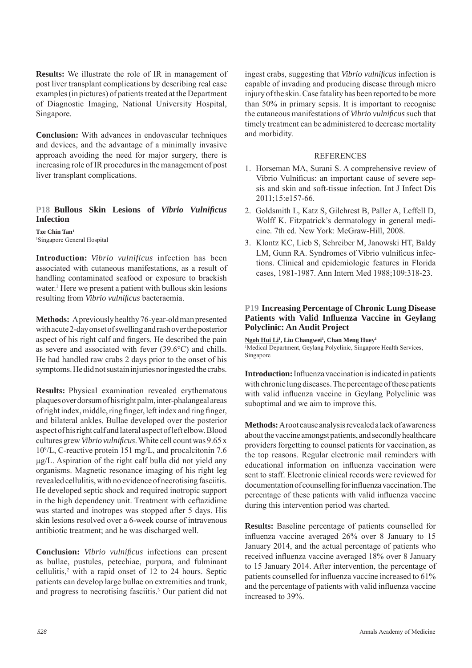**Results:** We illustrate the role of IR in management of post liver transplant complications by describing real case examples (in pictures) of patients treated at the Department of Diagnostic Imaging, National University Hospital, Singapore.

**Conclusion:** With advances in endovascular techniques and devices, and the advantage of a minimally invasive approach avoiding the need for major surgery, there is increasing role of IR procedures in the management of post liver transplant complications.

#### **P18 Bullous Skin Lesions of Vibrio Vulnificus Infection**

**Tze Chin Tan1** 1 Singapore General Hospital

**Introduction:** *Vibrio vulnificus* infection has been associated with cutaneous manifestations, as a result of handling contaminated seafood or exposure to brackish water.<sup>1</sup> Here we present a patient with bullous skin lesions resulting from *Vibrio vulnificus* bacteraemia.

**Methods:** A previously healthy 76-year-old man presented with acute 2-day onset of swelling and rash over the posterior aspect of his right calf and fingers. He described the pain as severe and associated with fever (39.6°C) and chills. He had handled raw crabs 2 days prior to the onset of his symptoms. He did not sustain injuries nor ingested the crabs.

**Results:** Physical examination revealed erythematous plaques over dorsum of his right palm, inter-phalangeal areas of right index, middle, ring finger, left index and ring finger, and bilateral ankles. Bullae developed over the posterior aspect of his right calf and lateral aspect of left elbow. Blood cultures grew *Vibrio vulnificus*. White cell count was 9.65 x 109 /L, C-reactive protein 151 mg/L, and procalcitonin 7.6 μg/L. Aspiration of the right calf bulla did not yield any organisms. Magnetic resonance imaging of his right leg revealed cellulitis, with no evidence of necrotising fasciitis. He developed septic shock and required inotropic support in the high dependency unit. Treatment with ceftazidime was started and inotropes was stopped after 5 days. His skin lesions resolved over a 6-week course of intravenous antibiotic treatment; and he was discharged well.

**Conclusion:** *Vibrio vulnificus* infections can present as bullae, pustules, petechiae, purpura, and fulminant cellulitis,2 with a rapid onset of 12 to 24 hours. Septic patients can develop large bullae on extremities and trunk, and progress to necrotising fasciitis.<sup>3</sup> Our patient did not

ingest crabs, suggesting that *Vibrio vulnificus* infection is capable of invading and producing disease through micro injury of the skin. Case fatality has been reported to be more than 50% in primary sepsis. It is important to recognise the cutaneous manifestations of *Vibrio vulnifi cus* such that timely treatment can be administered to decrease mortality and morbidity.

#### **REFERENCES**

- 1. Horseman MA, Surani S. A comprehensive review of Vibrio Vulnificus: an important cause of severe sepsis and skin and soft-tissue infection. Int J Infect Dis  $2011:15:e157-66$
- 2. Goldsmith L, Katz S, Gilchrest B, Paller A, Leffell D, Wolff K. Fitzpatrick's dermatology in general medicine. 7th ed. New York: McGraw-Hill, 2008.
- 3. Klontz KC, Lieb S, Schreiber M, Janowski HT, Baldy LM, Gunn RA. Syndromes of Vibrio vulnificus infections. Clinical and epidemiologic features in Florida cases, 1981-1987. Ann Intern Med 1988;109:318-23.

#### **P19 Increasing Percentage of Chronic Lung Disease**  Patients with Valid Influenza Vaccine in Geylang **Polyclinic: An Audit Project**

**Ngoh Hui Li1 , Liu Changwei1 , Chan Meng Huey1** <sup>1</sup>Medical Department, Geylang Polyclinic, Singapore Health Services, Singapore

**Introduction:** Influenza vaccination is indicated in patients with chronic lung diseases. The percentage of these patients with valid influenza vaccine in Geylang Polyclinic was suboptimal and we aim to improve this.

**Methods:** A root cause analysis revealed a lack of awareness about the vaccine amongst patients, and secondly healthcare providers forgetting to counsel patients for vaccination, as the top reasons. Regular electronic mail reminders with educational information on influenza vaccination were sent to staff. Electronic clinical records were reviewed for documentation of counselling for influenza vaccination. The percentage of these patients with valid influenza vaccine during this intervention period was charted.

**Results:** Baseline percentage of patients counselled for influenza vaccine averaged 26% over 8 January to 15 January 2014, and the actual percentage of patients who received influenza vaccine averaged 18% over 8 January to 15 January 2014. After intervention, the percentage of patients counselled for influenza vaccine increased to 61% and the percentage of patients with valid influenza vaccine increased to 39%.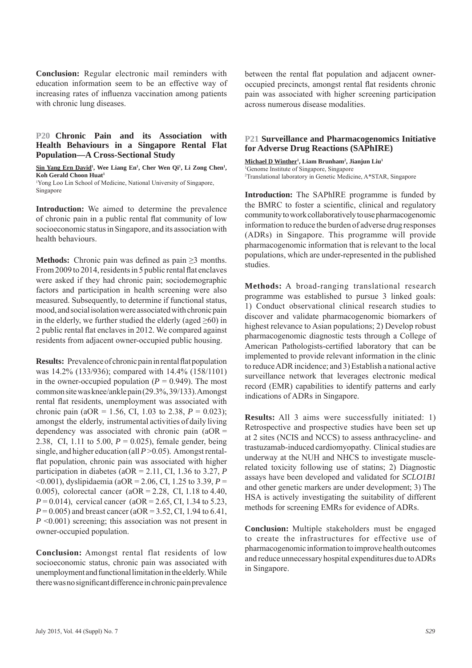**Conclusion:** Regular electronic mail reminders with education information seem to be an effective way of increasing rates of influenza vaccination among patients with chronic lung diseases.

#### **P20 Chronic Pain and its Association with Health Behaviours in a Singapore Rental Flat Population—A Cross-Sectional Study**

Sin Yang Ern David<sup>1</sup>, Wee Liang En<sup>1</sup>, Cher Wen Qi<sup>1</sup>, Li Zong Chen<sup>1</sup>, **Koh Gerald Choon Huat1** 1 Yong Loo Lin School of Medicine, National University of Singapore, Singapore

**Introduction:** We aimed to determine the prevalence of chronic pain in a public rental flat community of low socioeconomic status in Singapore, and its association with health behaviours.

**Methods:** Chronic pain was defined as pain  $\geq 3$  months. From 2009 to 2014, residents in 5 public rental flat enclaves were asked if they had chronic pain; sociodemographic factors and participation in health screening were also measured. Subsequently, to determine if functional status, mood, and social isolation were associated with chronic pain in the elderly, we further studied the elderly (aged  $\geq 60$ ) in 2 public rental flat enclaves in 2012. We compared against residents from adjacent owner-occupied public housing.

**Results:** Prevalence of chronic pain in rental flat population was 14.2% (133/936); compared with 14.4% (158/1101) in the owner-occupied population  $(P = 0.949)$ . The most common site was knee/ankle pain (29.3%, 39/133). Amongst rental flat residents, unemployment was associated with chronic pain (aOR = 1.56, CI, 1.03 to 2.38,  $P = 0.023$ ); amongst the elderly, instrumental activities of daily living dependency was associated with chronic pain  $(aOR =$ 2.38, CI, 1.11 to 5.00, *P* = 0.025), female gender, being single, and higher education (all *P* > 0.05). Amongst rentalflat population, chronic pain was associated with higher participation in diabetes ( $aOR = 2.11$ , CI, 1.36 to 3.27, *P* <0.001), dyslipidaemia (aOR = 2.06, CI, 1.25 to 3.39, *P* = 0.005), colorectal cancer ( $aOR = 2.28$ , CI, 1.18 to 4.40,  $P = 0.014$ , cervical cancer (aOR = 2.65, CI, 1.34 to 5.23, *P* = 0.005) and breast cancer (aOR = 3.52, CI, 1.94 to 6.41, *P* <0.001) screening; this association was not present in owner-occupied population.

**Conclusion:** Amongst rental flat residents of low socioeconomic status, chronic pain was associated with unemployment and functional limitation in the elderly. While there was no significant difference in chronic pain prevalence

between the rental flat population and adjacent owneroccupied precincts, amongst rental flat residents chronic pain was associated with higher screening participation across numerous disease modalities.

#### **P21 Surveillance and Pharmacogenomics Initiative for Adverse Drug Reactions (SAPhIRE)**

**Michael D Winther1 , Liam Brunham2 , Jianjun Liu1** 1 Genome Institute of Singapore, Singapore 2 Translational laboratory in Genetic Medicine, A\*STAR, Singapore

**Introduction:** The SAPhIRE programme is funded by the BMRC to foster a scientific, clinical and regulatory community to work collaboratively to use pharmacogenomic information to reduce the burden of adverse drug responses (ADRs) in Singapore. This programme will provide pharmacogenomic information that is relevant to the local populations, which are under-represented in the published studies.

**Methods:** A broad-ranging translational research programme was established to pursue 3 linked goals: 1) Conduct observational clinical research studies to discover and validate pharmacogenomic biomarkers of highest relevance to Asian populations; 2) Develop robust pharmacogenomic diagnostic tests through a College of American Pathologists-certified laboratory that can be implemented to provide relevant information in the clinic to reduce ADR incidence; and 3) Establish a national active surveillance network that leverages electronic medical record (EMR) capabilities to identify patterns and early indications of ADRs in Singapore.

**Results:** All 3 aims were successfully initiated: 1) Retrospective and prospective studies have been set up at 2 sites (NCIS and NCCS) to assess anthracycline- and trastuzamab-induced cardiomyopathy. Clinical studies are underway at the NUH and NHCS to investigate musclerelated toxicity following use of statins; 2) Diagnostic assays have been developed and validated for *SCLO1B1*  and other genetic markers are under development; 3) The HSA is actively investigating the suitability of different methods for screening EMRs for evidence of ADRs.

**Conclusion:** Multiple stakeholders must be engaged to create the infrastructures for effective use of pharmacogenomic information to improve health outcomes and reduce unnecessary hospital expenditures due to ADRs in Singapore.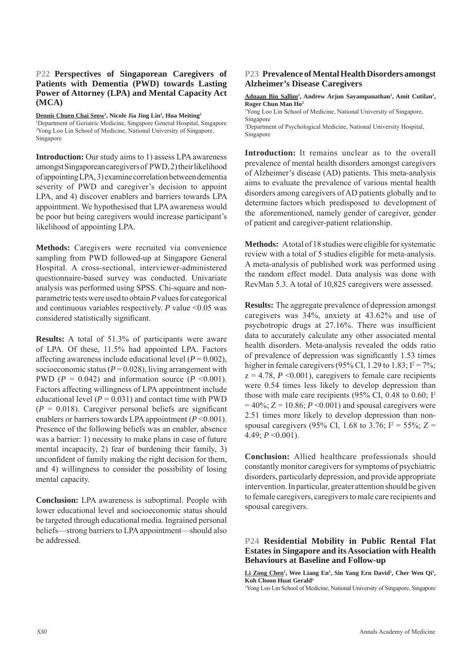#### **P22 Perspectives of Singaporean Caregivers of Patients with Dementia (PWD) towards Lasting Power of Attorney (LPA) and Mental Capacity Act (MCA)**

**Dennis Chuen Chai Seow1 , Nicole Jia Jing Lin2 , Hua Meiting2** <sup>1</sup>Department of Geriatric Medicine, Singapore General Hospital, Singapore 2 Yong Loo Lin School of Medicine, National University of Singapore, Singapore

**Introduction:** Our study aims to 1) assess LPA awareness amongst Singaporean caregivers of PWD, 2) their likelihood of appointing LPA, 3) examine correlation between dementia severity of PWD and caregiver's decision to appoint LPA, and 4) discover enablers and barriers towards LPA appointment. We hypothesised that LPA awareness would be poor but being caregivers would increase participant's likelihood of appointing LPA.

**Methods:** Caregivers were recruited via convenience sampling from PWD followed-up at Singapore General Hospital. A cross-sectional, interviewer-administered questionnaire-based survey was conducted. Univariate analysis was performed using SPSS. Chi-square and nonparametric tests were used to obtain *P* values for categorical and continuous variables respectively. *P* value <0.05 was considered statistically significant.

**Results:** A total of 51.3% of participants were aware of LPA. Of these, 11.5% had appointed LPA. Factors affecting awareness include educational level  $(P = 0.002)$ , socioeconomic status ( $P = 0.028$ ), living arrangement with PWD ( $P = 0.042$ ) and information source ( $P \le 0.001$ ). Factors affecting willingness of LPA appointment include educational level  $(P = 0.031)$  and contact time with PWD  $(P = 0.018)$ . Caregiver personal beliefs are significant enablers or barriers towards LPA appointment  $(P<0.001)$ . Presence of the following beliefs was an enabler, absence was a barrier: 1) necessity to make plans in case of future mental incapacity, 2) fear of burdening their family, 3) unconfident of family making the right decision for them, and 4) willingness to consider the possibility of losing mental capacity.

**Conclusion:** LPA awareness is suboptimal. People with lower educational level and socioeconomic status should be targeted through educational media. Ingrained personal beliefs—strong barriers to LPA appointment—should also be addressed.

#### **P23 Prevalence of Mental Health Disorders amongst Alzheimer's Disease Caregivers**

Adnaan Bin Sallim<sup>1</sup>, Andrew Arjun Sayampanathan<sup>1</sup>, Amit Cutilan<sup>1</sup>, **Roger Chun Man Ho2**

1 Yong Loo Lin School of Medicine, National University of Singapore, Singapore 2 Department of Psychological Medicine, National University Hospital,

Singapore

**Introduction:** It remains unclear as to the overall prevalence of mental health disorders amongst caregivers of Alzheimer's disease (AD) patients. This meta-analysis aims to evaluate the prevalence of various mental health disorders among caregivers of AD patients globally and to determine factors which predisposed to development of the aforementioned, namely gender of caregiver, gender of patient and caregiver-patient relationship.

**Methods:** A total of 18 studies were eligible for systematic review with a total of 5 studies eligible for meta-analysis. A meta-analysis of published work was performed using the random effect model. Data analysis was done with RevMan 5.3. A total of 10,825 caregivers were assessed.

**Results:** The aggregate prevalence of depression amongst caregivers was 34%, anxiety at 43.62% and use of psychotropic drugs at 27.16%. There was insufficient data to accurately calculate any other associated mental health disorders. Meta-analysis revealed the odds ratio of prevalence of depression was significantly 1.53 times higher in female caregivers (95% CI, 1.29 to 1.83;  $I^2 = 7\%$ ;  $z = 4.78$ ,  $P \le 0.001$ ), caregivers to female care recipients were 0.54 times less likely to develop depression than those with male care recipients (95% CI, 0.48 to 0.60;  $I^2$  $= 40\%$ ;  $Z = 10.86$ ;  $P \le 0.001$ ) and spousal caregivers were 2.51 times more likely to develop depression than nonspousal caregivers (95% CI, 1.68 to 3.76;  $I^2 = 55\%$ ; Z = 4.49; *P* <0.001).

**Conclusion:** Allied healthcare professionals should constantly monitor caregivers for symptoms of psychiatric disorders, particularly depression, and provide appropriate intervention. In particular, greater attention should be given to female caregivers, caregivers to male care recipients and spousal caregivers.

#### **P24 Residential Mobility in Public Rental Flat Estates in Singapore and its Association with Health Behaviours at Baseline and Follow-up**

Li Zong Chen<sup>1</sup>, Wee Liang En<sup>1</sup>, Sin Yang Ern David<sup>1</sup>, Cher Wen Qi<sup>1</sup>, **Koh Choon Huat Gerald1**

1 Yong Loo Lin School of Medicine, National University of Singapore, Singapore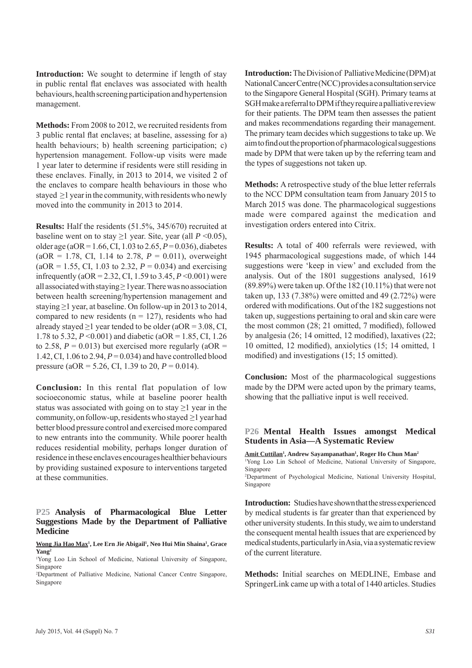**Introduction:** We sought to determine if length of stay in public rental flat enclaves was associated with health behaviours, health screening participation and hypertension management.

**Methods:** From 2008 to 2012, we recruited residents from 3 public rental flat enclaves; at baseline, assessing for a) health behaviours; b) health screening participation; c) hypertension management. Follow-up visits were made 1 year later to determine if residents were still residing in these enclaves. Finally, in 2013 to 2014, we visited 2 of the enclaves to compare health behaviours in those who stayed ≥1 year in the community, with residents who newly moved into the community in 2013 to 2014.

**Results:** Half the residents (51.5%, 345/670) recruited at baseline went on to stay  $\geq 1$  year. Site, year (all  $P \leq 0.05$ ), older age (aOR = 1.66, CI, 1.03 to 2.65, *P* = 0.036), diabetes  $(aOR = 1.78, CI, 1.14$  to 2.78,  $P = 0.011$ ), overweight  $(aOR = 1.55, CI, 1.03$  to 2.32,  $P = 0.034$ ) and exercising infrequently (aOR = 2.32, CI, 1.59 to 3.45, *P* <0.001) were all associated with staying  $\geq 1$  year. There was no association between health screening/hypertension management and staying  $\geq 1$  year, at baseline. On follow-up in 2013 to 2014, compared to new residents ( $n = 127$ ), residents who had already stayed >1 year tended to be older  $(aOR = 3.08, CI,$ 1.78 to 5.32, *P* <0.001) and diabetic (aOR = 1.85, CI, 1.26 to 2.58,  $P = 0.013$ ) but exercised more regularly (aOR = 1.42, CI, 1.06 to 2.94, *P* = 0.034) and have controlled blood pressure (aOR = 5.26, CI, 1.39 to 20,  $P = 0.014$ ).

**Conclusion:** In this rental flat population of low socioeconomic status, while at baseline poorer health status was associated with going on to stay  $\geq 1$  year in the community, on follow-up, residents who stayed  $\geq 1$  year had better blood pressure control and exercised more compared to new entrants into the community. While poorer health reduces residential mobility, perhaps longer duration of residence in these enclaves encourages healthier behaviours by providing sustained exposure to interventions targeted at these communities.

#### **P25 Analysis of Pharmacological Blue Letter Suggestions Made by the Department of Palliative Medicine**

**Wong Jia Hao Max1 , Lee Ern Jie Abigail1 , Neo Hui Min Shaina1 , Grace Yang2**

1 Yong Loo Lin School of Medicine, National University of Singapore, Singapore

2 Department of Palliative Medicine, National Cancer Centre Singapore, Singapore

**Introduction:** The Division of Palliative Medicine (DPM) at National Cancer Centre (NCC) provides a consultation service to the Singapore General Hospital (SGH). Primary teams at SGH make a referral to DPM if they require a palliative review for their patients. The DPM team then assesses the patient and makes recommendations regarding their management. The primary team decides which suggestions to take up. We aim to find out the proportion of pharmacological suggestions made by DPM that were taken up by the referring team and the types of suggestions not taken up.

**Methods:** A retrospective study of the blue letter referrals to the NCC DPM consultation team from January 2015 to March 2015 was done. The pharmacological suggestions made were compared against the medication and investigation orders entered into Citrix.

**Results:** A total of 400 referrals were reviewed, with 1945 pharmacological suggestions made, of which 144 suggestions were 'keep in view' and excluded from the analysis. Out of the 1801 suggestions analysed, 1619 (89.89%) were taken up. Of the 182 (10.11%) that were not taken up, 133 (7.38%) were omitted and 49 (2.72%) were ordered with modifications. Out of the 182 suggestions not taken up, suggestions pertaining to oral and skin care were the most common  $(28; 21$  omitted, 7 modified), followed by analgesia  $(26; 14$  omitted, 12 modified), laxatives  $(22;$ 10 omitted, 12 modified), anxiolytics (15; 14 omitted, 1 modified) and investigations (15; 15 omitted).

**Conclusion:** Most of the pharmacological suggestions made by the DPM were acted upon by the primary teams, showing that the palliative input is well received.

#### **P26 Mental Health Issues amongst Medical Students in Asia—A Systematic Review**

Amit Cuttilan<sup>1</sup>, Andrew Sayampanathan<sup>1</sup>, Roger Ho Chun Man<sup>2</sup> 1 Yong Loo Lin School of Medicine, National University of Singapore, Singapore

2 Department of Psychological Medicine, National University Hospital, Singapore

**Introduction:** Studies have shown that the stress experienced by medical students is far greater than that experienced by other university students. In this study, we aim to understand the consequent mental health issues that are experienced by medical students, particularly in Asia, via a systematic review of the current literature.

**Methods:** Initial searches on MEDLINE, Embase and SpringerLink came up with a total of 1440 articles. Studies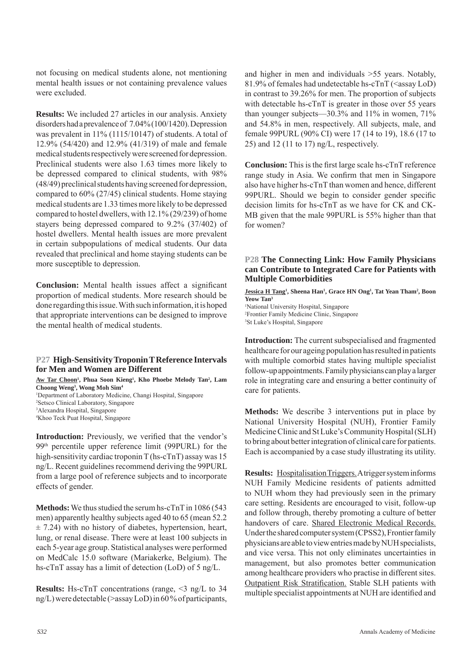not focusing on medical students alone, not mentioning mental health issues or not containing prevalence values were excluded.

**Results:** We included 27 articles in our analysis. Anxiety disorders had a prevalence of 7.04% (100/1420). Depression was prevalent in 11% (1115/10147) of students. A total of 12.9% (54/420) and 12.9% (41/319) of male and female medical students respectively were screened for depression. Preclinical students were also 1.63 times more likely to be depressed compared to clinical students, with 98% (48/49) preclinical students having screened for depression, compared to 60% (27/45) clinical students. Home staying medical students are 1.33 times more likely to be depressed compared to hostel dwellers, with 12.1% (29/239) of home stayers being depressed compared to 9.2% (37/402) of hostel dwellers. Mental health issues are more prevalent in certain subpopulations of medical students. Our data revealed that preclinical and home staying students can be more susceptible to depression.

**Conclusion:** Mental health issues affect a significant proportion of medical students. More research should be done regarding this issue. With such information, it is hoped that appropriate interventions can be designed to improve the mental health of medical students.

#### **P27 High-Sensitivity Troponin T Reference Intervals for Men and Women are Different**

Aw Tar Choon<sup>1</sup>, Phua Soon Kieng<sup>1</sup>, Kho Phoebe Melody Tan<sup>2</sup>, Lam **Choong Weng3 , Wong Moh Sim4** 1 Department of Laboratory Medicine, Changi Hospital, Singapore 2 Setsco Clinical Laboratory, Singapore

3 Alexandra Hospital, Singapore

**Introduction:** Previously, we verified that the vendor's 99th percentile upper reference limit (99PURL) for the high-sensitivity cardiac troponin T (hs-cTnT) assay was 15 ng/L. Recent guidelines recommend deriving the 99PURL from a large pool of reference subjects and to incorporate effects of gender.

**Methods:** We thus studied the serum hs-cTnT in 1086 (543 men) apparently healthy subjects aged 40 to 65 (mean 52.2  $\pm$  7.24) with no history of diabetes, hypertension, heart, lung, or renal disease. There were at least 100 subjects in each 5-year age group. Statistical analyses were performed on MedCalc 15.0 software (Mariakerke, Belgium). The hs-cTnT assay has a limit of detection (LoD) of 5 ng/L.

**Results:** Hs-cTnT concentrations (range, <3 ng/L to 34 ng/L) were detectable (>assay LoD) in 60 % of participants,

and higher in men and individuals >55 years. Notably, 81.9% of females had undetectable hs- $cTnT$  (<assay LoD) in contrast to 39.26% for men. The proportion of subjects with detectable hs-cTnT is greater in those over 55 years than younger subjects—30.3% and 11% in women, 71% and 54.8% in men, respectively. All subjects, male, and female 99PURL (90% CI) were 17 (14 to 19), 18.6 (17 to 25) and 12 (11 to 17) ng/L, respectively.

**Conclusion:** This is the first large scale hs-cTnT reference range study in Asia. We confirm that men in Singapore also have higher hs-cTnT than women and hence, different 99PURL. Should we begin to consider gender specific decision limits for hs-cTnT as we have for CK and CK-MB given that the male 99PURL is 55% higher than that for women?

#### **P28 The Connecting Link: How Family Physicians can Contribute to Integrated Care for Patients with Multiple Comorbidities**

**Jessica H Tang<sup>1</sup>, Sheena Han<sup>1</sup>, Grace HN Ong<sup>1</sup>, Tat Yean Tham<sup>2</sup>, Boon Yeow Tan3** 1 National University Hospital, Singapore 2 Frontier Family Medicine Clinic, Singapore 3 St Luke's Hospital, Singapore

**Introduction:** The current subspecialised and fragmented healthcare for our ageing population has resulted in patients with multiple comorbid states having multiple specialist follow-up appointments. Family physicians can play a larger role in integrating care and ensuring a better continuity of care for patients.

**Methods:** We describe 3 interventions put in place by National University Hospital (NUH), Frontier Family Medicine Clinic and St Luke's Community Hospital (SLH) to bring about better integration of clinical care for patients. Each is accompanied by a case study illustrating its utility.

**Results:** Hospitalisation Triggers. A trigger system informs NUH Family Medicine residents of patients admitted to NUH whom they had previously seen in the primary care setting. Residents are encouraged to visit, follow-up and follow through, thereby promoting a culture of better handovers of care. Shared Electronic Medical Records. Under the shared computer system (CPSS2), Frontier family physicians are able to view entries made by NUH specialists, and vice versa. This not only eliminates uncertainties in management, but also promotes better communication among healthcare providers who practise in different sites. Outpatient Risk Stratification. Stable SLH patients with multiple specialist appointments at NUH are identified and

<sup>4</sup> Khoo Teck Puat Hospital, Singapore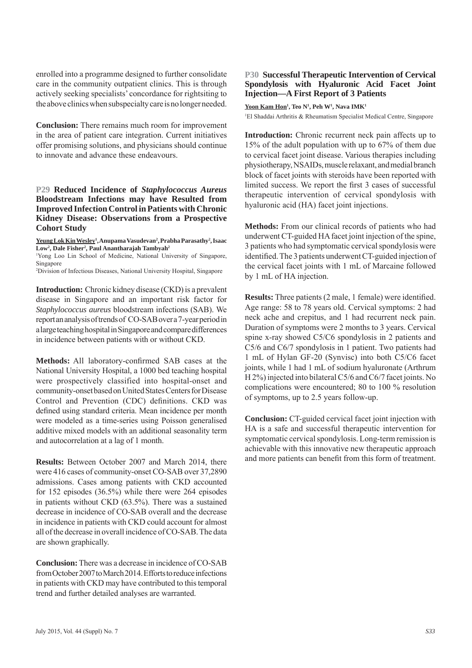enrolled into a programme designed to further consolidate care in the community outpatient clinics. This is through actively seeking specialists' concordance for rightsiting to the above clinics when subspecialty care is no longer needed.

**Conclusion:** There remains much room for improvement in the area of patient care integration. Current initiatives offer promising solutions, and physicians should continue to innovate and advance these endeavours.

#### **P29 Reduced Incidence of** *Staphylococcus Aureus*  **Bloodstream Infections may have Resulted from Improved Infection Control in Patients with Chronic Kidney Disease: Observations from a Prospective Cohort Study**

**Yeung Lok Kin Wesley1 , Anupama Vasudevan2 , Prabha Parasathy2 , Isaac**  Low<sup>2</sup>, Dale Fisher<sup>2</sup>, Paul Anantharajah Tambyah<sup>2</sup>

1 Yong Loo Lin School of Medicine, National University of Singapore, Singapore

2 Division of Infectious Diseases, National University Hospital, Singapore

**Introduction:** Chronic kidney disease (CKD) is a prevalent disease in Singapore and an important risk factor for *Staphylococcus aureus* bloodstream infections (SAB). We report an analysis of trends of CO-SAB over a 7-year period in a large teaching hospital in Singapore and compare differences in incidence between patients with or without CKD.

Methods: All laboratory-confirmed SAB cases at the National University Hospital, a 1000 bed teaching hospital were prospectively classified into hospital-onset and community-onset based on United States Centers for Disease Control and Prevention (CDC) definitions. CKD was defined using standard criteria. Mean incidence per month were modeled as a time-series using Poisson generalised additive mixed models with an additional seasonality term and autocorrelation at a lag of 1 month.

**Results:** Between October 2007 and March 2014, there were 416 cases of community-onset CO-SAB over 37,2890 admissions. Cases among patients with CKD accounted for 152 episodes (36.5%) while there were 264 episodes in patients without CKD (63.5%). There was a sustained decrease in incidence of CO-SAB overall and the decrease in incidence in patients with CKD could account for almost all of the decrease in overall incidence of CO-SAB. The data are shown graphically.

**Conclusion:** There was a decrease in incidence of CO-SAB from October 2007 to March 2014. Efforts to reduce infections in patients with CKD may have contributed to this temporal trend and further detailed analyses are warranted.

#### **P30 Successful Therapeutic Intervention of Cervical Spondylosis with Hyaluronic Acid Facet Joint Injection—A First Report of 3 Patients**

 $\frac{Y}{1}$ **M Kam Hon**<sup>1</sup>, Teo N<sup>1</sup>, Peh W<sup>1</sup>, Nava IMK<sup>1</sup>

1 El Shaddai Arthritis & Rheumatism Specialist Medical Centre, Singapore

**Introduction:** Chronic recurrent neck pain affects up to 15% of the adult population with up to 67% of them due to cervical facet joint disease. Various therapies including physiotherapy, NSAIDs, muscle relaxant, and medial branch block of facet joints with steroids have been reported with limited success. We report the first 3 cases of successful therapeutic intervention of cervical spondylosis with hyaluronic acid (HA) facet joint injections.

**Methods:** From our clinical records of patients who had underwent CT-guided HA facet joint injection of the spine, 3 patients who had symptomatic cervical spondylosis were identified. The 3 patients underwent CT-guided injection of the cervical facet joints with 1 mL of Marcaine followed by 1 mL of HA injection.

**Results:** Three patients (2 male, 1 female) were identified. Age range: 58 to 78 years old. Cervical symptoms: 2 had neck ache and crepitus, and 1 had recurrent neck pain. Duration of symptoms were 2 months to 3 years. Cervical spine x-ray showed C5/C6 spondylosis in 2 patients and C5/6 and C6/7 spondylosis in 1 patient. Two patients had 1 mL of Hylan GF-20 (Synvisc) into both C5/C6 facet joints, while 1 had 1 mL of sodium hyaluronate (Arthrum H 2%) injected into bilateral C5/6 and C6/7 facet joints. No complications were encountered; 80 to 100 % resolution of symptoms, up to 2.5 years follow-up.

**Conclusion:** CT-guided cervical facet joint injection with HA is a safe and successful therapeutic intervention for symptomatic cervical spondylosis. Long-term remission is achievable with this innovative new therapeutic approach and more patients can benefit from this form of treatment.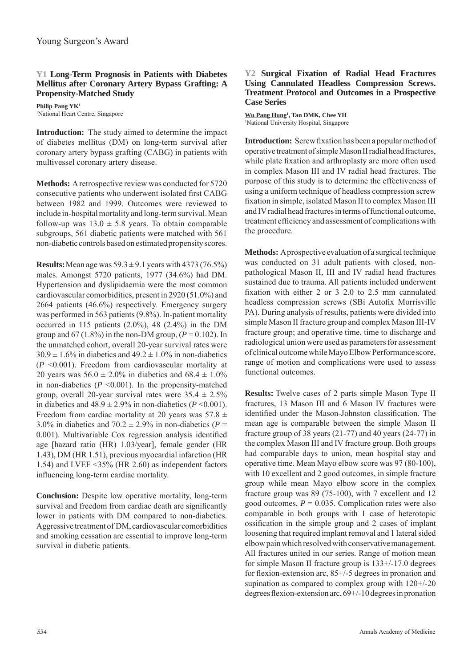#### **Y1 Long-Term Prognosis in Patients with Diabetes Mellitus after Coronary Artery Bypass Grafting: A Propensity-Matched Study**

**Philip Pang YK1** 1 National Heart Centre, Singapore

**Introduction:** The study aimed to determine the impact of diabetes mellitus (DM) on long-term survival after coronary artery bypass grafting (CABG) in patients with multivessel coronary artery disease.

**Methods:** A retrospective review was conducted for 5720 consecutive patients who underwent isolated first CABG between 1982 and 1999. Outcomes were reviewed to include in-hospital mortality and long-term survival. Mean follow-up was  $13.0 \pm 5.8$  years. To obtain comparable subgroups, 561 diabetic patients were matched with 561 non-diabetic controls based on estimated propensity scores.

**Results:** Mean age was  $59.3 \pm 9.1$  years with 4373 (76.5%) males. Amongst 5720 patients, 1977 (34.6%) had DM. Hypertension and dyslipidaemia were the most common cardiovascular comorbidities, present in 2920 (51.0%) and 2664 patients (46.6%) respectively. Emergency surgery was performed in 563 patients (9.8%). In-patient mortality occurred in 115 patients (2.0%), 48 (2.4%) in the DM group and  $67$  (1.8%) in the non-DM group,  $(P = 0.102)$ . In the unmatched cohort, overall 20-year survival rates were  $30.9 \pm 1.6\%$  in diabetics and  $49.2 \pm 1.0\%$  in non-diabetics (*P* <0.001). Freedom from cardiovascular mortality at 20 years was  $56.0 \pm 2.0\%$  in diabetics and  $68.4 \pm 1.0\%$ in non-diabetics  $(P \le 0.001)$ . In the propensity-matched group, overall 20-year survival rates were  $35.4 \pm 2.5\%$ in diabetics and  $48.9 \pm 2.9\%$  in non-diabetics ( $P \le 0.001$ ). Freedom from cardiac mortality at 20 years was  $57.8 \pm$ 3.0% in diabetics and  $70.2 \pm 2.9$ % in non-diabetics ( $P =$ 0.001). Multivariable Cox regression analysis identified age [hazard ratio (HR) 1.03/year], female gender (HR 1.43), DM (HR 1.51), previous myocardial infarction (HR 1.54) and LVEF <35% (HR 2.60) as independent factors influencing long-term cardiac mortality.

**Conclusion:** Despite low operative mortality, long-term survival and freedom from cardiac death are significantly lower in patients with DM compared to non-diabetics. Aggressive treatment of DM, cardiovascular comorbidities and smoking cessation are essential to improve long-term survival in diabetic patients.

#### **Y2 Surgical Fixation of Radial Head Fractures Using Cannulated Headless Compression Screws. Treatment Protocol and Outcomes in a Prospective Case Series**

**Wu Pang Hung1 , Tan DMK, Chee YH** <sup>1</sup>National University Hospital, Singapore

**Introduction:** Screw fixation has been a popular method of operative treatment of simple Mason II radial head fractures, while plate fixation and arthroplasty are more often used in complex Mason III and IV radial head fractures. The purpose of this study is to determine the effectiveness of using a uniform technique of headless compression screw fixation in simple, isolated Mason II to complex Mason III and IV radial head fractures in terms of functional outcome, treatment efficiency and assessment of complications with the procedure.

**Methods:** A prospective evaluation of a surgical technique was conducted on 31 adult patients with closed, nonpathological Mason II, III and IV radial head fractures sustained due to trauma. All patients included underwent fixation with either  $2$  or  $3$   $2.0$  to  $2.5$  mm cannulated headless compression screws (SBi Autofix Morrisville PA). During analysis of results, patients were divided into simple Mason II fracture group and complex Mason III-IV fracture group; and operative time, time to discharge and radiological union were used as parameters for assessment of clinical outcome while Mayo Elbow Performance score, range of motion and complications were used to assess functional outcomes.

**Results:** Twelve cases of 2 parts simple Mason Type II fractures, 13 Mason III and 6 Mason IV fractures were identified under the Mason-Johnston classification. The mean age is comparable between the simple Mason II fracture group of 38 years (21-77) and 40 years (24-77) in the complex Mason III and IV fracture group. Both groups had comparable days to union, mean hospital stay and operative time. Mean Mayo elbow score was 97 (80-100), with 10 excellent and 2 good outcomes, in simple fracture group while mean Mayo elbow score in the complex fracture group was 89 (75-100), with 7 excellent and 12 good outcomes,  $P = 0.035$ . Complication rates were also comparable in both groups with 1 case of heterotopic ossification in the simple group and 2 cases of implant loosening that required implant removal and 1 lateral sided elbow pain which resolved with conservative management. All fractures united in our series. Range of motion mean for simple Mason II fracture group is 133+/-17.0 degrees for flexion-extension arc,  $85+/5$  degrees in pronation and supination as compared to complex group with 120+/-20 degrees flexion-extension arc,  $69+/-10$  degrees in pronation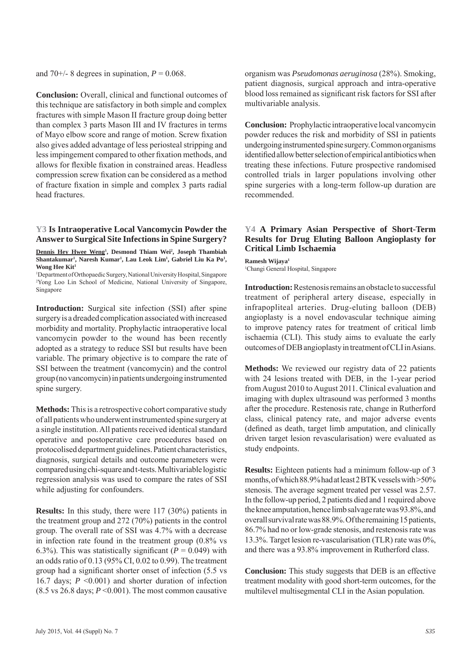and 70+/- 8 degrees in supination,  $P = 0.068$ .

**Conclusion:** Overall, clinical and functional outcomes of this technique are satisfactory in both simple and complex fractures with simple Mason II fracture group doing better than complex 3 parts Mason III and IV fractures in terms of Mayo elbow score and range of motion. Screw fixation also gives added advantage of less periosteal stripping and less impingement compared to other fixation methods, and allows for flexible fixation in constrained areas. Headless compression screw fixation can be considered as a method of fracture fixation in simple and complex 3 parts radial head fractures.

#### **Y3 Is Intraoperative Local Vancomycin Powder the Answer to Surgical Site Infections in Spine Surgery?**

Dennis Hey Hwee Weng<sup>1</sup>, Desmond Thiam Wei<sup>2</sup>, Joseph Thambiah Shantakumar<sup>1</sup>, Naresh Kumar<sup>1</sup>, Lau Leok Lim<sup>1</sup>, Gabriel Liu Ka Po<sup>1</sup>, **Wong Hee Kit1**

1 Department of Orthopaedic Surgery, National University Hospital, Singapore 2 Yong Loo Lin School of Medicine, National University of Singapore, Singapore

**Introduction:** Surgical site infection (SSI) after spine surgery is a dreaded complication associated with increased morbidity and mortality. Prophylactic intraoperative local vancomycin powder to the wound has been recently adopted as a strategy to reduce SSI but results have been variable. The primary objective is to compare the rate of SSI between the treatment (vancomycin) and the control group (no vancomycin) in patients undergoing instrumented spine surgery.

**Methods:** This is a retrospective cohort comparative study of all patients who underwent instrumented spine surgery at a single institution. All patients received identical standard operative and postoperative care procedures based on protocolised department guidelines. Patient characteristics, diagnosis, surgical details and outcome parameters were compared using chi-square and t-tests. Multivariable logistic regression analysis was used to compare the rates of SSI while adjusting for confounders.

**Results:** In this study, there were 117 (30%) patients in the treatment group and 272 (70%) patients in the control group. The overall rate of SSI was 4.7% with a decrease in infection rate found in the treatment group (0.8% vs 6.3%). This was statistically significant ( $P = 0.049$ ) with an odds ratio of 0.13 (95% CI, 0.02 to 0.99). The treatment group had a significant shorter onset of infection (5.5 vs 16.7 days; *P* <0.001) and shorter duration of infection (8.5 vs 26.8 days;  $P \le 0.001$ ). The most common causative organism was *Pseudomonas aeruginosa* (28%). Smoking, patient diagnosis, surgical approach and intra-operative blood loss remained as significant risk factors for SSI after multivariable analysis.

**Conclusion:** Prophylactic intraoperative local vancomycin powder reduces the risk and morbidity of SSI in patients undergoing instrumented spine surgery. Common organisms identified allow better selection of empirical antibiotics when treating these infections. Future prospective randomised controlled trials in larger populations involving other spine surgeries with a long-term follow-up duration are recommended.

#### **Y4 A Primary Asian Perspective of Short-Term Results for Drug Eluting Balloon Angioplasty for Critical Limb Ischaemia**

**Ramesh Wijaya1** 1 Changi General Hospital, Singapore

**Introduction:** Restenosis remains an obstacle to successful treatment of peripheral artery disease, especially in infrapopliteal arteries. Drug-eluting balloon (DEB) angioplasty is a novel endovascular technique aiming to improve patency rates for treatment of critical limb ischaemia (CLI). This study aims to evaluate the early outcomes of DEB angioplasty in treatment of CLI in Asians.

**Methods:** We reviewed our registry data of 22 patients with 24 lesions treated with DEB, in the 1-year period from August 2010 to August 2011. Clinical evaluation and imaging with duplex ultrasound was performed 3 months after the procedure. Restenosis rate, change in Rutherford class, clinical patency rate, and major adverse events (defined as death, target limb amputation, and clinically driven target lesion revascularisation) were evaluated as study endpoints.

**Results:** Eighteen patients had a minimum follow-up of 3 months, of which 88.9% had at least 2 BTK vessels with >50% stenosis. The average segment treated per vessel was 2.57. In the follow-up period, 2 patients died and 1 required above the knee amputation, hence limb salvage rate was 93.8%, and overall survival rate was 88.9%. Of the remaining 15 patients, 86.7% had no or low-grade stenosis, and restenosis rate was 13.3%. Target lesion re-vascularisation (TLR) rate was 0%, and there was a 93.8% improvement in Rutherford class.

**Conclusion:** This study suggests that DEB is an effective treatment modality with good short-term outcomes, for the multilevel multisegmental CLI in the Asian population.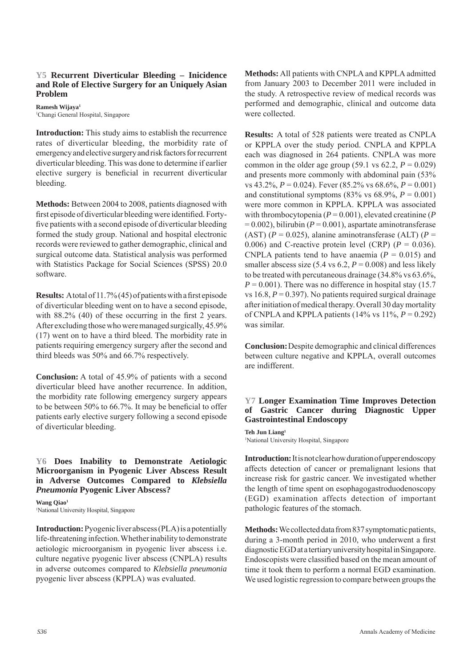#### **Y5 Recurrent Diverticular Bleeding – Inicidence and Role of Elective Surgery for an Uniquely Asian Problem**

**Ramesh Wijaya1** 1 Changi General Hospital, Singapore

**Introduction:** This study aims to establish the recurrence rates of diverticular bleeding, the morbidity rate of emergency and elective surgery and risk factors for recurrent diverticular bleeding. This was done to determine if earlier elective surgery is beneficial in recurrent diverticular bleeding.

**Methods:** Between 2004 to 2008, patients diagnosed with first episode of diverticular bleeding were identified. Fortyfive patients with a second episode of diverticular bleeding formed the study group. National and hospital electronic records were reviewed to gather demographic, clinical and surgical outcome data. Statistical analysis was performed with Statistics Package for Social Sciences (SPSS) 20.0 software.

**Results:** A total of 11.7% (45) of patients with a first episode of diverticular bleeding went on to have a second episode, with  $88.2\%$  (40) of these occurring in the first 2 years. After excluding those who were managed surgically, 45.9% (17) went on to have a third bleed. The morbidity rate in patients requiring emergency surgery after the second and third bleeds was 50% and 66.7% respectively.

**Conclusion:** A total of 45.9% of patients with a second diverticular bleed have another recurrence. In addition, the morbidity rate following emergency surgery appears to be between  $50\%$  to  $66.7\%$ . It may be beneficial to offer patients early elective surgery following a second episode of diverticular bleeding.

#### **Y6 Does Inability to Demonstrate Aetiologic Microorganism in Pyogenic Liver Abscess Result in Adverse Outcomes Compared to** *Klebsiella Pneumonia* **Pyogenic Liver Abscess?**

Wang Oiao<sup>1</sup> 1 National University Hospital, Singapore

**Introduction:** Pyogenic liver abscess (PLA) is a potentially life-threatening infection. Whether inability to demonstrate aetiologic microorganism in pyogenic liver abscess i.e. culture negative pyogenic liver abscess (CNPLA) results in adverse outcomes compared to *Klebsiella pneumonia*  pyogenic liver abscess (KPPLA) was evaluated.

**Methods:** All patients with CNPLA and KPPLA admitted from January 2003 to December 2011 were included in the study. A retrospective review of medical records was performed and demographic, clinical and outcome data were collected.

**Results:** A total of 528 patients were treated as CNPLA or KPPLA over the study period. CNPLA and KPPLA each was diagnosed in 264 patients. CNPLA was more common in the older age group (59.1 vs  $62.2$ ,  $P = 0.029$ ) and presents more commonly with abdominal pain (53% vs 43.2%, *P* = 0.024). Fever (85.2% vs 68.6%, *P* = 0.001) and constitutional symptoms (83% vs  $68.9\%$ ,  $P = 0.001$ ) were more common in KPPLA. KPPLA was associated with thrombocytopenia ( $P = 0.001$ ), elevated creatinine ( $P$  $= 0.002$ ), bilirubin ( $P = 0.001$ ), aspartate aminotransferase (AST)  $(P = 0.025)$ , alanine aminotransferase (ALT)  $(P = 0.025)$ 0.006) and C-reactive protein level (CRP)  $(P = 0.036)$ . CNPLA patients tend to have anaemia  $(P = 0.015)$  and smaller abscess size  $(5.4 \text{ vs } 6.2, P = 0.008)$  and less likely to be treated with percutaneous drainage (34.8% vs 63.6%,  $P = 0.001$ ). There was no difference in hospital stay (15.7) vs  $16.8$ ,  $P = 0.397$ ). No patients required surgical drainage after initiation of medical therapy. Overall 30 day mortality of CNPLA and KPPLA patients  $(14\% \text{ vs } 11\%, P = 0.292)$ was similar.

**Conclusion:** Despite demographic and clinical differences between culture negative and KPPLA, overall outcomes are indifferent.

#### **Y7 Longer Examination Time Improves Detection of Gastric Cancer during Diagnostic Upper Gastrointestinal Endoscopy**

**Teh Jun Liang1** 1 National University Hospital, Singapore

**Introduction:** It is not clear how duration of upper endoscopy affects detection of cancer or premalignant lesions that increase risk for gastric cancer. We investigated whether the length of time spent on esophagogastroduodenoscopy (EGD) examination affects detection of important pathologic features of the stomach.

**Methods:** We collected data from 837 symptomatic patients, during a 3-month period in 2010, who underwent a first diagnostic EGD at a tertiary university hospital in Singapore. Endoscopists were classified based on the mean amount of time it took them to perform a normal EGD examination. We used logistic regression to compare between groups the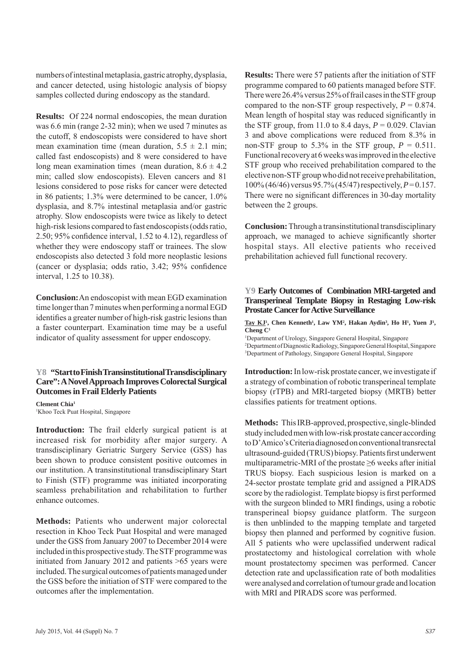numbers of intestinal metaplasia, gastric atrophy, dysplasia, and cancer detected, using histologic analysis of biopsy samples collected during endoscopy as the standard.

**Results:** Of 224 normal endoscopies, the mean duration was 6.6 min (range 2-32 min); when we used 7 minutes as the cutoff, 8 endoscopists were considered to have short mean examination time (mean duration,  $5.5 \pm 2.1$  min; called fast endoscopists) and 8 were considered to have long mean examination times (mean duration,  $8.6 \pm 4.2$ ) min; called slow endoscopists). Eleven cancers and 81 lesions considered to pose risks for cancer were detected in 86 patients; 1.3% were determined to be cancer, 1.0% dysplasia, and 8.7% intestinal metaplasia and/or gastric atrophy. Slow endoscopists were twice as likely to detect high-risk lesions compared to fast endoscopists (odds ratio, 2.50;  $95\%$  confidence interval, 1.52 to 4.12), regardless of whether they were endoscopy staff or trainees. The slow endoscopists also detected 3 fold more neoplastic lesions (cancer or dysplasia; odds ratio, 3.42; 95% confidence interval, 1.25 to 10.38).

**Conclusion:** An endoscopist with mean EGD examination time longer than 7 minutes when performing a normal EGD identifies a greater number of high-risk gastric lesions than a faster counterpart. Examination time may be a useful indicator of quality assessment for upper endoscopy.

#### **Y8 "Start to Finish Transinstitutional Transdisciplinary Care": A Novel Approach Improves Colorectal Surgical Outcomes in Frail Elderly Patients**

**Clement Chia1** 1 Khoo Teck Puat Hospital, Singapore

**Introduction:** The frail elderly surgical patient is at increased risk for morbidity after major surgery. A transdisciplinary Geriatric Surgery Service (GSS) has been shown to produce consistent positive outcomes in our institution. A transinstitutional transdisciplinary Start to Finish (STF) programme was initiated incorporating seamless prehabilitation and rehabilitation to further enhance outcomes.

**Methods:** Patients who underwent major colorectal resection in Khoo Teck Puat Hospital and were managed under the GSS from January 2007 to December 2014 were included in this prospective study. The STF programme was initiated from January 2012 and patients >65 years were included. The surgical outcomes of patients managed under the GSS before the initiation of STF were compared to the outcomes after the implementation.

**Results:** There were 57 patients after the initiation of STF programme compared to 60 patients managed before STF. There were 26.4% versus 25% of frail cases in the STF group compared to the non-STF group respectively,  $P = 0.874$ . Mean length of hospital stay was reduced significantly in the STF group, from 11.0 to 8.4 days,  $P = 0.029$ . Clavian 3 and above complications were reduced from 8.3% in non-STF group to 5.3% in the STF group,  $P = 0.511$ . Functional recovery at 6 weeks was improved in the elective STF group who received prehabilitation compared to the elective non-STF group who did not receive prehabilitation, 100% (46/46) versus 95.7% (45/47) respectively, *P* = 0.157. There were no significant differences in 30-day mortality between the 2 groups.

**Conclusion:** Through a transinstitutional transdisciplinary approach, we managed to achieve significantly shorter hospital stays. All elective patients who received prehabilitation achieved full functional recovery.

#### **Y9 Early Outcomes of Combination MRI-targeted and Transperineal Template Biopsy in Restaging Low-risk Prostate Cancer for Active Surveillance**

Tay KJ<sup>1</sup>, Chen Kenneth<sup>1</sup>, Law YM<sup>2</sup>, Hakan Aydin<sup>3</sup>, Ho H<sup>1</sup>, Yuen J<sup>1</sup>, **Cheng C1**

1 Department of Urology, Singapore General Hospital, Singapore 2 Department of Diagnostic Radiology, Singapore General Hospital, Singapore 3 Department of Pathology, Singapore General Hospital, Singapore

**Introduction:** In low-risk prostate cancer, we investigate if a strategy of combination of robotic transperineal template biopsy (rTPB) and MRI-targeted biopsy (MRTB) better classifies patients for treatment options.

**Methods:** This IRB-approved, prospective, single-blinded study included men with low-risk prostate cancer according to D'Amico's Criteria diagnosed on conventional transrectal ultrasound-guided (TRUS) biopsy. Patients first underwent multiparametric-MRI of the prostate  $\geq 6$  weeks after initial TRUS biopsy. Each suspicious lesion is marked on a 24-sector prostate template grid and assigned a PIRADS score by the radiologist. Template biopsy is first performed with the surgeon blinded to MRI findings, using a robotic transperineal biopsy guidance platform. The surgeon is then unblinded to the mapping template and targeted biopsy then planned and performed by cognitive fusion. All 5 patients who were upclassified underwent radical prostatectomy and histological correlation with whole mount prostatectomy specimen was performed. Cancer detection rate and upclassification rate of both modalities were analysed and correlation of tumour grade and location with MRI and PIRADS score was performed.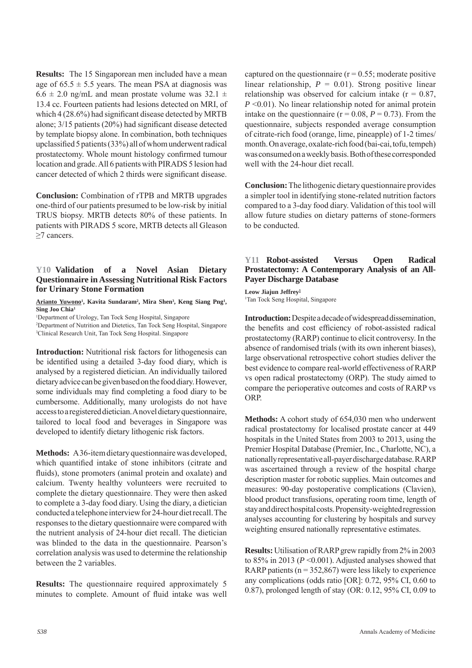**Results:** The 15 Singaporean men included have a mean age of  $65.5 \pm 5.5$  years. The mean PSA at diagnosis was  $6.6 \pm 2.0$  ng/mL and mean prostate volume was  $32.1 \pm 1$ 13.4 cc. Fourteen patients had lesions detected on MRI, of which  $4(28.6\%)$  had significant disease detected by MRTB alone;  $3/15$  patients (20%) had significant disease detected by template biopsy alone. In combination, both techniques upclassified 5 patients  $(33%)$  all of whom underwent radical prostatectomy. Whole mount histology confirmed tumour location and grade. All 6 patients with PIRADS 5 lesion had cancer detected of which 2 thirds were significant disease.

**Conclusion:** Combination of rTPB and MRTB upgrades one-third of our patients presumed to be low-risk by initial TRUS biopsy. MRTB detects 80% of these patients. In patients with PIRADS 5 score, MRTB detects all Gleason ≥7 cancers.

#### **Y10 Validation of a Novel Asian Dietary Questionnaire in Assessing Nutritional Risk Factors for Urinary Stone Formation**

Arianto Yuwono<sup>1</sup>, Kavita Sundaram<sup>2</sup>, Mira Shen<sup>3</sup>, Keng Siang Png<sup>1</sup>, **Sing Joo Chia1**

1 Department of Urology, Tan Tock Seng Hospital, Singapore

2 Department of Nutrition and Dietetics, Tan Tock Seng Hospital, Singapore 3 Clinical Research Unit, Tan Tock Seng Hospital. Singapore

**Introduction:** Nutritional risk factors for lithogenesis can be identified using a detailed 3-day food diary, which is analysed by a registered dietician. An individually tailored dietary advice can be given based on the food diary. However, some individuals may find completing a food diary to be cumbersome. Additionally, many urologists do not have access to a registered dietician. A novel dietary questionnaire, tailored to local food and beverages in Singapore was developed to identify dietary lithogenic risk factors.

**Methods:** A 36-item dietary questionnaire was developed, which quantified intake of stone inhibitors (citrate and fluids), stone promoters (animal protein and oxalate) and calcium. Twenty healthy volunteers were recruited to complete the dietary questionnaire. They were then asked to complete a 3-day food diary. Using the diary, a dietician conducted a telephone interview for 24-hour diet recall. The responses to the dietary questionnaire were compared with the nutrient analysis of 24-hour diet recall. The dietician was blinded to the data in the questionnaire. Pearson's correlation analysis was used to determine the relationship between the 2 variables.

**Results:** The questionnaire required approximately 5 minutes to complete. Amount of fluid intake was well captured on the questionnaire ( $r = 0.55$ ; moderate positive linear relationship,  $P = 0.01$ ). Strong positive linear relationship was observed for calcium intake  $(r = 0.87)$ , *P* <0.01). No linear relationship noted for animal protein intake on the questionnaire ( $r = 0.08$ ,  $P = 0.73$ ). From the questionnaire, subjects responded average consumption of citrate-rich food (orange, lime, pineapple) of 1-2 times/ month. On average, oxalate-rich food (bai-cai, tofu, tempeh) was consumed on a weekly basis. Both of these corresponded well with the 24-hour diet recall.

**Conclusion:** The lithogenic dietary questionnaire provides a simpler tool in identifying stone-related nutrition factors compared to a 3-day food diary. Validation of this tool will allow future studies on dietary patterns of stone-formers to be conducted.

#### **Y11 Robot-assisted Versus Open Radical Prostatectomy: A Contemporary Analysis of an All-Payer Discharge Database**

#### **Leow Jiajun Jeffrey1** 1 Tan Tock Seng Hospital, Singapore

**Introduction:** Despite a decade of widespread dissemination, the benefits and cost efficiency of robot-assisted radical prostatectomy (RARP) continue to elicit controversy. In the absence of randomised trials (with its own inherent biases), large observational retrospective cohort studies deliver the best evidence to compare real-world effectiveness of RARP vs open radical prostatectomy (ORP). The study aimed to compare the perioperative outcomes and costs of RARP vs ORP.

**Methods:** A cohort study of 654,030 men who underwent radical prostatectomy for localised prostate cancer at 449 hospitals in the United States from 2003 to 2013, using the Premier Hospital Database (Premier, Inc., Charlotte, NC), a nationally representative all-payer discharge database. RARP was ascertained through a review of the hospital charge description master for robotic supplies. Main outcomes and measures: 90-day postoperative complications (Clavien), blood product transfusions, operating room time, length of stay and direct hospital costs. Propensity-weighted regression analyses accounting for clustering by hospitals and survey weighting ensured nationally representative estimates.

**Results:** Utilisation of RARP grew rapidly from 2% in 2003 to 85% in 2013 (*P* <0.001). Adjusted analyses showed that RARP patients ( $n = 352,867$ ) were less likely to experience any complications (odds ratio [OR]: 0.72, 95% CI, 0.60 to 0.87), prolonged length of stay (OR: 0.12, 95% CI, 0.09 to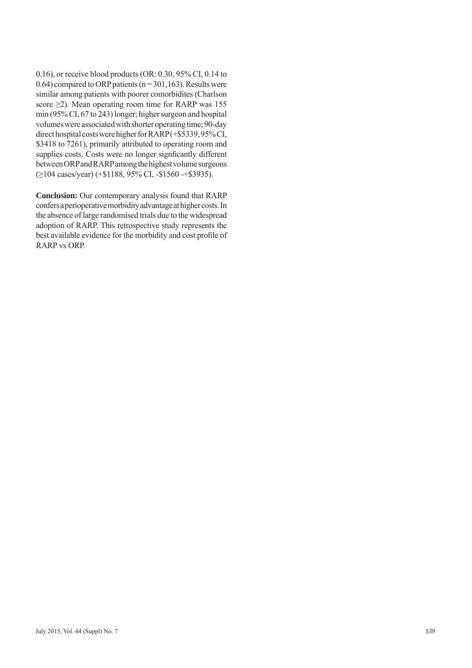0.16), or receive blood products (OR: 0.30, 95% CI, 0.14 to 0.64) compared to ORP patients ( $n = 301,163$ ). Results were similar among patients with poorer comorbidites (Charlson score ≥2). Mean operating room time for RARP was 155 min (95% CI, 67 to 243) longer; higher surgeon and hospital volumes were associated with shorter operating time; 90-day direct hospital costs were higher for RARP (+\$5339, 95% CI, \$3418 to 7261), primarily attributed to operating room and supplies costs. Costs were no longer signficantly different between ORP and RARP among the highest volume surgeons (≥104 cases/year) (+\$1188, 95% CI, -\$1560 -+\$3935).

**Conclusion:** Our contemporary analysis found that RARP confers a perioperative morbidity advantage at higher costs. In the absence of large randomised trials due to the widespread adoption of RARP. This retrospective study represents the best available evidence for the morbidity and cost profile of RARP vs ORP.